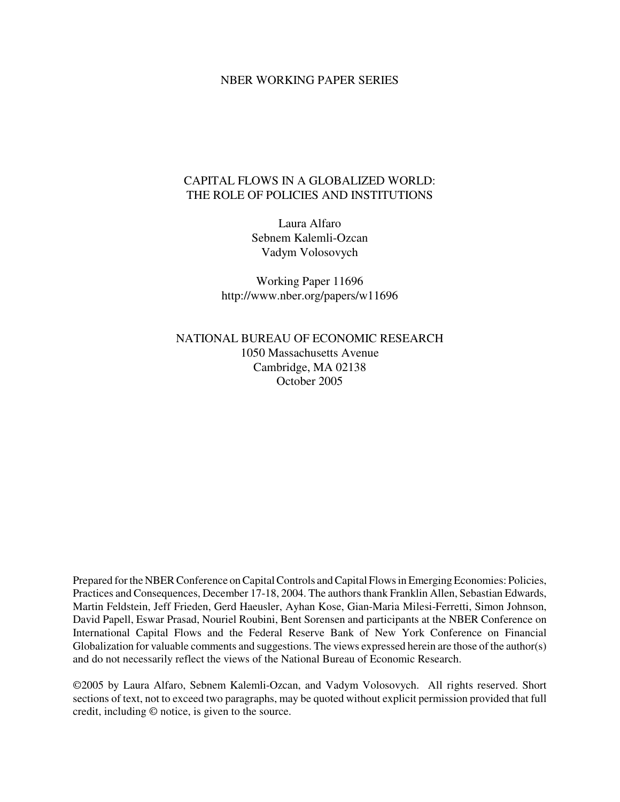## NBER WORKING PAPER SERIES

## CAPITAL FLOWS IN A GLOBALIZED WORLD: THE ROLE OF POLICIES AND INSTITUTIONS

Laura Alfaro Sebnem Kalemli-Ozcan Vadym Volosovych

Working Paper 11696 http://www.nber.org/papers/w11696

NATIONAL BUREAU OF ECONOMIC RESEARCH 1050 Massachusetts Avenue Cambridge, MA 02138 October 2005

Prepared for the NBER Conference on Capital Controls and Capital Flows in Emerging Economies: Policies, Practices and Consequences, December 17-18, 2004. The authorsthank Franklin Allen, Sebastian Edwards, Martin Feldstein, Jeff Frieden, Gerd Haeusler, Ayhan Kose, Gian-Maria Milesi-Ferretti, Simon Johnson, David Papell, Eswar Prasad, Nouriel Roubini, Bent Sorensen and participants at the NBER Conference on International Capital Flows and the Federal Reserve Bank of New York Conference on Financial Globalization for valuable comments and suggestions. The views expressed herein are those of the author(s) and do not necessarily reflect the views of the National Bureau of Economic Research.

©2005 by Laura Alfaro, Sebnem Kalemli-Ozcan, and Vadym Volosovych. All rights reserved. Short sections of text, not to exceed two paragraphs, may be quoted without explicit permission provided that full credit, including © notice, is given to the source.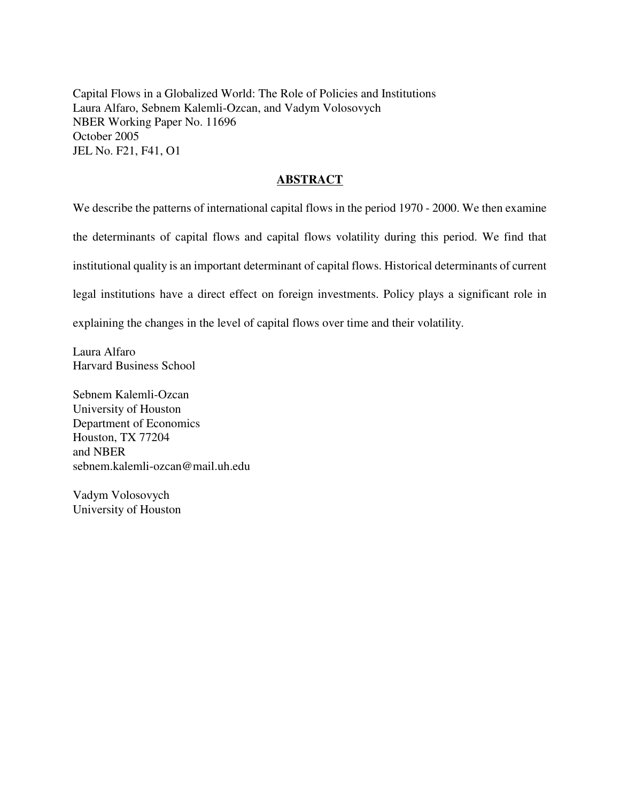Capital Flows in a Globalized World: The Role of Policies and Institutions Laura Alfaro, Sebnem Kalemli-Ozcan, and Vadym Volosovych NBER Working Paper No. 11696 October 2005 JEL No. F21, F41, O1

## **ABSTRACT**

We describe the patterns of international capital flows in the period 1970 - 2000. We then examine the determinants of capital flows and capital flows volatility during this period. We find that institutional quality is an important determinant of capital flows. Historical determinants of current legal institutions have a direct effect on foreign investments. Policy plays a significant role in explaining the changes in the level of capital flows over time and their volatility.

Laura Alfaro Harvard Business School

Sebnem Kalemli-Ozcan University of Houston Department of Economics Houston, TX 77204 and NBER sebnem.kalemli-ozcan@mail.uh.edu

Vadym Volosovych University of Houston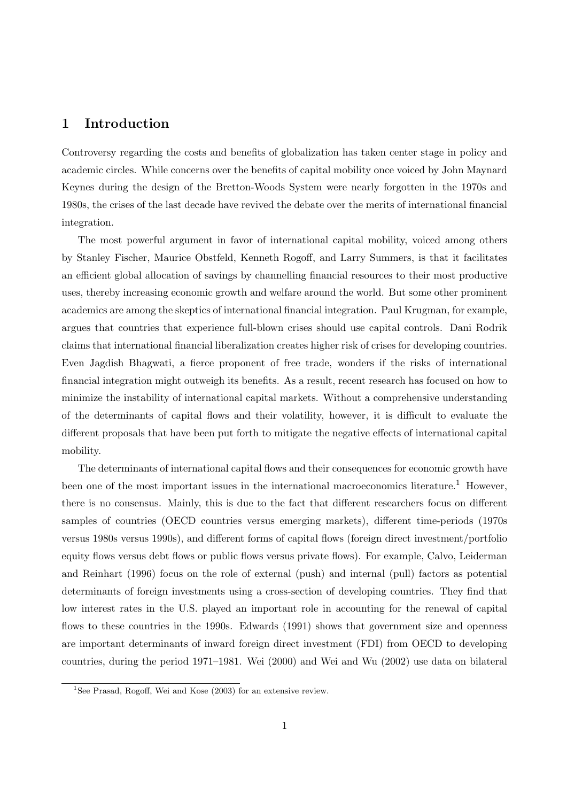## 1 Introduction

Controversy regarding the costs and benefits of globalization has taken center stage in policy and academic circles. While concerns over the benefits of capital mobility once voiced by John Maynard Keynes during the design of the Bretton-Woods System were nearly forgotten in the 1970s and 1980s, the crises of the last decade have revived the debate over the merits of international financial integration.

The most powerful argument in favor of international capital mobility, voiced among others by Stanley Fischer, Maurice Obstfeld, Kenneth Rogoff, and Larry Summers, is that it facilitates an efficient global allocation of savings by channelling financial resources to their most productive uses, thereby increasing economic growth and welfare around the world. But some other prominent academics are among the skeptics of international financial integration. Paul Krugman, for example, argues that countries that experience full-blown crises should use capital controls. Dani Rodrik claims that international financial liberalization creates higher risk of crises for developing countries. Even Jagdish Bhagwati, a fierce proponent of free trade, wonders if the risks of international financial integration might outweigh its benefits. As a result, recent research has focused on how to minimize the instability of international capital markets. Without a comprehensive understanding of the determinants of capital flows and their volatility, however, it is difficult to evaluate the different proposals that have been put forth to mitigate the negative effects of international capital mobility.

The determinants of international capital flows and their consequences for economic growth have been one of the most important issues in the international macroeconomics literature.<sup>1</sup> However, there is no consensus. Mainly, this is due to the fact that different researchers focus on different samples of countries (OECD countries versus emerging markets), different time-periods (1970s versus 1980s versus 1990s), and different forms of capital flows (foreign direct investment/portfolio equity flows versus debt flows or public flows versus private flows). For example, Calvo, Leiderman and Reinhart (1996) focus on the role of external (push) and internal (pull) factors as potential determinants of foreign investments using a cross-section of developing countries. They find that low interest rates in the U.S. played an important role in accounting for the renewal of capital flows to these countries in the 1990s. Edwards (1991) shows that government size and openness are important determinants of inward foreign direct investment (FDI) from OECD to developing countries, during the period 1971–1981. Wei (2000) and Wei and Wu (2002) use data on bilateral

<sup>&</sup>lt;sup>1</sup>See Prasad, Rogoff, Wei and Kose  $(2003)$  for an extensive review.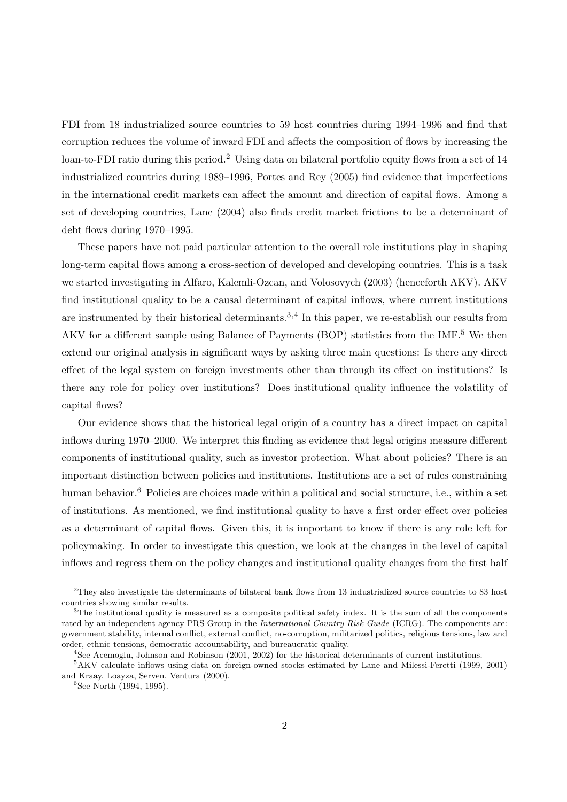FDI from 18 industrialized source countries to 59 host countries during 1994–1996 and find that corruption reduces the volume of inward FDI and affects the composition of flows by increasing the loan-to-FDI ratio during this period.<sup>2</sup> Using data on bilateral portfolio equity flows from a set of 14 industrialized countries during 1989–1996, Portes and Rey (2005) find evidence that imperfections in the international credit markets can affect the amount and direction of capital flows. Among a set of developing countries, Lane (2004) also finds credit market frictions to be a determinant of debt flows during 1970–1995.

These papers have not paid particular attention to the overall role institutions play in shaping long-term capital flows among a cross-section of developed and developing countries. This is a task we started investigating in Alfaro, Kalemli-Ozcan, and Volosovych (2003) (henceforth AKV). AKV find institutional quality to be a causal determinant of capital inflows, where current institutions are instrumented by their historical determinants.<sup>3,4</sup> In this paper, we re-establish our results from AKV for a different sample using Balance of Payments (BOP) statistics from the IMF.<sup>5</sup> We then extend our original analysis in significant ways by asking three main questions: Is there any direct effect of the legal system on foreign investments other than through its effect on institutions? Is there any role for policy over institutions? Does institutional quality influence the volatility of capital flows?

Our evidence shows that the historical legal origin of a country has a direct impact on capital inflows during 1970–2000. We interpret this finding as evidence that legal origins measure different components of institutional quality, such as investor protection. What about policies? There is an important distinction between policies and institutions. Institutions are a set of rules constraining human behavior.<sup>6</sup> Policies are choices made within a political and social structure, i.e., within a set of institutions. As mentioned, we find institutional quality to have a first order effect over policies as a determinant of capital flows. Given this, it is important to know if there is any role left for policymaking. In order to investigate this question, we look at the changes in the level of capital inflows and regress them on the policy changes and institutional quality changes from the first half

<sup>2</sup>They also investigate the determinants of bilateral bank flows from 13 industrialized source countries to 83 host countries showing similar results.

 $3$ The institutional quality is measured as a composite political safety index. It is the sum of all the components rated by an independent agency PRS Group in the International Country Risk Guide (ICRG). The components are: government stability, internal conflict, external conflict, no-corruption, militarized politics, religious tensions, law and order, ethnic tensions, democratic accountability, and bureaucratic quality.

<sup>4</sup>See Acemoglu, Johnson and Robinson (2001, 2002) for the historical determinants of current institutions.

<sup>5</sup>AKV calculate inflows using data on foreign-owned stocks estimated by Lane and Milessi-Feretti (1999, 2001) and Kraay, Loayza, Serven, Ventura (2000).

 ${}^{6}$ See North (1994, 1995).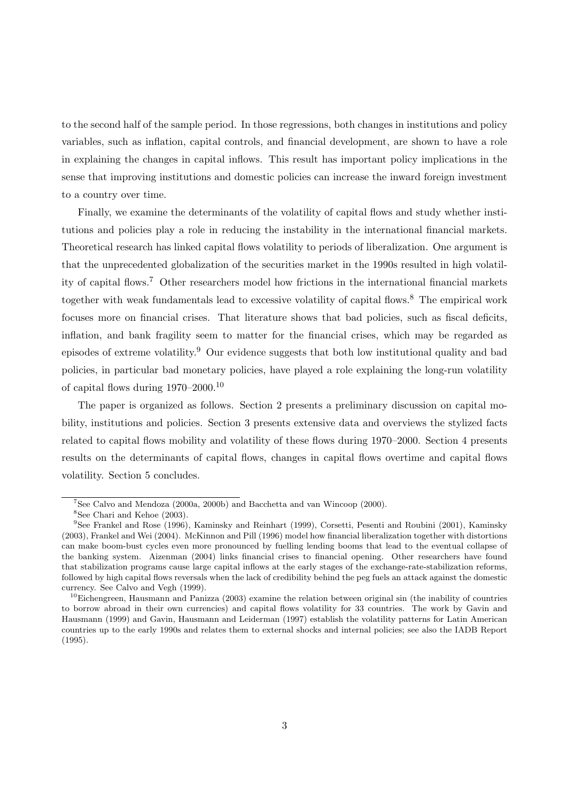to the second half of the sample period. In those regressions, both changes in institutions and policy variables, such as inflation, capital controls, and financial development, are shown to have a role in explaining the changes in capital inflows. This result has important policy implications in the sense that improving institutions and domestic policies can increase the inward foreign investment to a country over time.

Finally, we examine the determinants of the volatility of capital flows and study whether institutions and policies play a role in reducing the instability in the international financial markets. Theoretical research has linked capital flows volatility to periods of liberalization. One argument is that the unprecedented globalization of the securities market in the 1990s resulted in high volatility of capital flows.<sup>7</sup> Other researchers model how frictions in the international financial markets together with weak fundamentals lead to excessive volatility of capital flows.<sup>8</sup> The empirical work focuses more on financial crises. That literature shows that bad policies, such as fiscal deficits, inflation, and bank fragility seem to matter for the financial crises, which may be regarded as episodes of extreme volatility.<sup>9</sup> Our evidence suggests that both low institutional quality and bad policies, in particular bad monetary policies, have played a role explaining the long-run volatility of capital flows during 1970–2000.<sup>10</sup>

The paper is organized as follows. Section 2 presents a preliminary discussion on capital mobility, institutions and policies. Section 3 presents extensive data and overviews the stylized facts related to capital flows mobility and volatility of these flows during 1970–2000. Section 4 presents results on the determinants of capital flows, changes in capital flows overtime and capital flows volatility. Section 5 concludes.

 ${}^{7}$ See Calvo and Mendoza (2000a, 2000b) and Bacchetta and van Wincoop (2000).

<sup>8</sup>See Chari and Kehoe (2003).

<sup>&</sup>lt;sup>9</sup>See Frankel and Rose (1996), Kaminsky and Reinhart (1999), Corsetti, Pesenti and Roubini (2001), Kaminsky (2003), Frankel and Wei (2004). McKinnon and Pill (1996) model how financial liberalization together with distortions can make boom-bust cycles even more pronounced by fuelling lending booms that lead to the eventual collapse of the banking system. Aizenman (2004) links financial crises to financial opening. Other researchers have found that stabilization programs cause large capital inflows at the early stages of the exchange-rate-stabilization reforms, followed by high capital flows reversals when the lack of credibility behind the peg fuels an attack against the domestic currency. See Calvo and Vegh (1999).

 $10$ Eichengreen, Hausmann and Panizza (2003) examine the relation between original sin (the inability of countries to borrow abroad in their own currencies) and capital flows volatility for 33 countries. The work by Gavin and Hausmann (1999) and Gavin, Hausmann and Leiderman (1997) establish the volatility patterns for Latin American countries up to the early 1990s and relates them to external shocks and internal policies; see also the IADB Report (1995).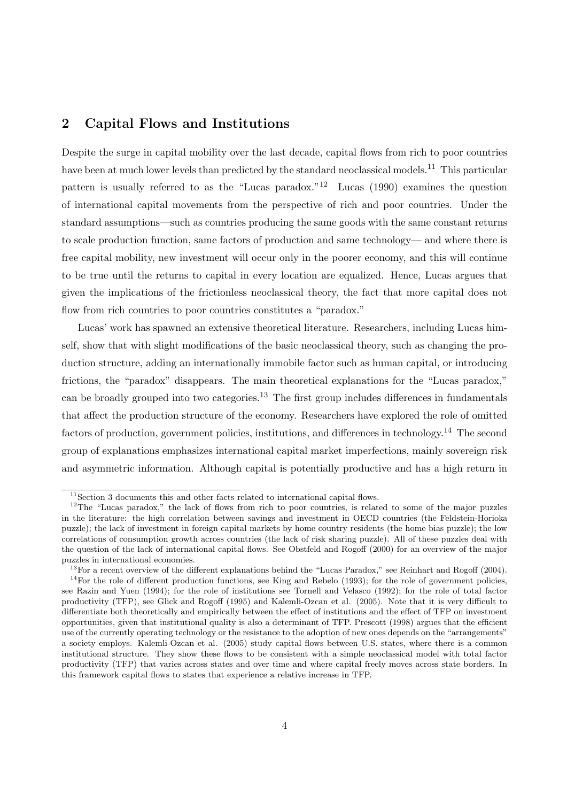## 2 Capital Flows and Institutions

Despite the surge in capital mobility over the last decade, capital flows from rich to poor countries have been at much lower levels than predicted by the standard neoclassical models.<sup>11</sup> This particular pattern is usually referred to as the "Lucas paradox."<sup>12</sup> Lucas (1990) examines the question of international capital movements from the perspective of rich and poor countries. Under the standard assumptions—such as countries producing the same goods with the same constant returns to scale production function, same factors of production and same technology— and where there is free capital mobility, new investment will occur only in the poorer economy, and this will continue to be true until the returns to capital in every location are equalized. Hence, Lucas argues that given the implications of the frictionless neoclassical theory, the fact that more capital does not flow from rich countries to poor countries constitutes a "paradox."

Lucas' work has spawned an extensive theoretical literature. Researchers, including Lucas himself, show that with slight modifications of the basic neoclassical theory, such as changing the production structure, adding an internationally immobile factor such as human capital, or introducing frictions, the "paradox" disappears. The main theoretical explanations for the "Lucas paradox," can be broadly grouped into two categories.<sup>13</sup> The first group includes differences in fundamentals that affect the production structure of the economy. Researchers have explored the role of omitted factors of production, government policies, institutions, and differences in technology.<sup>14</sup> The second group of explanations emphasizes international capital market imperfections, mainly sovereign risk and asymmetric information. Although capital is potentially productive and has a high return in

 $11$ Section 3 documents this and other facts related to international capital flows.

<sup>&</sup>lt;sup>12</sup>The "Lucas paradox," the lack of flows from rich to poor countries, is related to some of the major puzzles in the literature: the high correlation between savings and investment in OECD countries (the Feldstein-Horioka puzzle); the lack of investment in foreign capital markets by home country residents (the home bias puzzle); the low correlations of consumption growth across countries (the lack of risk sharing puzzle). All of these puzzles deal with the question of the lack of international capital flows. See Obstfeld and Rogoff (2000) for an overview of the major puzzles in international economies.

<sup>&</sup>lt;sup>13</sup>For a recent overview of the different explanations behind the "Lucas Paradox," see Reinhart and Rogoff (2004).  $14$ For the role of different production functions, see King and Rebelo (1993); for the role of government policies, see Razin and Yuen (1994); for the role of institutions see Tornell and Velasco (1992); for the role of total factor productivity (TFP), see Glick and Rogoff (1995) and Kalemli-Ozcan et al. (2005). Note that it is very difficult to differentiate both theoretically and empirically between the effect of institutions and the effect of TFP on investment opportunities, given that institutional quality is also a determinant of TFP. Prescott (1998) argues that the efficient use of the currently operating technology or the resistance to the adoption of new ones depends on the "arrangements" a society employs. Kalemli-Ozcan et al. (2005) study capital flows between U.S. states, where there is a common institutional structure. They show these flows to be consistent with a simple neoclassical model with total factor productivity (TFP) that varies across states and over time and where capital freely moves across state borders. In this framework capital flows to states that experience a relative increase in TFP.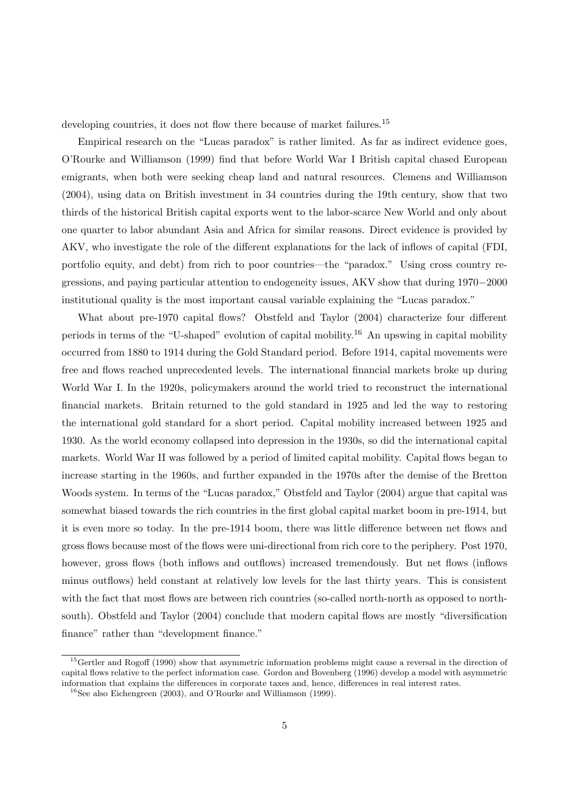developing countries, it does not flow there because of market failures.<sup>15</sup>

Empirical research on the "Lucas paradox" is rather limited. As far as indirect evidence goes, O'Rourke and Williamson (1999) find that before World War I British capital chased European emigrants, when both were seeking cheap land and natural resources. Clemens and Williamson (2004), using data on British investment in 34 countries during the 19th century, show that two thirds of the historical British capital exports went to the labor-scarce New World and only about one quarter to labor abundant Asia and Africa for similar reasons. Direct evidence is provided by AKV, who investigate the role of the different explanations for the lack of inflows of capital (FDI, portfolio equity, and debt) from rich to poor countries—the "paradox." Using cross country regressions, and paying particular attention to endogeneity issues, AKV show that during 1970−2000 institutional quality is the most important causal variable explaining the "Lucas paradox."

What about pre-1970 capital flows? Obstfeld and Taylor (2004) characterize four different periods in terms of the "U-shaped" evolution of capital mobility.<sup>16</sup> An upswing in capital mobility occurred from 1880 to 1914 during the Gold Standard period. Before 1914, capital movements were free and flows reached unprecedented levels. The international financial markets broke up during World War I. In the 1920s, policymakers around the world tried to reconstruct the international financial markets. Britain returned to the gold standard in 1925 and led the way to restoring the international gold standard for a short period. Capital mobility increased between 1925 and 1930. As the world economy collapsed into depression in the 1930s, so did the international capital markets. World War II was followed by a period of limited capital mobility. Capital flows began to increase starting in the 1960s, and further expanded in the 1970s after the demise of the Bretton Woods system. In terms of the "Lucas paradox," Obstfeld and Taylor (2004) argue that capital was somewhat biased towards the rich countries in the first global capital market boom in pre-1914, but it is even more so today. In the pre-1914 boom, there was little difference between net flows and gross flows because most of the flows were uni-directional from rich core to the periphery. Post 1970, however, gross flows (both inflows and outflows) increased tremendously. But net flows (inflows minus outflows) held constant at relatively low levels for the last thirty years. This is consistent with the fact that most flows are between rich countries (so-called north-north as opposed to northsouth). Obstfeld and Taylor (2004) conclude that modern capital flows are mostly "diversification finance" rather than "development finance."

<sup>&</sup>lt;sup>15</sup>Gertler and Rogoff (1990) show that asymmetric information problems might cause a reversal in the direction of capital flows relative to the perfect information case. Gordon and Bovenberg (1996) develop a model with asymmetric information that explains the differences in corporate taxes and, hence, differences in real interest rates.

<sup>16</sup>See also Eichengreen (2003), and O'Rourke and Williamson (1999).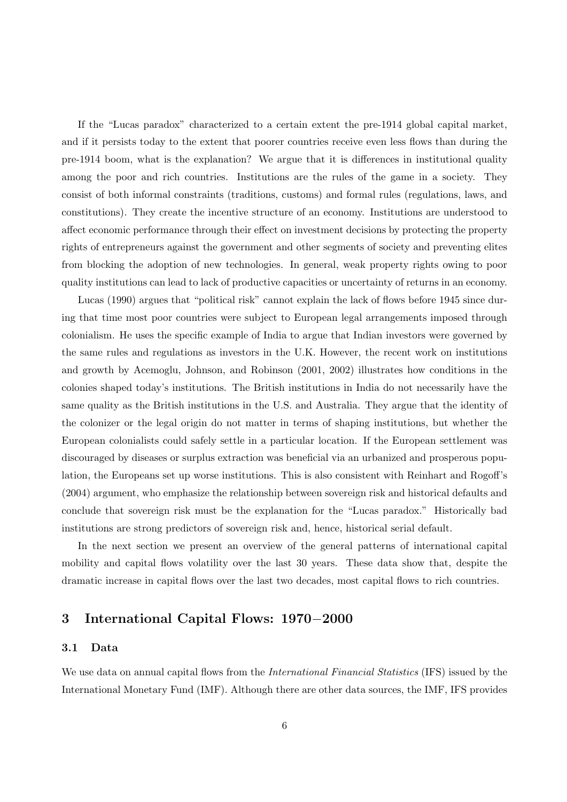If the "Lucas paradox" characterized to a certain extent the pre-1914 global capital market, and if it persists today to the extent that poorer countries receive even less flows than during the pre-1914 boom, what is the explanation? We argue that it is differences in institutional quality among the poor and rich countries. Institutions are the rules of the game in a society. They consist of both informal constraints (traditions, customs) and formal rules (regulations, laws, and constitutions). They create the incentive structure of an economy. Institutions are understood to affect economic performance through their effect on investment decisions by protecting the property rights of entrepreneurs against the government and other segments of society and preventing elites from blocking the adoption of new technologies. In general, weak property rights owing to poor quality institutions can lead to lack of productive capacities or uncertainty of returns in an economy.

Lucas (1990) argues that "political risk" cannot explain the lack of flows before 1945 since during that time most poor countries were subject to European legal arrangements imposed through colonialism. He uses the specific example of India to argue that Indian investors were governed by the same rules and regulations as investors in the U.K. However, the recent work on institutions and growth by Acemoglu, Johnson, and Robinson (2001, 2002) illustrates how conditions in the colonies shaped today's institutions. The British institutions in India do not necessarily have the same quality as the British institutions in the U.S. and Australia. They argue that the identity of the colonizer or the legal origin do not matter in terms of shaping institutions, but whether the European colonialists could safely settle in a particular location. If the European settlement was discouraged by diseases or surplus extraction was beneficial via an urbanized and prosperous population, the Europeans set up worse institutions. This is also consistent with Reinhart and Rogoff's (2004) argument, who emphasize the relationship between sovereign risk and historical defaults and conclude that sovereign risk must be the explanation for the "Lucas paradox." Historically bad institutions are strong predictors of sovereign risk and, hence, historical serial default.

In the next section we present an overview of the general patterns of international capital mobility and capital flows volatility over the last 30 years. These data show that, despite the dramatic increase in capital flows over the last two decades, most capital flows to rich countries.

## 3 International Capital Flows: 1970−2000

#### 3.1 Data

We use data on annual capital flows from the *International Financial Statistics* (IFS) issued by the International Monetary Fund (IMF). Although there are other data sources, the IMF, IFS provides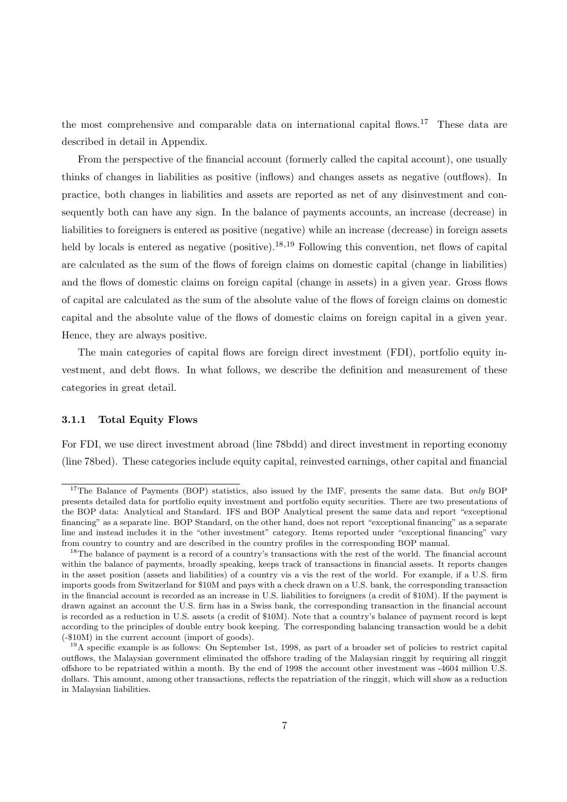the most comprehensive and comparable data on international capital flows.<sup>17</sup> These data are described in detail in Appendix.

From the perspective of the financial account (formerly called the capital account), one usually thinks of changes in liabilities as positive (inflows) and changes assets as negative (outflows). In practice, both changes in liabilities and assets are reported as net of any disinvestment and consequently both can have any sign. In the balance of payments accounts, an increase (decrease) in liabilities to foreigners is entered as positive (negative) while an increase (decrease) in foreign assets held by locals is entered as negative (positive).<sup>18,19</sup> Following this convention, net flows of capital are calculated as the sum of the flows of foreign claims on domestic capital (change in liabilities) and the flows of domestic claims on foreign capital (change in assets) in a given year. Gross flows of capital are calculated as the sum of the absolute value of the flows of foreign claims on domestic capital and the absolute value of the flows of domestic claims on foreign capital in a given year. Hence, they are always positive.

The main categories of capital flows are foreign direct investment (FDI), portfolio equity investment, and debt flows. In what follows, we describe the definition and measurement of these categories in great detail.

#### 3.1.1 Total Equity Flows

For FDI, we use direct investment abroad (line 78bdd) and direct investment in reporting economy (line 78bed). These categories include equity capital, reinvested earnings, other capital and financial

<sup>&</sup>lt;sup>17</sup>The Balance of Payments (BOP) statistics, also issued by the IMF, presents the same data. But only BOP presents detailed data for portfolio equity investment and portfolio equity securities. There are two presentations of the BOP data: Analytical and Standard. IFS and BOP Analytical present the same data and report "exceptional financing" as a separate line. BOP Standard, on the other hand, does not report "exceptional financing" as a separate line and instead includes it in the "other investment" category. Items reported under "exceptional financing" vary from country to country and are described in the country profiles in the corresponding BOP manual.

<sup>&</sup>lt;sup>18</sup>The balance of payment is a record of a country's transactions with the rest of the world. The financial account within the balance of payments, broadly speaking, keeps track of transactions in financial assets. It reports changes in the asset position (assets and liabilities) of a country vis a vis the rest of the world. For example, if a U.S. firm imports goods from Switzerland for \$10M and pays with a check drawn on a U.S. bank, the corresponding transaction in the financial account is recorded as an increase in U.S. liabilities to foreigners (a credit of \$10M). If the payment is drawn against an account the U.S. firm has in a Swiss bank, the corresponding transaction in the financial account is recorded as a reduction in U.S. assets (a credit of \$10M). Note that a country's balance of payment record is kept according to the principles of double entry book keeping. The corresponding balancing transaction would be a debit (-\$10M) in the current account (import of goods).

 $19A$  specific example is as follows: On September 1st, 1998, as part of a broader set of policies to restrict capital outflows, the Malaysian government eliminated the offshore trading of the Malaysian ringgit by requiring all ringgit offshore to be repatriated within a month. By the end of 1998 the account other investment was -4604 million U.S. dollars. This amount, among other transactions, reflects the repatriation of the ringgit, which will show as a reduction in Malaysian liabilities.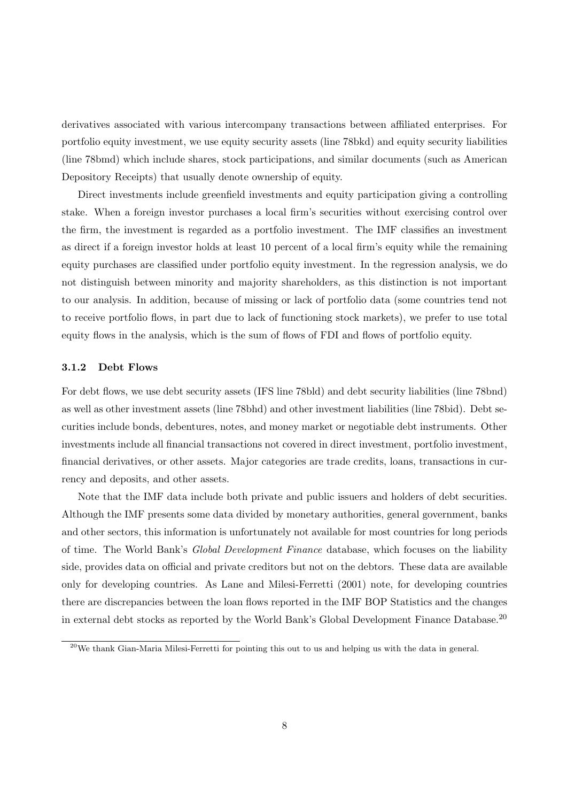derivatives associated with various intercompany transactions between affiliated enterprises. For portfolio equity investment, we use equity security assets (line 78bkd) and equity security liabilities (line 78bmd) which include shares, stock participations, and similar documents (such as American Depository Receipts) that usually denote ownership of equity.

Direct investments include greenfield investments and equity participation giving a controlling stake. When a foreign investor purchases a local firm's securities without exercising control over the firm, the investment is regarded as a portfolio investment. The IMF classifies an investment as direct if a foreign investor holds at least 10 percent of a local firm's equity while the remaining equity purchases are classified under portfolio equity investment. In the regression analysis, we do not distinguish between minority and majority shareholders, as this distinction is not important to our analysis. In addition, because of missing or lack of portfolio data (some countries tend not to receive portfolio flows, in part due to lack of functioning stock markets), we prefer to use total equity flows in the analysis, which is the sum of flows of FDI and flows of portfolio equity.

#### 3.1.2 Debt Flows

For debt flows, we use debt security assets (IFS line 78bld) and debt security liabilities (line 78bnd) as well as other investment assets (line 78bhd) and other investment liabilities (line 78bid). Debt securities include bonds, debentures, notes, and money market or negotiable debt instruments. Other investments include all financial transactions not covered in direct investment, portfolio investment, financial derivatives, or other assets. Major categories are trade credits, loans, transactions in currency and deposits, and other assets.

Note that the IMF data include both private and public issuers and holders of debt securities. Although the IMF presents some data divided by monetary authorities, general government, banks and other sectors, this information is unfortunately not available for most countries for long periods of time. The World Bank's Global Development Finance database, which focuses on the liability side, provides data on official and private creditors but not on the debtors. These data are available only for developing countries. As Lane and Milesi-Ferretti (2001) note, for developing countries there are discrepancies between the loan flows reported in the IMF BOP Statistics and the changes in external debt stocks as reported by the World Bank's Global Development Finance Database.<sup>20</sup>

<sup>&</sup>lt;sup>20</sup>We thank Gian-Maria Milesi-Ferretti for pointing this out to us and helping us with the data in general.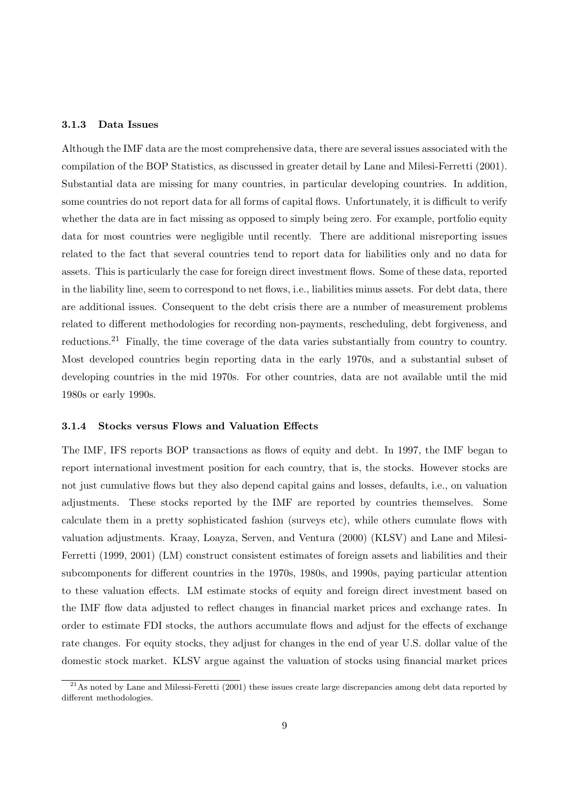#### 3.1.3 Data Issues

Although the IMF data are the most comprehensive data, there are several issues associated with the compilation of the BOP Statistics, as discussed in greater detail by Lane and Milesi-Ferretti (2001). Substantial data are missing for many countries, in particular developing countries. In addition, some countries do not report data for all forms of capital flows. Unfortunately, it is difficult to verify whether the data are in fact missing as opposed to simply being zero. For example, portfolio equity data for most countries were negligible until recently. There are additional misreporting issues related to the fact that several countries tend to report data for liabilities only and no data for assets. This is particularly the case for foreign direct investment flows. Some of these data, reported in the liability line, seem to correspond to net flows, i.e., liabilities minus assets. For debt data, there are additional issues. Consequent to the debt crisis there are a number of measurement problems related to different methodologies for recording non-payments, rescheduling, debt forgiveness, and reductions.<sup>21</sup> Finally, the time coverage of the data varies substantially from country to country. Most developed countries begin reporting data in the early 1970s, and a substantial subset of developing countries in the mid 1970s. For other countries, data are not available until the mid 1980s or early 1990s.

#### 3.1.4 Stocks versus Flows and Valuation Effects

The IMF, IFS reports BOP transactions as flows of equity and debt. In 1997, the IMF began to report international investment position for each country, that is, the stocks. However stocks are not just cumulative flows but they also depend capital gains and losses, defaults, i.e., on valuation adjustments. These stocks reported by the IMF are reported by countries themselves. Some calculate them in a pretty sophisticated fashion (surveys etc), while others cumulate flows with valuation adjustments. Kraay, Loayza, Serven, and Ventura (2000) (KLSV) and Lane and Milesi-Ferretti (1999, 2001) (LM) construct consistent estimates of foreign assets and liabilities and their subcomponents for different countries in the 1970s, 1980s, and 1990s, paying particular attention to these valuation effects. LM estimate stocks of equity and foreign direct investment based on the IMF flow data adjusted to reflect changes in financial market prices and exchange rates. In order to estimate FDI stocks, the authors accumulate flows and adjust for the effects of exchange rate changes. For equity stocks, they adjust for changes in the end of year U.S. dollar value of the domestic stock market. KLSV argue against the valuation of stocks using financial market prices

 $^{21}$ As noted by Lane and Milessi-Feretti (2001) these issues create large discrepancies among debt data reported by different methodologies.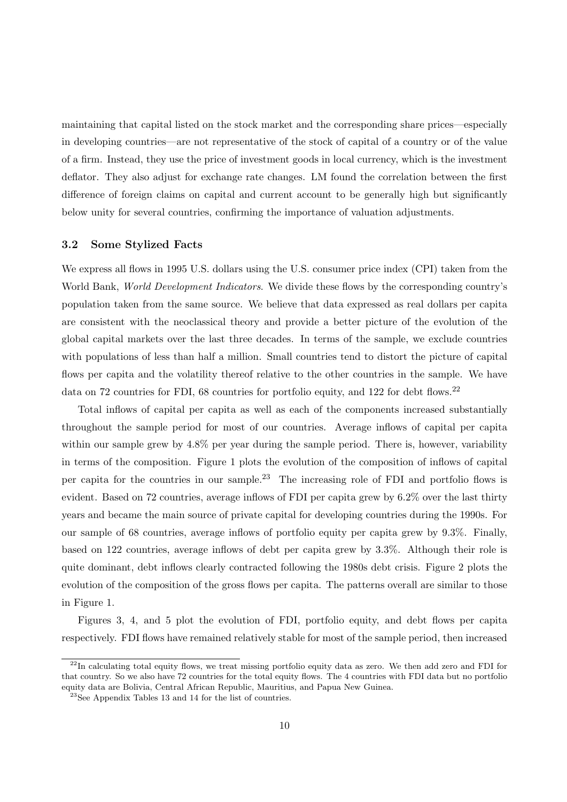maintaining that capital listed on the stock market and the corresponding share prices—especially in developing countries—are not representative of the stock of capital of a country or of the value of a firm. Instead, they use the price of investment goods in local currency, which is the investment deflator. They also adjust for exchange rate changes. LM found the correlation between the first difference of foreign claims on capital and current account to be generally high but significantly below unity for several countries, confirming the importance of valuation adjustments.

#### 3.2 Some Stylized Facts

We express all flows in 1995 U.S. dollars using the U.S. consumer price index (CPI) taken from the World Bank, *World Development Indicators*. We divide these flows by the corresponding country's population taken from the same source. We believe that data expressed as real dollars per capita are consistent with the neoclassical theory and provide a better picture of the evolution of the global capital markets over the last three decades. In terms of the sample, we exclude countries with populations of less than half a million. Small countries tend to distort the picture of capital flows per capita and the volatility thereof relative to the other countries in the sample. We have data on 72 countries for FDI, 68 countries for portfolio equity, and 122 for debt flows.<sup>22</sup>

Total inflows of capital per capita as well as each of the components increased substantially throughout the sample period for most of our countries. Average inflows of capital per capita within our sample grew by  $4.8\%$  per year during the sample period. There is, however, variability in terms of the composition. Figure 1 plots the evolution of the composition of inflows of capital per capita for the countries in our sample.<sup>23</sup> The increasing role of FDI and portfolio flows is evident. Based on 72 countries, average inflows of FDI per capita grew by 6.2% over the last thirty years and became the main source of private capital for developing countries during the 1990s. For our sample of 68 countries, average inflows of portfolio equity per capita grew by 9.3%. Finally, based on 122 countries, average inflows of debt per capita grew by 3.3%. Although their role is quite dominant, debt inflows clearly contracted following the 1980s debt crisis. Figure 2 plots the evolution of the composition of the gross flows per capita. The patterns overall are similar to those in Figure 1.

Figures 3, 4, and 5 plot the evolution of FDI, portfolio equity, and debt flows per capita respectively. FDI flows have remained relatively stable for most of the sample period, then increased

 $^{22}$ In calculating total equity flows, we treat missing portfolio equity data as zero. We then add zero and FDI for that country. So we also have 72 countries for the total equity flows. The 4 countries with FDI data but no portfolio equity data are Bolivia, Central African Republic, Mauritius, and Papua New Guinea.

<sup>23</sup>See Appendix Tables 13 and 14 for the list of countries.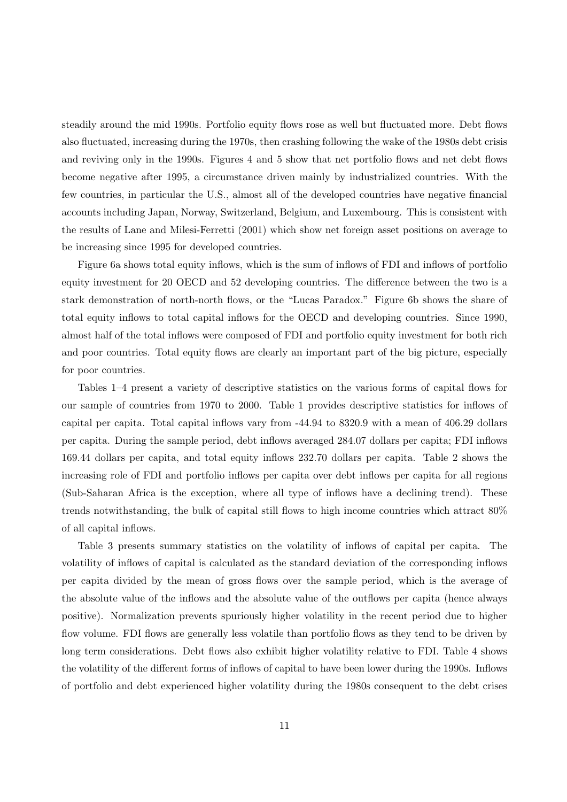steadily around the mid 1990s. Portfolio equity flows rose as well but fluctuated more. Debt flows also fluctuated, increasing during the 1970s, then crashing following the wake of the 1980s debt crisis and reviving only in the 1990s. Figures 4 and 5 show that net portfolio flows and net debt flows become negative after 1995, a circumstance driven mainly by industrialized countries. With the few countries, in particular the U.S., almost all of the developed countries have negative financial accounts including Japan, Norway, Switzerland, Belgium, and Luxembourg. This is consistent with the results of Lane and Milesi-Ferretti (2001) which show net foreign asset positions on average to be increasing since 1995 for developed countries.

Figure 6a shows total equity inflows, which is the sum of inflows of FDI and inflows of portfolio equity investment for 20 OECD and 52 developing countries. The difference between the two is a stark demonstration of north-north flows, or the "Lucas Paradox." Figure 6b shows the share of total equity inflows to total capital inflows for the OECD and developing countries. Since 1990, almost half of the total inflows were composed of FDI and portfolio equity investment for both rich and poor countries. Total equity flows are clearly an important part of the big picture, especially for poor countries.

Tables 1–4 present a variety of descriptive statistics on the various forms of capital flows for our sample of countries from 1970 to 2000. Table 1 provides descriptive statistics for inflows of capital per capita. Total capital inflows vary from -44.94 to 8320.9 with a mean of 406.29 dollars per capita. During the sample period, debt inflows averaged 284.07 dollars per capita; FDI inflows 169.44 dollars per capita, and total equity inflows 232.70 dollars per capita. Table 2 shows the increasing role of FDI and portfolio inflows per capita over debt inflows per capita for all regions (Sub-Saharan Africa is the exception, where all type of inflows have a declining trend). These trends notwithstanding, the bulk of capital still flows to high income countries which attract 80% of all capital inflows.

Table 3 presents summary statistics on the volatility of inflows of capital per capita. The volatility of inflows of capital is calculated as the standard deviation of the corresponding inflows per capita divided by the mean of gross flows over the sample period, which is the average of the absolute value of the inflows and the absolute value of the outflows per capita (hence always positive). Normalization prevents spuriously higher volatility in the recent period due to higher flow volume. FDI flows are generally less volatile than portfolio flows as they tend to be driven by long term considerations. Debt flows also exhibit higher volatility relative to FDI. Table 4 shows the volatility of the different forms of inflows of capital to have been lower during the 1990s. Inflows of portfolio and debt experienced higher volatility during the 1980s consequent to the debt crises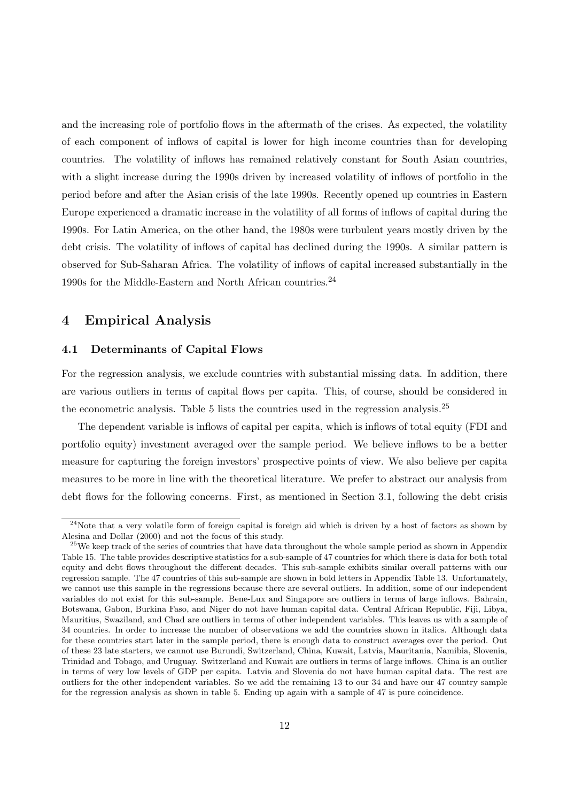and the increasing role of portfolio flows in the aftermath of the crises. As expected, the volatility of each component of inflows of capital is lower for high income countries than for developing countries. The volatility of inflows has remained relatively constant for South Asian countries, with a slight increase during the 1990s driven by increased volatility of inflows of portfolio in the period before and after the Asian crisis of the late 1990s. Recently opened up countries in Eastern Europe experienced a dramatic increase in the volatility of all forms of inflows of capital during the 1990s. For Latin America, on the other hand, the 1980s were turbulent years mostly driven by the debt crisis. The volatility of inflows of capital has declined during the 1990s. A similar pattern is observed for Sub-Saharan Africa. The volatility of inflows of capital increased substantially in the 1990s for the Middle-Eastern and North African countries.<sup>24</sup>

## 4 Empirical Analysis

## 4.1 Determinants of Capital Flows

For the regression analysis, we exclude countries with substantial missing data. In addition, there are various outliers in terms of capital flows per capita. This, of course, should be considered in the econometric analysis. Table 5 lists the countries used in the regression analysis.<sup>25</sup>

The dependent variable is inflows of capital per capita, which is inflows of total equity (FDI and portfolio equity) investment averaged over the sample period. We believe inflows to be a better measure for capturing the foreign investors' prospective points of view. We also believe per capita measures to be more in line with the theoretical literature. We prefer to abstract our analysis from debt flows for the following concerns. First, as mentioned in Section 3.1, following the debt crisis

 $24$ Note that a very volatile form of foreign capital is foreign aid which is driven by a host of factors as shown by Alesina and Dollar (2000) and not the focus of this study.

 $25$ We keep track of the series of countries that have data throughout the whole sample period as shown in Appendix Table 15. The table provides descriptive statistics for a sub-sample of 47 countries for which there is data for both total equity and debt flows throughout the different decades. This sub-sample exhibits similar overall patterns with our regression sample. The 47 countries of this sub-sample are shown in bold letters in Appendix Table 13. Unfortunately, we cannot use this sample in the regressions because there are several outliers. In addition, some of our independent variables do not exist for this sub-sample. Bene-Lux and Singapore are outliers in terms of large inflows. Bahrain, Botswana, Gabon, Burkina Faso, and Niger do not have human capital data. Central African Republic, Fiji, Libya, Mauritius, Swaziland, and Chad are outliers in terms of other independent variables. This leaves us with a sample of 34 countries. In order to increase the number of observations we add the countries shown in italics. Although data for these countries start later in the sample period, there is enough data to construct averages over the period. Out of these 23 late starters, we cannot use Burundi, Switzerland, China, Kuwait, Latvia, Mauritania, Namibia, Slovenia, Trinidad and Tobago, and Uruguay. Switzerland and Kuwait are outliers in terms of large inflows. China is an outlier in terms of very low levels of GDP per capita. Latvia and Slovenia do not have human capital data. The rest are outliers for the other independent variables. So we add the remaining 13 to our 34 and have our 47 country sample for the regression analysis as shown in table 5. Ending up again with a sample of 47 is pure coincidence.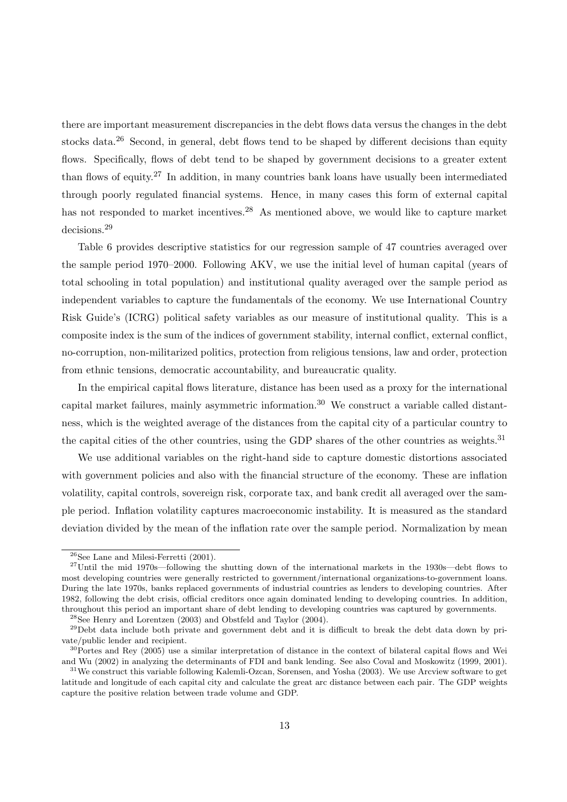there are important measurement discrepancies in the debt flows data versus the changes in the debt stocks data.<sup>26</sup> Second, in general, debt flows tend to be shaped by different decisions than equity flows. Specifically, flows of debt tend to be shaped by government decisions to a greater extent than flows of equity.<sup>27</sup> In addition, in many countries bank loans have usually been intermediated through poorly regulated financial systems. Hence, in many cases this form of external capital has not responded to market incentives.<sup>28</sup> As mentioned above, we would like to capture market decisions.<sup>29</sup>

Table 6 provides descriptive statistics for our regression sample of 47 countries averaged over the sample period 1970–2000. Following AKV, we use the initial level of human capital (years of total schooling in total population) and institutional quality averaged over the sample period as independent variables to capture the fundamentals of the economy. We use International Country Risk Guide's (ICRG) political safety variables as our measure of institutional quality. This is a composite index is the sum of the indices of government stability, internal conflict, external conflict, no-corruption, non-militarized politics, protection from religious tensions, law and order, protection from ethnic tensions, democratic accountability, and bureaucratic quality.

In the empirical capital flows literature, distance has been used as a proxy for the international capital market failures, mainly asymmetric information.<sup>30</sup> We construct a variable called distantness, which is the weighted average of the distances from the capital city of a particular country to the capital cities of the other countries, using the GDP shares of the other countries as weights.<sup>31</sup>

We use additional variables on the right-hand side to capture domestic distortions associated with government policies and also with the financial structure of the economy. These are inflation volatility, capital controls, sovereign risk, corporate tax, and bank credit all averaged over the sample period. Inflation volatility captures macroeconomic instability. It is measured as the standard deviation divided by the mean of the inflation rate over the sample period. Normalization by mean

 $26$ See Lane and Milesi-Ferretti (2001).

 $^{27}$ Until the mid 1970s—following the shutting down of the international markets in the 1930s—debt flows to most developing countries were generally restricted to government/international organizations-to-government loans. During the late 1970s, banks replaced governments of industrial countries as lenders to developing countries. After 1982, following the debt crisis, official creditors once again dominated lending to developing countries. In addition, throughout this period an important share of debt lending to developing countries was captured by governments.

<sup>28</sup>See Henry and Lorentzen (2003) and Obstfeld and Taylor (2004).

<sup>29</sup>Debt data include both private and government debt and it is difficult to break the debt data down by private/public lender and recipient.

 $30$ Portes and Rey (2005) use a similar interpretation of distance in the context of bilateral capital flows and Wei and Wu (2002) in analyzing the determinants of FDI and bank lending. See also Coval and Moskowitz (1999, 2001).

 $31$ We construct this variable following Kalemli-Ozcan, Sorensen, and Yosha (2003). We use Arcview software to get latitude and longitude of each capital city and calculate the great arc distance between each pair. The GDP weights capture the positive relation between trade volume and GDP.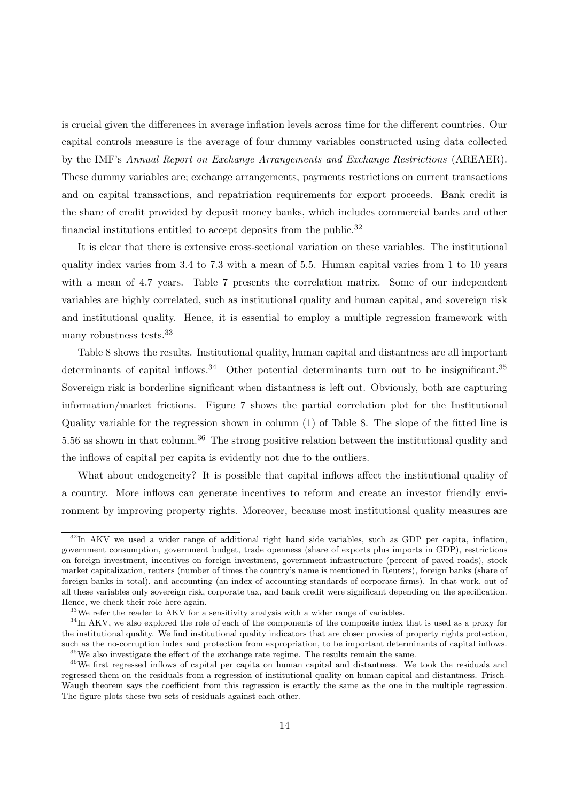is crucial given the differences in average inflation levels across time for the different countries. Our capital controls measure is the average of four dummy variables constructed using data collected by the IMF's Annual Report on Exchange Arrangements and Exchange Restrictions (AREAER). These dummy variables are; exchange arrangements, payments restrictions on current transactions and on capital transactions, and repatriation requirements for export proceeds. Bank credit is the share of credit provided by deposit money banks, which includes commercial banks and other financial institutions entitled to accept deposits from the public. $32$ 

It is clear that there is extensive cross-sectional variation on these variables. The institutional quality index varies from 3.4 to 7.3 with a mean of 5.5. Human capital varies from 1 to 10 years with a mean of 4.7 years. Table 7 presents the correlation matrix. Some of our independent variables are highly correlated, such as institutional quality and human capital, and sovereign risk and institutional quality. Hence, it is essential to employ a multiple regression framework with many robustness tests.<sup>33</sup>

Table 8 shows the results. Institutional quality, human capital and distantness are all important determinants of capital inflows.<sup>34</sup> Other potential determinants turn out to be insignificant.<sup>35</sup> Sovereign risk is borderline significant when distantness is left out. Obviously, both are capturing information/market frictions. Figure 7 shows the partial correlation plot for the Institutional Quality variable for the regression shown in column (1) of Table 8. The slope of the fitted line is 5.56 as shown in that column.<sup>36</sup> The strong positive relation between the institutional quality and the inflows of capital per capita is evidently not due to the outliers.

What about endogeneity? It is possible that capital inflows affect the institutional quality of a country. More inflows can generate incentives to reform and create an investor friendly environment by improving property rights. Moreover, because most institutional quality measures are

<sup>&</sup>lt;sup>32</sup>In AKV we used a wider range of additional right hand side variables, such as GDP per capita, inflation, government consumption, government budget, trade openness (share of exports plus imports in GDP), restrictions on foreign investment, incentives on foreign investment, government infrastructure (percent of paved roads), stock market capitalization, reuters (number of times the country's name is mentioned in Reuters), foreign banks (share of foreign banks in total), and accounting (an index of accounting standards of corporate firms). In that work, out of all these variables only sovereign risk, corporate tax, and bank credit were significant depending on the specification. Hence, we check their role here again.

<sup>&</sup>lt;sup>33</sup>We refer the reader to AKV for a sensitivity analysis with a wider range of variables.

 $34$ In AKV, we also explored the role of each of the components of the composite index that is used as a proxy for the institutional quality. We find institutional quality indicators that are closer proxies of property rights protection, such as the no-corruption index and protection from expropriation, to be important determinants of capital inflows. <sup>35</sup>We also investigate the effect of the exchange rate regime. The results remain the same.

<sup>36</sup>We first regressed inflows of capital per capita on human capital and distantness. We took the residuals and regressed them on the residuals from a regression of institutional quality on human capital and distantness. Frisch-Waugh theorem says the coefficient from this regression is exactly the same as the one in the multiple regression. The figure plots these two sets of residuals against each other.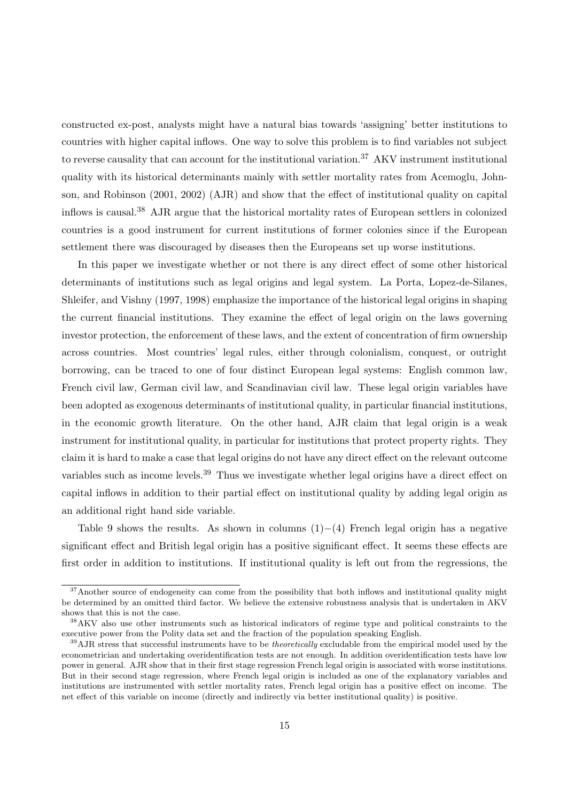constructed ex-post, analysts might have a natural bias towards 'assigning' better institutions to countries with higher capital inflows. One way to solve this problem is to find variables not subject to reverse causality that can account for the institutional variation.<sup>37</sup> AKV instrument institutional quality with its historical determinants mainly with settler mortality rates from Acemoglu, Johnson, and Robinson (2001, 2002) (AJR) and show that the effect of institutional quality on capital inflows is causal.<sup>38</sup> AJR argue that the historical mortality rates of European settlers in colonized countries is a good instrument for current institutions of former colonies since if the European settlement there was discouraged by diseases then the Europeans set up worse institutions.

In this paper we investigate whether or not there is any direct effect of some other historical determinants of institutions such as legal origins and legal system. La Porta, Lopez-de-Silanes, Shleifer, and Vishny (1997, 1998) emphasize the importance of the historical legal origins in shaping the current financial institutions. They examine the effect of legal origin on the laws governing investor protection, the enforcement of these laws, and the extent of concentration of firm ownership across countries. Most countries' legal rules, either through colonialism, conquest, or outright borrowing, can be traced to one of four distinct European legal systems: English common law, French civil law, German civil law, and Scandinavian civil law. These legal origin variables have been adopted as exogenous determinants of institutional quality, in particular financial institutions, in the economic growth literature. On the other hand, AJR claim that legal origin is a weak instrument for institutional quality, in particular for institutions that protect property rights. They claim it is hard to make a case that legal origins do not have any direct effect on the relevant outcome variables such as income levels.<sup>39</sup> Thus we investigate whether legal origins have a direct effect on capital inflows in addition to their partial effect on institutional quality by adding legal origin as an additional right hand side variable.

Table 9 shows the results. As shown in columns  $(1)–(4)$  French legal origin has a negative significant effect and British legal origin has a positive significant effect. It seems these effects are first order in addition to institutions. If institutional quality is left out from the regressions, the

<sup>&</sup>lt;sup>37</sup>Another source of endogeneity can come from the possibility that both inflows and institutional quality might be determined by an omitted third factor. We believe the extensive robustness analysis that is undertaken in AKV shows that this is not the case.

<sup>38</sup>AKV also use other instruments such as historical indicators of regime type and political constraints to the executive power from the Polity data set and the fraction of the population speaking English.

 $39A$ JR stress that successful instruments have to be *theoretically* excludable from the empirical model used by the econometrician and undertaking overidentification tests are not enough. In addition overidentification tests have low power in general. AJR show that in their first stage regression French legal origin is associated with worse institutions. But in their second stage regression, where French legal origin is included as one of the explanatory variables and institutions are instrumented with settler mortality rates, French legal origin has a positive effect on income. The net effect of this variable on income (directly and indirectly via better institutional quality) is positive.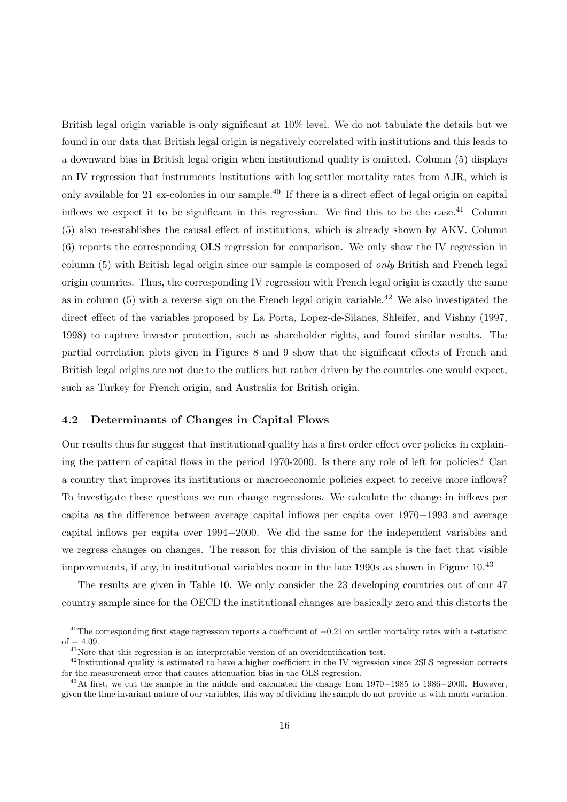British legal origin variable is only significant at 10% level. We do not tabulate the details but we found in our data that British legal origin is negatively correlated with institutions and this leads to a downward bias in British legal origin when institutional quality is omitted. Column (5) displays an IV regression that instruments institutions with log settler mortality rates from AJR, which is only available for 21 ex-colonies in our sample.<sup>40</sup> If there is a direct effect of legal origin on capital inflows we expect it to be significant in this regression. We find this to be the case.<sup>41</sup> Column (5) also re-establishes the causal effect of institutions, which is already shown by AKV. Column (6) reports the corresponding OLS regression for comparison. We only show the IV regression in column (5) with British legal origin since our sample is composed of only British and French legal origin countries. Thus, the corresponding IV regression with French legal origin is exactly the same as in column  $(5)$  with a reverse sign on the French legal origin variable.<sup>42</sup> We also investigated the direct effect of the variables proposed by La Porta, Lopez-de-Silanes, Shleifer, and Vishny (1997, 1998) to capture investor protection, such as shareholder rights, and found similar results. The partial correlation plots given in Figures 8 and 9 show that the significant effects of French and British legal origins are not due to the outliers but rather driven by the countries one would expect, such as Turkey for French origin, and Australia for British origin.

## 4.2 Determinants of Changes in Capital Flows

Our results thus far suggest that institutional quality has a first order effect over policies in explaining the pattern of capital flows in the period 1970-2000. Is there any role of left for policies? Can a country that improves its institutions or macroeconomic policies expect to receive more inflows? To investigate these questions we run change regressions. We calculate the change in inflows per capita as the difference between average capital inflows per capita over 1970−1993 and average capital inflows per capita over 1994−2000. We did the same for the independent variables and we regress changes on changes. The reason for this division of the sample is the fact that visible improvements, if any, in institutional variables occur in the late 1990s as shown in Figure 10.<sup>43</sup>

The results are given in Table 10. We only consider the 23 developing countries out of our 47 country sample since for the OECD the institutional changes are basically zero and this distorts the

 $40$ The corresponding first stage regression reports a coefficient of  $-0.21$  on settler mortality rates with a t-statistic of  $-4.09$ .

<sup>&</sup>lt;sup>41</sup>Note that this regression is an interpretable version of an overidentification test.

<sup>&</sup>lt;sup>42</sup>Institutional quality is estimated to have a higher coefficient in the IV regression since 2SLS regression corrects for the measurement error that causes attenuation bias in the OLS regression.

<sup>43</sup>At first, we cut the sample in the middle and calculated the change from 1970−1985 to 1986−2000. However, given the time invariant nature of our variables, this way of dividing the sample do not provide us with much variation.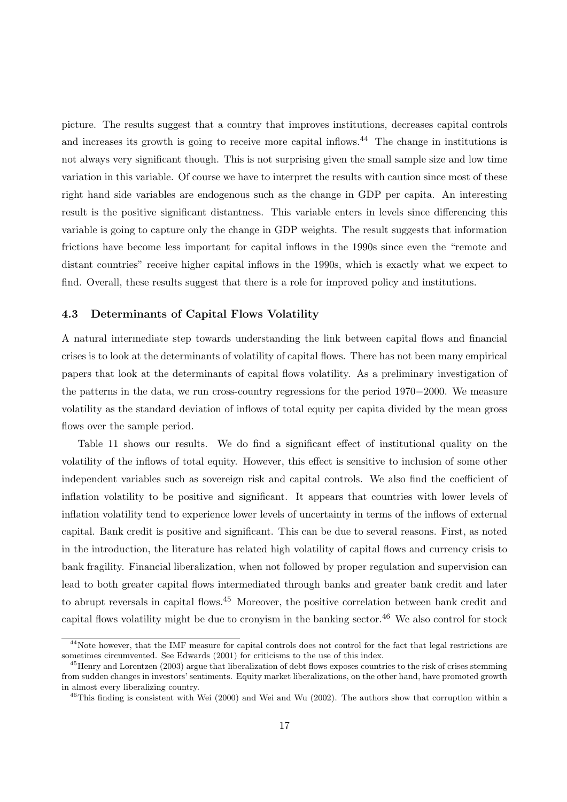picture. The results suggest that a country that improves institutions, decreases capital controls and increases its growth is going to receive more capital inflows.<sup>44</sup> The change in institutions is not always very significant though. This is not surprising given the small sample size and low time variation in this variable. Of course we have to interpret the results with caution since most of these right hand side variables are endogenous such as the change in GDP per capita. An interesting result is the positive significant distantness. This variable enters in levels since differencing this variable is going to capture only the change in GDP weights. The result suggests that information frictions have become less important for capital inflows in the 1990s since even the "remote and distant countries" receive higher capital inflows in the 1990s, which is exactly what we expect to find. Overall, these results suggest that there is a role for improved policy and institutions.

## 4.3 Determinants of Capital Flows Volatility

A natural intermediate step towards understanding the link between capital flows and financial crises is to look at the determinants of volatility of capital flows. There has not been many empirical papers that look at the determinants of capital flows volatility. As a preliminary investigation of the patterns in the data, we run cross-country regressions for the period 1970−2000. We measure volatility as the standard deviation of inflows of total equity per capita divided by the mean gross flows over the sample period.

Table 11 shows our results. We do find a significant effect of institutional quality on the volatility of the inflows of total equity. However, this effect is sensitive to inclusion of some other independent variables such as sovereign risk and capital controls. We also find the coefficient of inflation volatility to be positive and significant. It appears that countries with lower levels of inflation volatility tend to experience lower levels of uncertainty in terms of the inflows of external capital. Bank credit is positive and significant. This can be due to several reasons. First, as noted in the introduction, the literature has related high volatility of capital flows and currency crisis to bank fragility. Financial liberalization, when not followed by proper regulation and supervision can lead to both greater capital flows intermediated through banks and greater bank credit and later to abrupt reversals in capital flows.<sup>45</sup> Moreover, the positive correlation between bank credit and capital flows volatility might be due to cronyism in the banking sector.<sup>46</sup> We also control for stock

<sup>&</sup>lt;sup>44</sup>Note however, that the IMF measure for capital controls does not control for the fact that legal restrictions are sometimes circumvented. See Edwards (2001) for criticisms to the use of this index.

<sup>&</sup>lt;sup>45</sup>Henry and Lorentzen (2003) argue that liberalization of debt flows exposes countries to the risk of crises stemming from sudden changes in investors' sentiments. Equity market liberalizations, on the other hand, have promoted growth in almost every liberalizing country.

 $^{46}$ This finding is consistent with Wei (2000) and Wei and Wu (2002). The authors show that corruption within a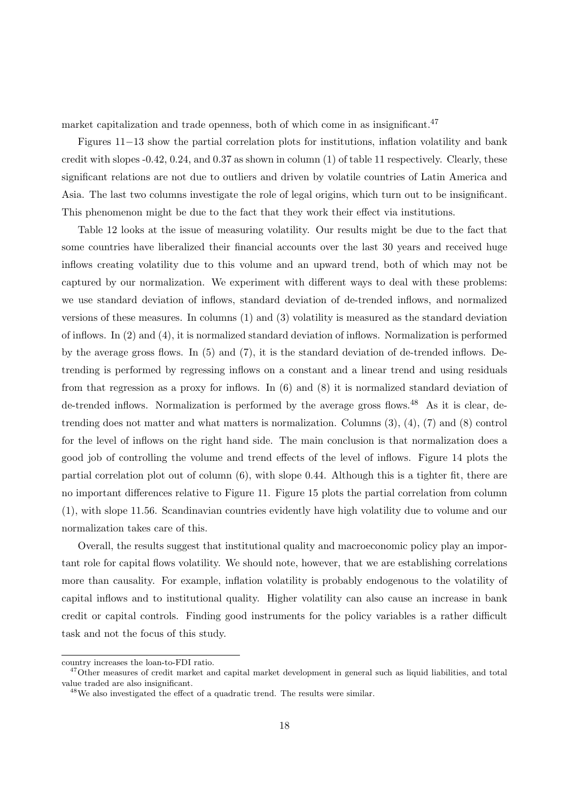market capitalization and trade openness, both of which come in as insignificant.<sup>47</sup>

Figures 11−13 show the partial correlation plots for institutions, inflation volatility and bank credit with slopes -0.42, 0.24, and 0.37 as shown in column (1) of table 11 respectively. Clearly, these significant relations are not due to outliers and driven by volatile countries of Latin America and Asia. The last two columns investigate the role of legal origins, which turn out to be insignificant. This phenomenon might be due to the fact that they work their effect via institutions.

Table 12 looks at the issue of measuring volatility. Our results might be due to the fact that some countries have liberalized their financial accounts over the last 30 years and received huge inflows creating volatility due to this volume and an upward trend, both of which may not be captured by our normalization. We experiment with different ways to deal with these problems: we use standard deviation of inflows, standard deviation of de-trended inflows, and normalized versions of these measures. In columns (1) and (3) volatility is measured as the standard deviation of inflows. In (2) and (4), it is normalized standard deviation of inflows. Normalization is performed by the average gross flows. In (5) and (7), it is the standard deviation of de-trended inflows. Detrending is performed by regressing inflows on a constant and a linear trend and using residuals from that regression as a proxy for inflows. In (6) and (8) it is normalized standard deviation of de-trended inflows. Normalization is performed by the average gross flows.<sup>48</sup> As it is clear, detrending does not matter and what matters is normalization. Columns (3), (4), (7) and (8) control for the level of inflows on the right hand side. The main conclusion is that normalization does a good job of controlling the volume and trend effects of the level of inflows. Figure 14 plots the partial correlation plot out of column (6), with slope 0.44. Although this is a tighter fit, there are no important differences relative to Figure 11. Figure 15 plots the partial correlation from column (1), with slope 11.56. Scandinavian countries evidently have high volatility due to volume and our normalization takes care of this.

Overall, the results suggest that institutional quality and macroeconomic policy play an important role for capital flows volatility. We should note, however, that we are establishing correlations more than causality. For example, inflation volatility is probably endogenous to the volatility of capital inflows and to institutional quality. Higher volatility can also cause an increase in bank credit or capital controls. Finding good instruments for the policy variables is a rather difficult task and not the focus of this study.

country increases the loan-to-FDI ratio.

 $47$ Other measures of credit market and capital market development in general such as liquid liabilities, and total value traded are also insignificant.

<sup>48</sup>We also investigated the effect of a quadratic trend. The results were similar.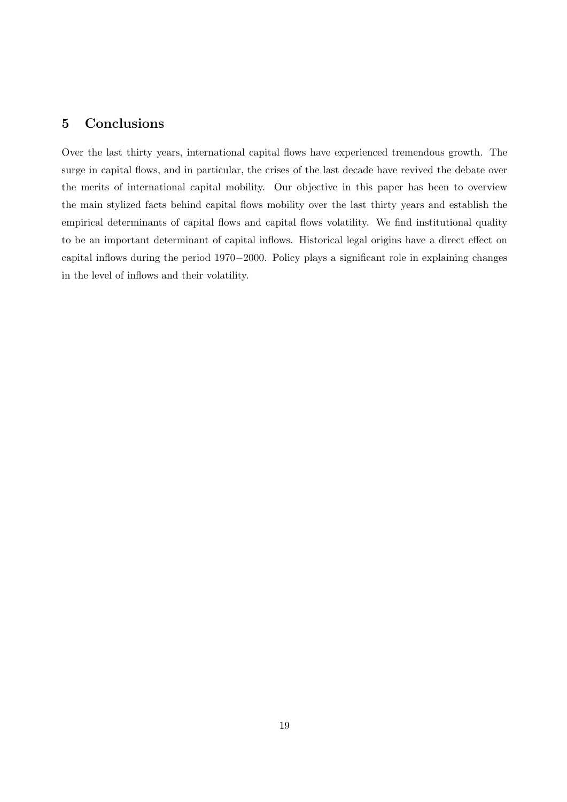## 5 Conclusions

Over the last thirty years, international capital flows have experienced tremendous growth. The surge in capital flows, and in particular, the crises of the last decade have revived the debate over the merits of international capital mobility. Our objective in this paper has been to overview the main stylized facts behind capital flows mobility over the last thirty years and establish the empirical determinants of capital flows and capital flows volatility. We find institutional quality to be an important determinant of capital inflows. Historical legal origins have a direct effect on capital inflows during the period 1970−2000. Policy plays a significant role in explaining changes in the level of inflows and their volatility.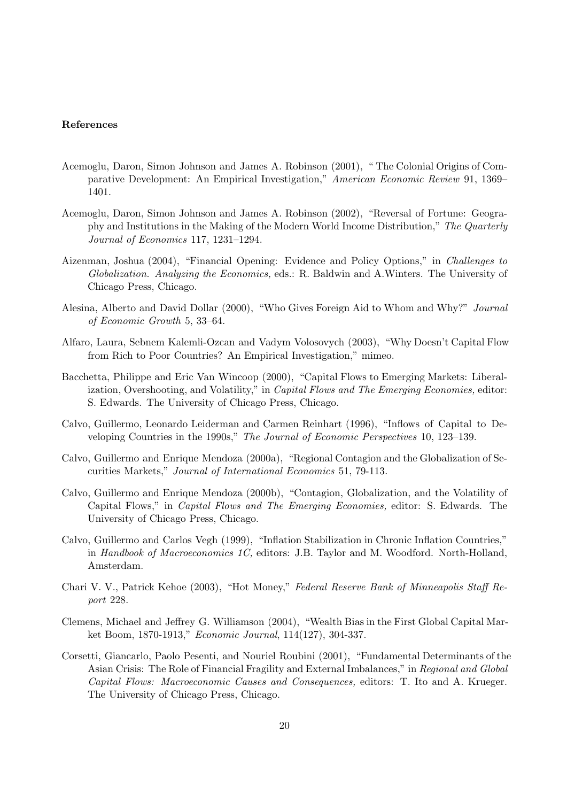#### References

- Acemoglu, Daron, Simon Johnson and James A. Robinson (2001), " The Colonial Origins of Comparative Development: An Empirical Investigation," American Economic Review 91, 1369– 1401.
- Acemoglu, Daron, Simon Johnson and James A. Robinson (2002), "Reversal of Fortune: Geography and Institutions in the Making of the Modern World Income Distribution," The Quarterly Journal of Economics 117, 1231–1294.
- Aizenman, Joshua (2004), "Financial Opening: Evidence and Policy Options," in Challenges to Globalization. Analyzing the Economics, eds.: R. Baldwin and A.Winters. The University of Chicago Press, Chicago.
- Alesina, Alberto and David Dollar (2000), "Who Gives Foreign Aid to Whom and Why?" Journal of Economic Growth 5, 33–64.
- Alfaro, Laura, Sebnem Kalemli-Ozcan and Vadym Volosovych (2003), "Why Doesn't Capital Flow from Rich to Poor Countries? An Empirical Investigation," mimeo.
- Bacchetta, Philippe and Eric Van Wincoop (2000), "Capital Flows to Emerging Markets: Liberalization, Overshooting, and Volatility," in Capital Flows and The Emerging Economies, editor: S. Edwards. The University of Chicago Press, Chicago.
- Calvo, Guillermo, Leonardo Leiderman and Carmen Reinhart (1996), "Inflows of Capital to Developing Countries in the 1990s," The Journal of Economic Perspectives 10, 123–139.
- Calvo, Guillermo and Enrique Mendoza (2000a), "Regional Contagion and the Globalization of Securities Markets," Journal of International Economics 51, 79-113.
- Calvo, Guillermo and Enrique Mendoza (2000b), "Contagion, Globalization, and the Volatility of Capital Flows," in Capital Flows and The Emerging Economies, editor: S. Edwards. The University of Chicago Press, Chicago.
- Calvo, Guillermo and Carlos Vegh (1999), "Inflation Stabilization in Chronic Inflation Countries," in Handbook of Macroeconomics 1C, editors: J.B. Taylor and M. Woodford. North-Holland, Amsterdam.
- Chari V. V., Patrick Kehoe (2003), "Hot Money," Federal Reserve Bank of Minneapolis Staff Report 228.
- Clemens, Michael and Jeffrey G. Williamson (2004), "Wealth Bias in the First Global Capital Market Boom, 1870-1913," Economic Journal, 114(127), 304-337.
- Corsetti, Giancarlo, Paolo Pesenti, and Nouriel Roubini (2001), "Fundamental Determinants of the Asian Crisis: The Role of Financial Fragility and External Imbalances," in Regional and Global Capital Flows: Macroeconomic Causes and Consequences, editors: T. Ito and A. Krueger. The University of Chicago Press, Chicago.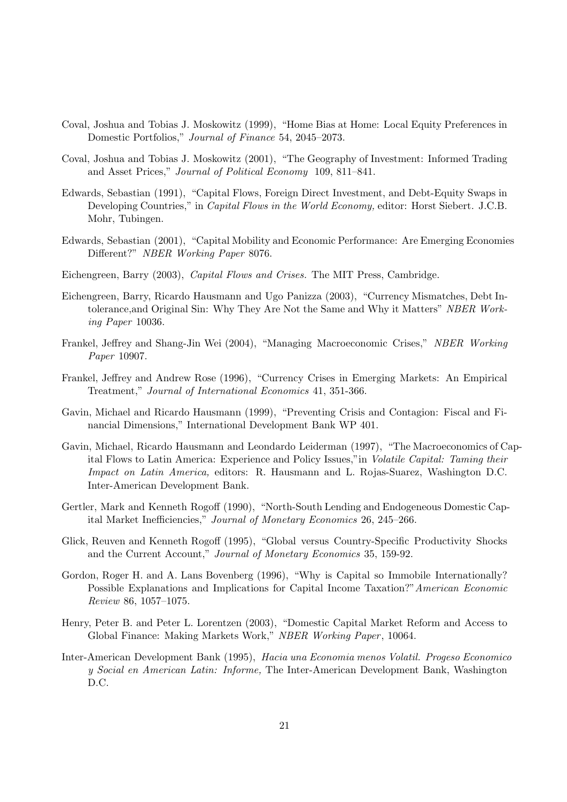- Coval, Joshua and Tobias J. Moskowitz (1999), "Home Bias at Home: Local Equity Preferences in Domestic Portfolios," Journal of Finance 54, 2045–2073.
- Coval, Joshua and Tobias J. Moskowitz (2001), "The Geography of Investment: Informed Trading and Asset Prices," Journal of Political Economy 109, 811–841.
- Edwards, Sebastian (1991), "Capital Flows, Foreign Direct Investment, and Debt-Equity Swaps in Developing Countries," in *Capital Flows in the World Economy*, editor: Horst Siebert. J.C.B. Mohr, Tubingen.
- Edwards, Sebastian (2001), "Capital Mobility and Economic Performance: Are Emerging Economies Different?" NBER Working Paper 8076.
- Eichengreen, Barry (2003), Capital Flows and Crises. The MIT Press, Cambridge.
- Eichengreen, Barry, Ricardo Hausmann and Ugo Panizza (2003), "Currency Mismatches, Debt Intolerance,and Original Sin: Why They Are Not the Same and Why it Matters" NBER Working Paper 10036.
- Frankel, Jeffrey and Shang-Jin Wei (2004), "Managing Macroeconomic Crises," NBER Working Paper 10907.
- Frankel, Jeffrey and Andrew Rose (1996), "Currency Crises in Emerging Markets: An Empirical Treatment," Journal of International Economics 41, 351-366.
- Gavin, Michael and Ricardo Hausmann (1999), "Preventing Crisis and Contagion: Fiscal and Financial Dimensions," International Development Bank WP 401.
- Gavin, Michael, Ricardo Hausmann and Leondardo Leiderman (1997), "The Macroeconomics of Capital Flows to Latin America: Experience and Policy Issues,"in Volatile Capital: Taming their Impact on Latin America, editors: R. Hausmann and L. Rojas-Suarez, Washington D.C. Inter-American Development Bank.
- Gertler, Mark and Kenneth Rogoff (1990), "North-South Lending and Endogeneous Domestic Capital Market Inefficiencies," Journal of Monetary Economics 26, 245–266.
- Glick, Reuven and Kenneth Rogoff (1995), "Global versus Country-Specific Productivity Shocks and the Current Account," Journal of Monetary Economics 35, 159-92.
- Gordon, Roger H. and A. Lans Bovenberg (1996), "Why is Capital so Immobile Internationally? Possible Explanations and Implications for Capital Income Taxation?"American Economic Review 86, 1057–1075.
- Henry, Peter B. and Peter L. Lorentzen (2003), "Domestic Capital Market Reform and Access to Global Finance: Making Markets Work," NBER Working Paper, 10064.
- Inter-American Development Bank (1995), Hacia una Economia menos Volatil. Progeso Economico y Social en American Latin: Informe, The Inter-American Development Bank, Washington D.C.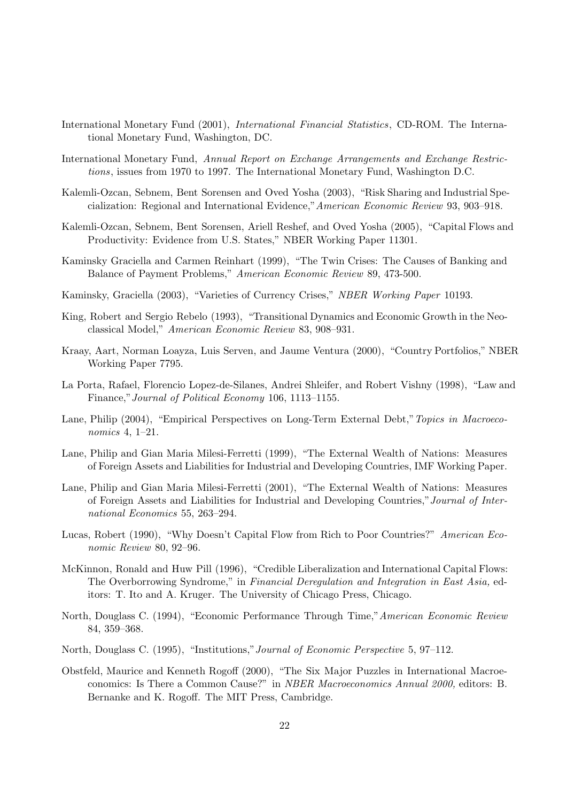- International Monetary Fund (2001), International Financial Statistics, CD-ROM. The International Monetary Fund, Washington, DC.
- International Monetary Fund, Annual Report on Exchange Arrangements and Exchange Restrictions, issues from 1970 to 1997. The International Monetary Fund, Washington D.C.
- Kalemli-Ozcan, Sebnem, Bent Sorensen and Oved Yosha (2003), "Risk Sharing and Industrial Specialization: Regional and International Evidence,"American Economic Review 93, 903–918.
- Kalemli-Ozcan, Sebnem, Bent Sorensen, Ariell Reshef, and Oved Yosha (2005), "Capital Flows and Productivity: Evidence from U.S. States," NBER Working Paper 11301.
- Kaminsky Graciella and Carmen Reinhart (1999), "The Twin Crises: The Causes of Banking and Balance of Payment Problems," American Economic Review 89, 473-500.
- Kaminsky, Graciella (2003), "Varieties of Currency Crises," NBER Working Paper 10193.
- King, Robert and Sergio Rebelo (1993), "Transitional Dynamics and Economic Growth in the Neoclassical Model," American Economic Review 83, 908–931.
- Kraay, Aart, Norman Loayza, Luis Serven, and Jaume Ventura (2000), "Country Portfolios," NBER Working Paper 7795.
- La Porta, Rafael, Florencio Lopez-de-Silanes, Andrei Shleifer, and Robert Vishny (1998), "Law and Finance,"Journal of Political Economy 106, 1113–1155.
- Lane, Philip (2004), "Empirical Perspectives on Long-Term External Debt," Topics in Macroeconomics 4, 1–21.
- Lane, Philip and Gian Maria Milesi-Ferretti (1999), "The External Wealth of Nations: Measures of Foreign Assets and Liabilities for Industrial and Developing Countries, IMF Working Paper.
- Lane, Philip and Gian Maria Milesi-Ferretti (2001), "The External Wealth of Nations: Measures of Foreign Assets and Liabilities for Industrial and Developing Countries,"Journal of International Economics 55, 263–294.
- Lucas, Robert (1990), "Why Doesn't Capital Flow from Rich to Poor Countries?" American Economic Review 80, 92–96.
- McKinnon, Ronald and Huw Pill (1996), "Credible Liberalization and International Capital Flows: The Overborrowing Syndrome," in Financial Deregulation and Integration in East Asia, editors: T. Ito and A. Kruger. The University of Chicago Press, Chicago.
- North, Douglass C. (1994), "Economic Performance Through Time,"American Economic Review 84, 359–368.
- North, Douglass C. (1995), "Institutions,"Journal of Economic Perspective 5, 97–112.
- Obstfeld, Maurice and Kenneth Rogoff (2000), "The Six Major Puzzles in International Macroeconomics: Is There a Common Cause?" in NBER Macroeconomics Annual 2000, editors: B. Bernanke and K. Rogoff. The MIT Press, Cambridge.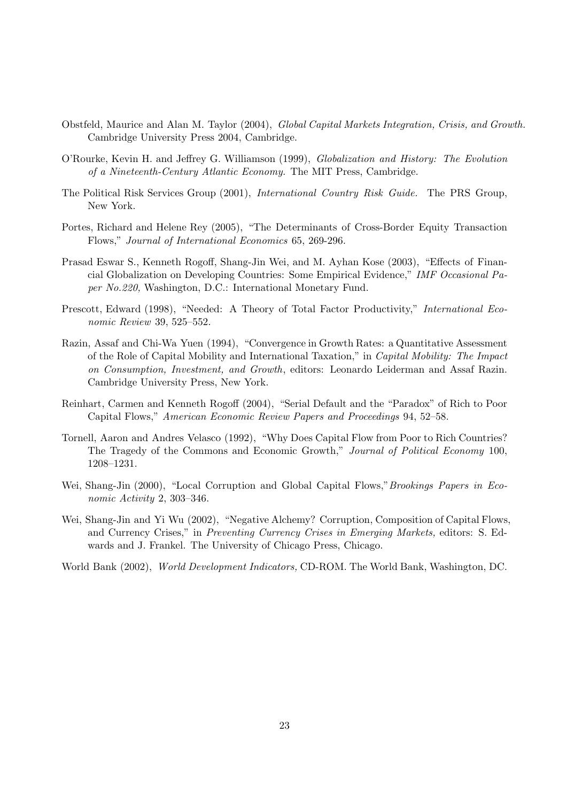- Obstfeld, Maurice and Alan M. Taylor (2004), Global Capital Markets Integration, Crisis, and Growth. Cambridge University Press 2004, Cambridge.
- O'Rourke, Kevin H. and Jeffrey G. Williamson (1999), Globalization and History: The Evolution of a Nineteenth-Century Atlantic Economy. The MIT Press, Cambridge.
- The Political Risk Services Group (2001), International Country Risk Guide. The PRS Group, New York.
- Portes, Richard and Helene Rey (2005), "The Determinants of Cross-Border Equity Transaction Flows," Journal of International Economics 65, 269-296.
- Prasad Eswar S., Kenneth Rogoff, Shang-Jin Wei, and M. Ayhan Kose (2003), "Effects of Financial Globalization on Developing Countries: Some Empirical Evidence," IMF Occasional Paper No.220, Washington, D.C.: International Monetary Fund.
- Prescott, Edward (1998), "Needed: A Theory of Total Factor Productivity," International Economic Review 39, 525–552.
- Razin, Assaf and Chi-Wa Yuen (1994), "Convergence in Growth Rates: a Quantitative Assessment of the Role of Capital Mobility and International Taxation," in Capital Mobility: The Impact on Consumption, Investment, and Growth, editors: Leonardo Leiderman and Assaf Razin. Cambridge University Press, New York.
- Reinhart, Carmen and Kenneth Rogoff (2004), "Serial Default and the "Paradox" of Rich to Poor Capital Flows," American Economic Review Papers and Proceedings 94, 52–58.
- Tornell, Aaron and Andres Velasco (1992), "Why Does Capital Flow from Poor to Rich Countries? The Tragedy of the Commons and Economic Growth," Journal of Political Economy 100, 1208–1231.
- Wei, Shang-Jin (2000), "Local Corruption and Global Capital Flows," Brookings Papers in Economic Activity 2, 303–346.
- Wei, Shang-Jin and Yi Wu (2002), "Negative Alchemy? Corruption, Composition of Capital Flows, and Currency Crises," in Preventing Currency Crises in Emerging Markets, editors: S. Edwards and J. Frankel. The University of Chicago Press, Chicago.

World Bank (2002), World Development Indicators, CD-ROM. The World Bank, Washington, DC.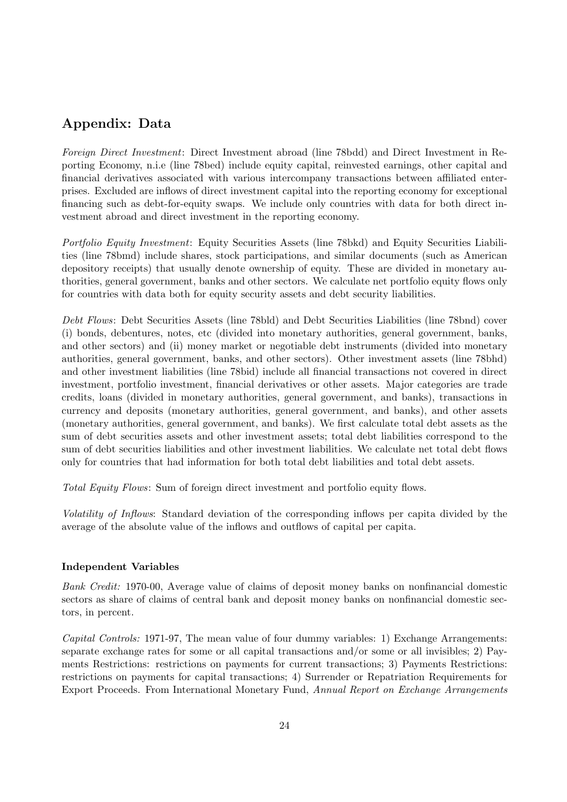# Appendix: Data

Foreign Direct Investment: Direct Investment abroad (line 78bdd) and Direct Investment in Reporting Economy, n.i.e (line 78bed) include equity capital, reinvested earnings, other capital and financial derivatives associated with various intercompany transactions between affiliated enterprises. Excluded are inflows of direct investment capital into the reporting economy for exceptional financing such as debt-for-equity swaps. We include only countries with data for both direct investment abroad and direct investment in the reporting economy.

Portfolio Equity Investment: Equity Securities Assets (line 78bkd) and Equity Securities Liabilities (line 78bmd) include shares, stock participations, and similar documents (such as American depository receipts) that usually denote ownership of equity. These are divided in monetary authorities, general government, banks and other sectors. We calculate net portfolio equity flows only for countries with data both for equity security assets and debt security liabilities.

Debt Flows: Debt Securities Assets (line 78bld) and Debt Securities Liabilities (line 78bnd) cover (i) bonds, debentures, notes, etc (divided into monetary authorities, general government, banks, and other sectors) and (ii) money market or negotiable debt instruments (divided into monetary authorities, general government, banks, and other sectors). Other investment assets (line 78bhd) and other investment liabilities (line 78bid) include all financial transactions not covered in direct investment, portfolio investment, financial derivatives or other assets. Major categories are trade credits, loans (divided in monetary authorities, general government, and banks), transactions in currency and deposits (monetary authorities, general government, and banks), and other assets (monetary authorities, general government, and banks). We first calculate total debt assets as the sum of debt securities assets and other investment assets; total debt liabilities correspond to the sum of debt securities liabilities and other investment liabilities. We calculate net total debt flows only for countries that had information for both total debt liabilities and total debt assets.

Total Equity Flows: Sum of foreign direct investment and portfolio equity flows.

Volatility of Inflows: Standard deviation of the corresponding inflows per capita divided by the average of the absolute value of the inflows and outflows of capital per capita.

## Independent Variables

Bank Credit: 1970-00, Average value of claims of deposit money banks on nonfinancial domestic sectors as share of claims of central bank and deposit money banks on nonfinancial domestic sectors, in percent.

Capital Controls: 1971-97, The mean value of four dummy variables: 1) Exchange Arrangements: separate exchange rates for some or all capital transactions and/or some or all invisibles; 2) Payments Restrictions: restrictions on payments for current transactions; 3) Payments Restrictions: restrictions on payments for capital transactions; 4) Surrender or Repatriation Requirements for Export Proceeds. From International Monetary Fund, Annual Report on Exchange Arrangements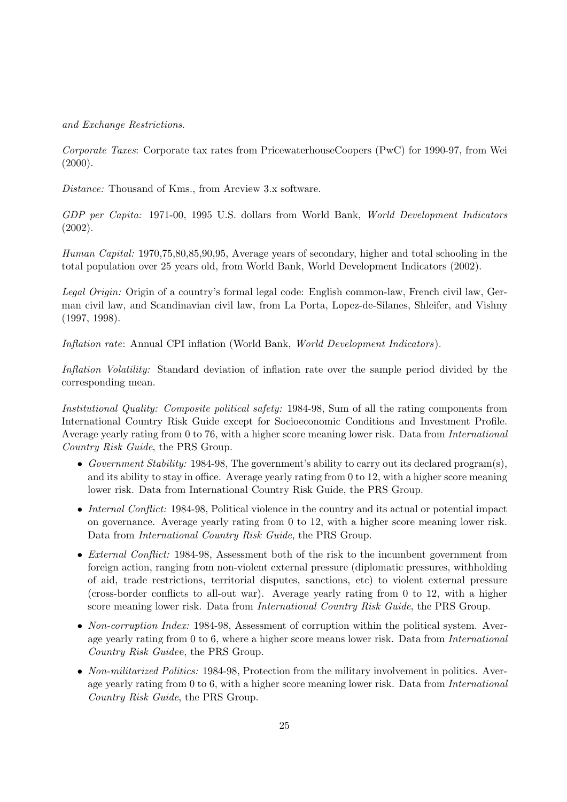and Exchange Restrictions.

Corporate Taxes: Corporate tax rates from PricewaterhouseCoopers (PwC) for 1990-97, from Wei  $(2000).$ 

Distance: Thousand of Kms., from Arcview 3.x software.

GDP per Capita: 1971-00, 1995 U.S. dollars from World Bank, World Development Indicators (2002).

Human Capital: 1970,75,80,85,90,95, Average years of secondary, higher and total schooling in the total population over 25 years old, from World Bank, World Development Indicators (2002).

Legal Origin: Origin of a country's formal legal code: English common-law, French civil law, German civil law, and Scandinavian civil law, from La Porta, Lopez-de-Silanes, Shleifer, and Vishny (1997, 1998).

Inflation rate: Annual CPI inflation (World Bank, World Development Indicators).

Inflation Volatility: Standard deviation of inflation rate over the sample period divided by the corresponding mean.

Institutional Quality: Composite political safety: 1984-98, Sum of all the rating components from International Country Risk Guide except for Socioeconomic Conditions and Investment Profile. Average yearly rating from 0 to 76, with a higher score meaning lower risk. Data from *International* Country Risk Guide, the PRS Group.

- Government Stability: 1984-98, The government's ability to carry out its declared program(s), and its ability to stay in office. Average yearly rating from 0 to 12, with a higher score meaning lower risk. Data from International Country Risk Guide, the PRS Group.
- Internal Conflict: 1984-98, Political violence in the country and its actual or potential impact on governance. Average yearly rating from 0 to 12, with a higher score meaning lower risk. Data from International Country Risk Guide, the PRS Group.
- External Conflict: 1984-98, Assessment both of the risk to the incumbent government from foreign action, ranging from non-violent external pressure (diplomatic pressures, withholding of aid, trade restrictions, territorial disputes, sanctions, etc) to violent external pressure (cross-border conflicts to all-out war). Average yearly rating from 0 to 12, with a higher score meaning lower risk. Data from *International Country Risk Guide*, the PRS Group.
- Non-corruption Index: 1984-98, Assessment of corruption within the political system. Average yearly rating from 0 to 6, where a higher score means lower risk. Data from *International* Country Risk Guidee, the PRS Group.
- Non-militarized Politics: 1984-98, Protection from the military involvement in politics. Average yearly rating from 0 to 6, with a higher score meaning lower risk. Data from International Country Risk Guide, the PRS Group.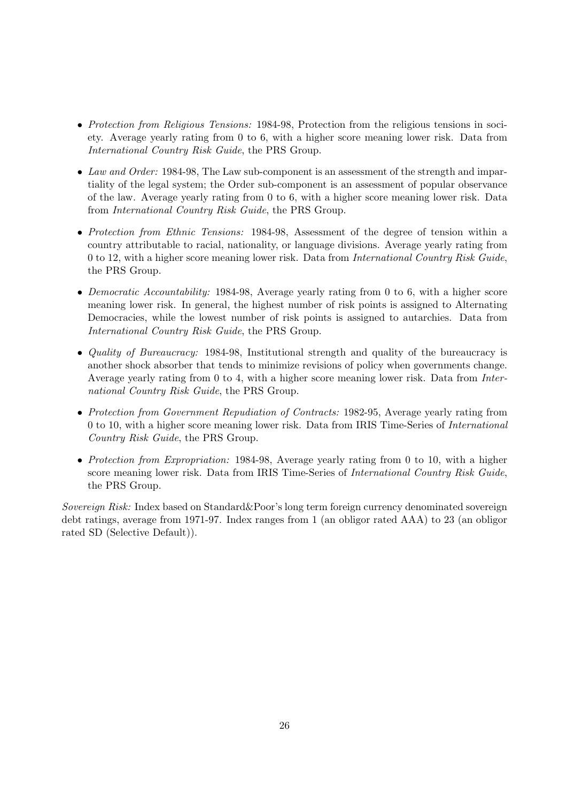- Protection from Religious Tensions: 1984-98, Protection from the religious tensions in society. Average yearly rating from 0 to 6, with a higher score meaning lower risk. Data from International Country Risk Guide, the PRS Group.
- Law and Order: 1984-98, The Law sub-component is an assessment of the strength and impartiality of the legal system; the Order sub-component is an assessment of popular observance of the law. Average yearly rating from 0 to 6, with a higher score meaning lower risk. Data from International Country Risk Guide, the PRS Group.
- Protection from Ethnic Tensions: 1984-98, Assessment of the degree of tension within a country attributable to racial, nationality, or language divisions. Average yearly rating from 0 to 12, with a higher score meaning lower risk. Data from International Country Risk Guide, the PRS Group.
- Democratic Accountability: 1984-98, Average yearly rating from 0 to 6, with a higher score meaning lower risk. In general, the highest number of risk points is assigned to Alternating Democracies, while the lowest number of risk points is assigned to autarchies. Data from International Country Risk Guide, the PRS Group.
- *Quality of Bureaucracy:* 1984-98, Institutional strength and quality of the bureaucracy is another shock absorber that tends to minimize revisions of policy when governments change. Average yearly rating from 0 to 4, with a higher score meaning lower risk. Data from International Country Risk Guide, the PRS Group.
- Protection from Government Repudiation of Contracts: 1982-95, Average yearly rating from 0 to 10, with a higher score meaning lower risk. Data from IRIS Time-Series of International Country Risk Guide, the PRS Group.
- Protection from Expropriation: 1984-98, Average yearly rating from 0 to 10, with a higher score meaning lower risk. Data from IRIS Time-Series of International Country Risk Guide, the PRS Group.

Sovereign Risk: Index based on Standard&Poor's long term foreign currency denominated sovereign debt ratings, average from 1971-97. Index ranges from 1 (an obligor rated AAA) to 23 (an obligor rated SD (Selective Default)).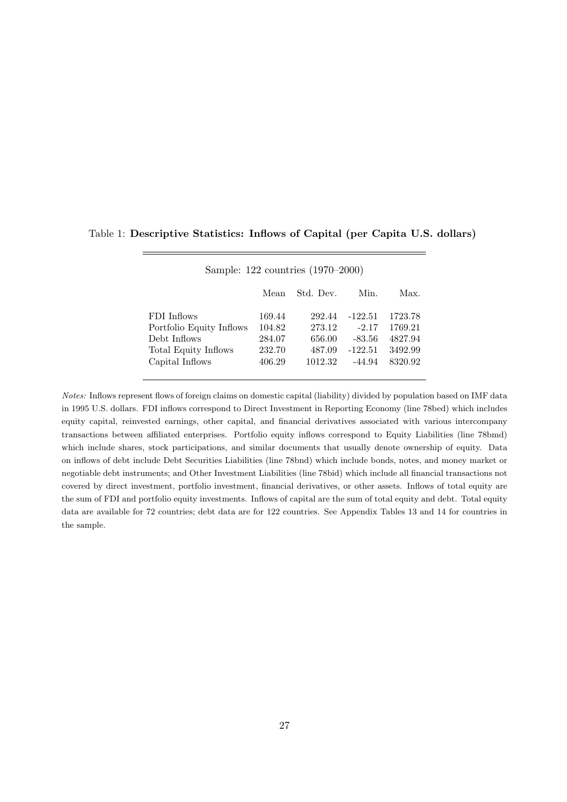## Table 1: Descriptive Statistics: Inflows of Capital (per Capita U.S. dollars)

|                          | Mean   | Std. Dev. | Min.      | Max.    |
|--------------------------|--------|-----------|-----------|---------|
| FDI Inflows              | 169.44 | 292.44    | $-122.51$ | 1723.78 |
| Portfolio Equity Inflows | 104.82 | 273.12    | $-2.17$   | 1769.21 |
| Debt Inflows             | 284.07 | 656.00    | $-83.56$  | 4827.94 |
| Total Equity Inflows     | 232.70 | 487.09    | $-122.51$ | 3492.99 |
| Capital Inflows          | 406.29 | 1012.32   | -44.94    | 8320.92 |

Sample: 122 countries (1970–2000)

Notes: Inflows represent flows of foreign claims on domestic capital (liability) divided by population based on IMF data in 1995 U.S. dollars. FDI inflows correspond to Direct Investment in Reporting Economy (line 78bed) which includes equity capital, reinvested earnings, other capital, and financial derivatives associated with various intercompany transactions between affiliated enterprises. Portfolio equity inflows correspond to Equity Liabilities (line 78bmd) which include shares, stock participations, and similar documents that usually denote ownership of equity. Data on inflows of debt include Debt Securities Liabilities (line 78bnd) which include bonds, notes, and money market or negotiable debt instruments; and Other Investment Liabilities (line 78bid) which include all financial transactions not covered by direct investment, portfolio investment, financial derivatives, or other assets. Inflows of total equity are the sum of FDI and portfolio equity investments. Inflows of capital are the sum of total equity and debt. Total equity data are available for 72 countries; debt data are for 122 countries. See Appendix Tables 13 and 14 for countries in the sample.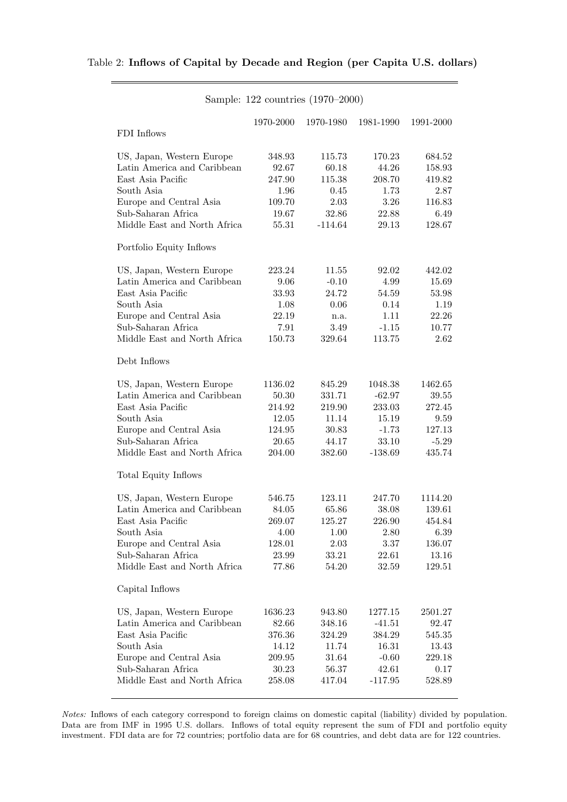$\overline{\phantom{a}}$ 

|  |  |  | Sample: 122 countries (1970–2000) |  |
|--|--|--|-----------------------------------|--|
|--|--|--|-----------------------------------|--|

|                              | 1970-2000 | 1970-1980 | 1981-1990 | 1991-2000 |
|------------------------------|-----------|-----------|-----------|-----------|
| FDI Inflows                  |           |           |           |           |
| US, Japan, Western Europe    | 348.93    | 115.73    | 170.23    | 684.52    |
| Latin America and Caribbean  | 92.67     | 60.18     | 44.26     | 158.93    |
| East Asia Pacific            | 247.90    | 115.38    | 208.70    | 419.82    |
| South Asia                   | 1.96      | 0.45      | 1.73      | 2.87      |
| Europe and Central Asia      | 109.70    | 2.03      | 3.26      | 116.83    |
| Sub-Saharan Africa           | 19.67     | 32.86     | 22.88     | 6.49      |
| Middle East and North Africa | 55.31     | $-114.64$ | 29.13     | 128.67    |
| Portfolio Equity Inflows     |           |           |           |           |
| US, Japan, Western Europe    | 223.24    | 11.55     | 92.02     | 442.02    |
| Latin America and Caribbean  | 9.06      | $-0.10$   | 4.99      | 15.69     |
| East Asia Pacific            | 33.93     | 24.72     | 54.59     | 53.98     |
| South Asia                   | 1.08      | 0.06      | 0.14      | 1.19      |
| Europe and Central Asia      | 22.19     | n.a.      | 1.11      | 22.26     |
| Sub-Saharan Africa           | 7.91      | 3.49      | $-1.15$   | 10.77     |
| Middle East and North Africa | 150.73    | 329.64    | 113.75    | 2.62      |
| Debt Inflows                 |           |           |           |           |
| US, Japan, Western Europe    | 1136.02   | 845.29    | 1048.38   | 1462.65   |
| Latin America and Caribbean  | 50.30     | 331.71    | $-62.97$  | 39.55     |
| East Asia Pacific            | 214.92    | 219.90    | 233.03    | 272.45    |
| South Asia                   | 12.05     | 11.14     | 15.19     | 9.59      |
| Europe and Central Asia      | 124.95    | 30.83     | $-1.73$   | 127.13    |
| Sub-Saharan Africa           | 20.65     | 44.17     | 33.10     | $-5.29$   |
| Middle East and North Africa | 204.00    | 382.60    | $-138.69$ | 435.74    |
| Total Equity Inflows         |           |           |           |           |
| US, Japan, Western Europe    | 546.75    | 123.11    | 247.70    | 1114.20   |
| Latin America and Caribbean  | 84.05     | 65.86     | 38.08     | 139.61    |
| East Asia Pacific            | 269.07    | 125.27    | 226.90    | 454.84    |
| South Asia                   | 4.00      | 1.00      | 2.80      | 6.39      |
| Europe and Central Asia      | 128.01    | 2.03      | 3.37      | 136.07    |
| Sub-Saharan Africa           | 23.99     | 33.21     | 22.61     | 13.16     |
| Middle East and North Africa | 77.86     | 54.20     | 32.59     | 129.51    |
| Capital Inflows              |           |           |           |           |
| US, Japan, Western Europe    | 1636.23   | 943.80    | 1277.15   | 2501.27   |
| Latin America and Caribbean  | 82.66     | 348.16    | $-41.51$  | 92.47     |
| East Asia Pacific            | 376.36    | 324.29    | 384.29    | 545.35    |
| South Asia                   | 14.12     | 11.74     | 16.31     | 13.43     |
| Europe and Central Asia      | 209.95    | 31.64     | $-0.60$   | 229.18    |
| Sub-Saharan Africa           | 30.23     | 56.37     | 42.61     | 0.17      |
| Middle East and North Africa | 258.08    | 417.04    | $-117.95$ | 528.89    |
|                              |           |           |           |           |

Notes: Inflows of each category correspond to foreign claims on domestic capital (liability) divided by population. Data are from IMF in 1995 U.S. dollars. Inflows of total equity represent the sum of FDI and portfolio equity investment. FDI data are for 72 countries; portfolio data are for 68 countries, and debt data are for 122 countries.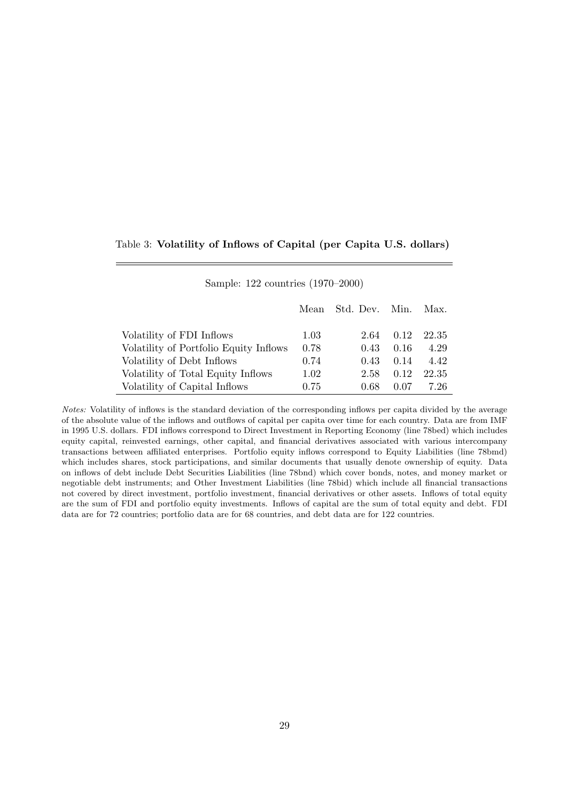## Table 3: Volatility of Inflows of Capital (per Capita U.S. dollars)

| Sample: 122 countries (1970–2000) |  |
|-----------------------------------|--|
|-----------------------------------|--|

|                                        |      | Mean Std. Dev. Min. |      | Max.  |
|----------------------------------------|------|---------------------|------|-------|
|                                        |      |                     |      |       |
| Volatility of FDI Inflows              | 1.03 | 2.64                | 0.12 | 22.35 |
| Volatility of Portfolio Equity Inflows | 0.78 | 0.43                | 0.16 | 4.29  |
| Volatility of Debt Inflows             | 0.74 | 0.43                | 0.14 | 4.42  |
| Volatility of Total Equity Inflows     | 1.02 | 2.58                | 0.12 | 22.35 |
| Volatility of Capital Inflows          | 0.75 | 0.68                | 0.07 | 7.26  |

Notes: Volatility of inflows is the standard deviation of the corresponding inflows per capita divided by the average of the absolute value of the inflows and outflows of capital per capita over time for each country. Data are from IMF in 1995 U.S. dollars. FDI inflows correspond to Direct Investment in Reporting Economy (line 78bed) which includes equity capital, reinvested earnings, other capital, and financial derivatives associated with various intercompany transactions between affiliated enterprises. Portfolio equity inflows correspond to Equity Liabilities (line 78bmd) which includes shares, stock participations, and similar documents that usually denote ownership of equity. Data on inflows of debt include Debt Securities Liabilities (line 78bnd) which cover bonds, notes, and money market or negotiable debt instruments; and Other Investment Liabilities (line 78bid) which include all financial transactions not covered by direct investment, portfolio investment, financial derivatives or other assets. Inflows of total equity are the sum of FDI and portfolio equity investments. Inflows of capital are the sum of total equity and debt. FDI data are for 72 countries; portfolio data are for 68 countries, and debt data are for 122 countries.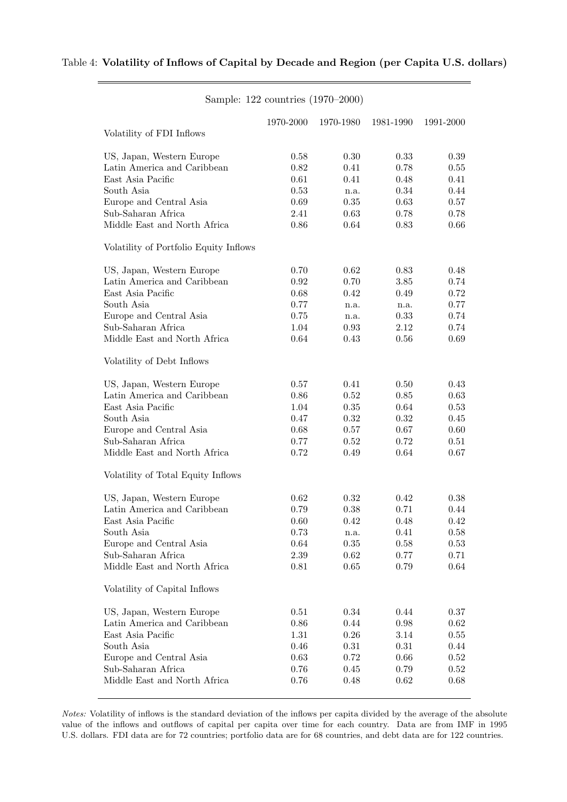|          |                   |                           | 1991-2000                 |
|----------|-------------------|---------------------------|---------------------------|
|          |                   |                           |                           |
|          |                   |                           | 0.39                      |
| 0.82     | 0.41              | 0.78                      | $0.55\,$                  |
| 0.61     | 0.41              | 0.48                      | 0.41                      |
| 0.53     | n.a.              | 0.34                      | 0.44                      |
| 0.69     | 0.35              | 0.63                      | 0.57                      |
| 2.41     | 0.63              | 0.78                      | 0.78                      |
| 0.86     | 0.64              | 0.83                      | 0.66                      |
|          |                   |                           |                           |
| 0.70     | 0.62              | 0.83                      | 0.48                      |
| 0.92     | 0.70              | 3.85                      | 0.74                      |
| 0.68     | 0.42              | 0.49                      | 0.72                      |
| 0.77     | n.a.              | n.a.                      | 0.77                      |
| 0.75     | n.a.              | 0.33                      | 0.74                      |
| 1.04     | 0.93              | 2.12                      | 0.74                      |
| 0.64     | 0.43              | 0.56                      | 0.69                      |
|          |                   |                           |                           |
| 0.57     | 0.41              | 0.50                      | 0.43                      |
| $0.86\,$ | 0.52              | 0.85                      | 0.63                      |
| 1.04     | 0.35              | 0.64                      | 0.53                      |
| 0.47     | 0.32              | 0.32                      | $0.45\,$                  |
| 0.68     | 0.57              | 0.67                      | 0.60                      |
| 0.77     | 0.52              | 0.72                      | 0.51                      |
| 0.72     | 0.49              | 0.64                      | 0.67                      |
|          |                   |                           |                           |
| 0.62     | 0.32              | 0.42                      | 0.38                      |
| 0.79     | 0.38              | 0.71                      | 0.44                      |
| 0.60     | 0.42              | 0.48                      | 0.42                      |
| 0.73     | n.a.              | 0.41                      | 0.58                      |
| 0.64     | $0.35\,$          | 0.58                      | 0.53                      |
| $2.39\,$ |                   |                           | 0.71                      |
| 0.81     | 0.65              | 0.79                      | 0.64                      |
|          |                   |                           |                           |
| 0.51     | 0.34              | 0.44                      | 0.37                      |
| 0.86     | 0.44              | 0.98                      | $0.62\,$                  |
| 1.31     | 0.26              | 3.14                      | $0.55\,$                  |
| 0.46     | 0.31              | 0.31                      | 0.44                      |
| 0.63     | 0.72              | 0.66                      | $0.52\,$                  |
| 0.76     | 0.45              | 0.79                      | $0.52\,$                  |
| 0.76     | 0.48              | 0.62                      | 0.68                      |
|          | 1970-2000<br>0.58 | 1970-1980<br>0.30<br>0.62 | 1981-1990<br>0.33<br>0.77 |

#### Sample: 122 countries (1970–2000)

Notes: Volatility of inflows is the standard deviation of the inflows per capita divided by the average of the absolute value of the inflows and outflows of capital per capita over time for each country. Data are from IMF in 1995 U.S. dollars. FDI data are for 72 countries; portfolio data are for 68 countries, and debt data are for 122 countries.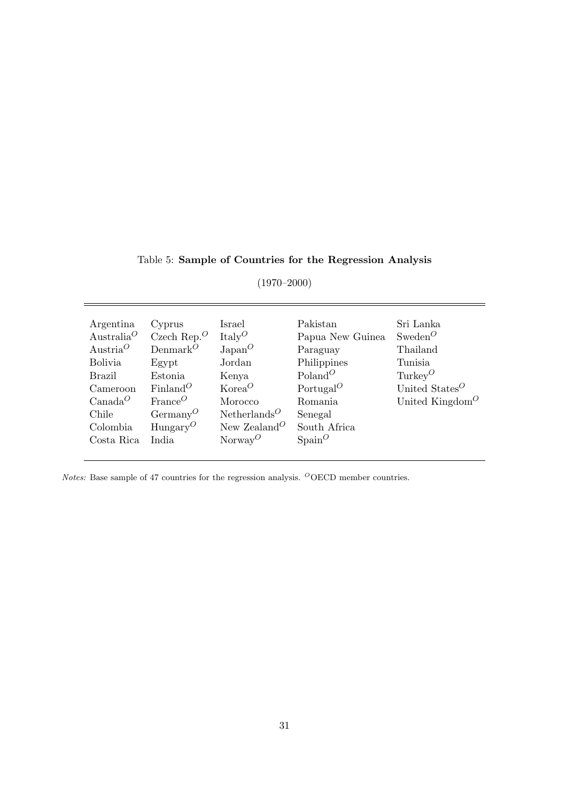Table 5: Sample of Countries for the Regression Analysis

(1970–2000)

| Argentina<br>Australia <sup>O</sup><br>Austria <sup>O</sup> | Cyprus<br>Czech Rep. $^O$<br>Denmark $^O$ | Israel<br>ItalyO<br>$\text{Japan}^O$  | Pakistan<br>Papua New Guinea<br>Paraguay | Sri Lanka<br>$S$ weden $O$<br>Thailand   |
|-------------------------------------------------------------|-------------------------------------------|---------------------------------------|------------------------------------------|------------------------------------------|
| <b>Bolivia</b>                                              | Egypt                                     | Jordan                                | Philippines                              | Tunisia                                  |
| Brazil                                                      | Estonia                                   | Kenya                                 | Poland <sup>O</sup>                      | Turkey <sup>O</sup>                      |
| Cameroon                                                    | $Finland^O$                               | Korea <sup>O</sup>                    | Portugal <sup><math>O</math></sup>       | United States <sup><math>O</math></sup>  |
| $Canada^O$                                                  | $\text{France}^O$                         | Morocco                               | Romania                                  | United Kingdom <sup><math>O</math></sup> |
| Chile                                                       | $Germanv^O$                               | Netherlands <sup><math>O</math></sup> | Senegal                                  |                                          |
| Colombia                                                    | Hungary <sup>O</sup>                      | New Zealand <sup>O</sup>              | South Africa                             |                                          |
| Costa Rica                                                  | India                                     | $\text{Norway}^O$                     | $\text{Span}^O$                          |                                          |

*Notes:* Base sample of 47 countries for the regression analysis. <sup> $O$ </sup>OECD member countries.

31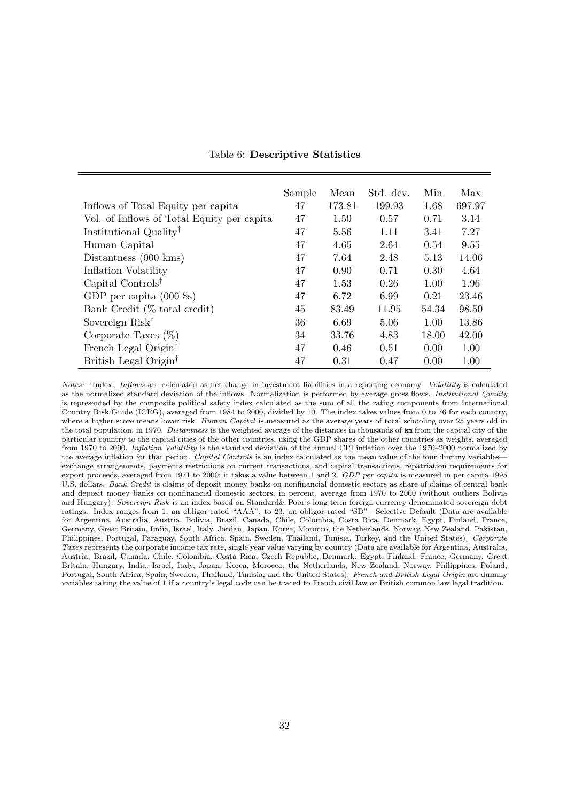|                                            | Sample | Mean   | Std. dev. | Min   | Max    |
|--------------------------------------------|--------|--------|-----------|-------|--------|
| Inflows of Total Equity per capita         | 47     | 173.81 | 199.93    | 1.68  | 697.97 |
| Vol. of Inflows of Total Equity per capita | 47     | 1.50   | 0.57      | 0.71  | 3.14   |
| Institutional Quality <sup>†</sup>         | 47     | 5.56   | 1.11      | 3.41  | 7.27   |
| Human Capital                              | 47     | 4.65   | 2.64      | 0.54  | 9.55   |
| Distantness $(000 \text{ km})$             | 47     | 7.64   | 2.48      | 5.13  | 14.06  |
| Inflation Volatility                       | 47     | 0.90   | 0.71      | 0.30  | 4.64   |
| Capital Controls <sup>†</sup>              | 47     | 1.53   | 0.26      | 1.00  | 1.96   |
| GDP per capita $(000 \text{ s})$           | 47     | 6.72   | 6.99      | 0.21  | 23.46  |
| Bank Credit (% total credit)               | 45     | 83.49  | 11.95     | 54.34 | 98.50  |
| Sovereign Risk <sup>†</sup>                | 36     | 6.69   | 5.06      | 1.00  | 13.86  |
| Corporate Taxes $(\%)$                     | 34     | 33.76  | 4.83      | 18.00 | 42.00  |
| French Legal Origin <sup>†</sup>           | 47     | 0.46   | 0.51      | 0.00  | 1.00   |
| British Legal Origin <sup>†</sup>          | 47     | 0.31   | 0.47      | 0.00  | 1.00   |

Notes: <sup>†</sup>Index. Inflows are calculated as net change in investment liabilities in a reporting economy. Volatility is calculated as the normalized standard deviation of the inflows. Normalization is performed by average gross flows. Institutional Quality is represented by the composite political safety index calculated as the sum of all the rating components from International Country Risk Guide (ICRG), averaged from 1984 to 2000, divided by 10. The index takes values from 0 to 76 for each country, where a higher score means lower risk. Human Capital is measured as the average years of total schooling over 25 years old in the total population, in 1970. Distantness is the weighted average of the distances in thousands of km from the capital city of the particular country to the capital cities of the other countries, using the GDP shares of the other countries as weights, averaged from 1970 to 2000. Inflation Volatility is the standard deviation of the annual CPI inflation over the 1970–2000 normalized by the average inflation for that period. Capital Controls is an index calculated as the mean value of the four dummy variablesexchange arrangements, payments restrictions on current transactions, and capital transactions, repatriation requirements for export proceeds, averaged from 1971 to 2000; it takes a value between 1 and 2. GDP per capita is measured in per capita 1995 U.S. dollars. Bank Credit is claims of deposit money banks on nonfinancial domestic sectors as share of claims of central bank and deposit money banks on nonfinancial domestic sectors, in percent, average from 1970 to 2000 (without outliers Bolivia and Hungary). Sovereign Risk is an index based on Standard& Poor's long term foreign currency denominated sovereign debt ratings. Index ranges from 1, an obligor rated "AAA", to 23, an obligor rated "SD"—Selective Default (Data are available for Argentina, Australia, Austria, Bolivia, Brazil, Canada, Chile, Colombia, Costa Rica, Denmark, Egypt, Finland, France, Germany, Great Britain, India, Israel, Italy, Jordan, Japan, Korea, Morocco, the Netherlands, Norway, New Zealand, Pakistan, Philippines, Portugal, Paraguay, South Africa, Spain, Sweden, Thailand, Tunisia, Turkey, and the United States). Corporate Taxes represents the corporate income tax rate, single year value varying by country (Data are available for Argentina, Australia, Austria, Brazil, Canada, Chile, Colombia, Costa Rica, Czech Republic, Denmark, Egypt, Finland, France, Germany, Great Britain, Hungary, India, Israel, Italy, Japan, Korea, Morocco, the Netherlands, New Zealand, Norway, Philippines, Poland, Portugal, South Africa, Spain, Sweden, Thailand, Tunisia, and the United States). French and British Legal Origin are dummy variables taking the value of 1 if a country's legal code can be traced to French civil law or British common law legal tradition.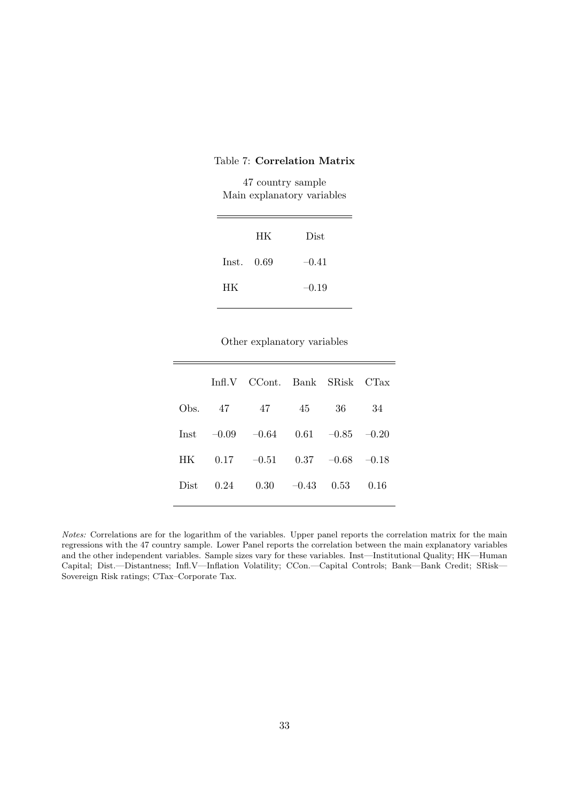## Table 7: Correlation Matrix

47 country sample Main explanatory variables

|            | HK | Dist    |
|------------|----|---------|
| Inst. 0.69 |    | $-0.41$ |
| HК         |    | $-0.19$ |

Other explanatory variables

|      |         | Infl.V CCont. Bank |         | SRisk              | CTax    |
|------|---------|--------------------|---------|--------------------|---------|
| Obs. | - 47    | -47                | 45      | 36                 | 34      |
| Inst | $-0.09$ | $-0.64$            |         | $0.61 -0.85$       | $-0.20$ |
| HK.  | 0.17    | $-0.51$            |         | $0.37 \quad -0.68$ | $-0.18$ |
| Dist | 0.24    | 0.30               | $-0.43$ | 0.53               | 0.16    |
|      |         |                    |         |                    |         |

Notes: Correlations are for the logarithm of the variables. Upper panel reports the correlation matrix for the main regressions with the 47 country sample. Lower Panel reports the correlation between the main explanatory variables and the other independent variables. Sample sizes vary for these variables. Inst—Institutional Quality; HK—Human Capital; Dist.—Distantness; Infl.V—Inflation Volatility; CCon.—Capital Controls; Bank—Bank Credit; SRisk— Sovereign Risk ratings; CTax–Corporate Tax.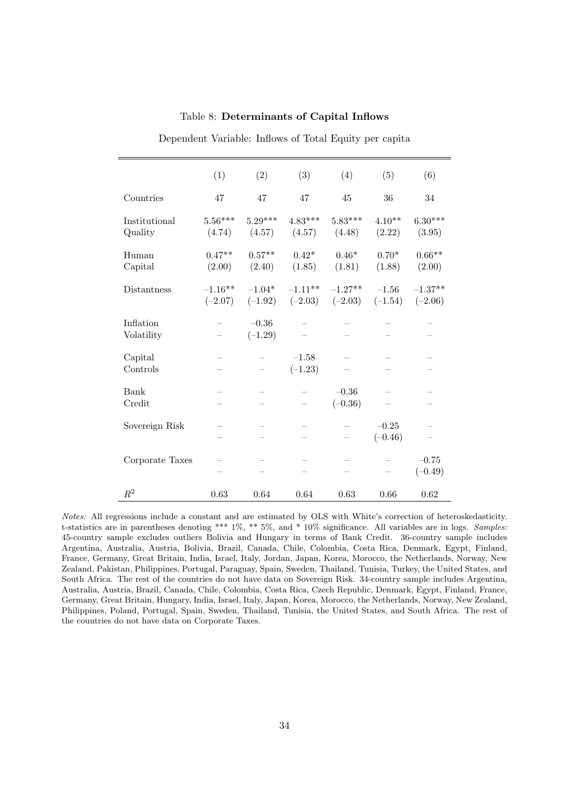|                          | (1)                    | (2)                   | (3)                      | (4)                    | (5)                  | (6)                         |
|--------------------------|------------------------|-----------------------|--------------------------|------------------------|----------------------|-----------------------------|
| Countries                | 47                     | 47                    | 47                       | 45                     | 36                   | 34                          |
| Institutional<br>Quality | $5.56***$<br>(4.74)    | $5.29***$<br>(4.57)   | $4.83***$<br>(4.57)      | $5.83***$<br>(4.48)    | $4.10**$<br>(2.22)   | $6.30***$<br>(3.95)         |
| Human<br>Capital         | $0.47**$<br>(2.00)     | $0.57**$<br>(2.40)    | $0.42*$<br>(1.85)        | $0.46*$<br>(1.81)      | $0.70*$<br>(1.88)    | $0.66^{\ast\ast}$<br>(2.00) |
| Distantness              | $-1.16**$<br>$(-2.07)$ | $-1.04*$<br>$(-1.92)$ | $-1.11***$<br>$(-2.03)$  | $-1.27**$<br>$(-2.03)$ | $-1.56$<br>$(-1.54)$ | $-1.37**$<br>$(-2.06)$      |
| Inflation<br>Volatility  |                        | $-0.36$<br>$(-1.29)$  |                          |                        |                      |                             |
| Capital<br>Controls      |                        |                       | $-1.58$<br>$(-1.23)$     |                        |                      |                             |
| Bank<br>Credit           |                        |                       |                          | $-0.36$<br>$(-0.36)$   |                      |                             |
| Sovereign Risk           |                        |                       | $\overline{\phantom{0}}$ |                        | $-0.25$<br>$(-0.46)$ |                             |
| Corporate Taxes          |                        |                       |                          |                        |                      | $-0.75$<br>$(-0.49)$        |
| $R^2$                    | 0.63                   | 0.64                  | 0.64                     | 0.63                   | 0.66                 | 0.62                        |

Table 8: Determinants of Capital Inflows

Dependent Variable: Inflows of Total Equity per capita

Notes: All regressions include a constant and are estimated by OLS with White's correction of heteroskedasticity. t-statistics are in parentheses denoting \*\*\*  $1\%$ , \*\*  $5\%$ , and \*  $10\%$  significance. All variables are in logs. Samples: 45-country sample excludes outliers Bolivia and Hungary in terms of Bank Credit. 36-country sample includes Argentina, Australia, Austria, Bolivia, Brazil, Canada, Chile, Colombia, Costa Rica, Denmark, Egypt, Finland, France, Germany, Great Britain, India, Israel, Italy, Jordan, Japan, Korea, Morocco, the Netherlands, Norway, New Zealand, Pakistan, Philippines, Portugal, Paraguay, Spain, Sweden, Thailand, Tunisia, Turkey, the United States, and South Africa. The rest of the countries do not have data on Sovereign Risk. 34-country sample includes Argentina, Australia, Austria, Brazil, Canada, Chile, Colombia, Costa Rica, Czech Republic, Denmark, Egypt, Finland, France, Germany, Great Britain, Hungary, India, Israel, Italy, Japan, Korea, Morocco, the Netherlands, Norway, New Zealand, Philippines, Poland, Portugal, Spain, Sweden, Thailand, Tunisia, the United States, and South Africa. The rest of the countries do not have data on Corporate Taxes.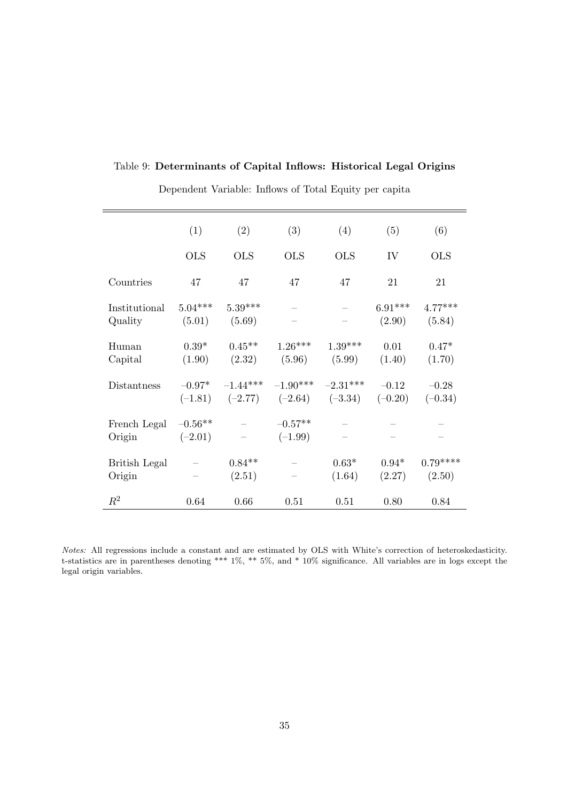|  | Table 9: Determinants of Capital Inflows: Historical Legal Origins |  |  |  |  |  |  |
|--|--------------------------------------------------------------------|--|--|--|--|--|--|
|--|--------------------------------------------------------------------|--|--|--|--|--|--|

|                                | (1)                    | (2)                 | (3)                    | (4)                                                    | (5)                  | (6)                  |
|--------------------------------|------------------------|---------------------|------------------------|--------------------------------------------------------|----------------------|----------------------|
|                                | <b>OLS</b>             | <b>OLS</b>          | <b>OLS</b>             | <b>OLS</b>                                             | IV                   | <b>OLS</b>           |
| Countries                      | 47                     | 47                  | 47                     | 47                                                     | 21                   | 21                   |
| Institutional<br>Quality       | $5.04***$<br>(5.01)    | $5.39***$<br>(5.69) |                        |                                                        | $6.91***$<br>(2.90)  | $4.77***$<br>(5.84)  |
| Human<br>Capital               | $0.39*$<br>(1.90)      | $0.45**$<br>(2.32)  | $1.26***$<br>(5.96)    | $1.39***$<br>(5.99)                                    | 0.01<br>(1.40)       | $0.47*$<br>(1.70)    |
| Distantness                    | $-0.97*$<br>$(-1.81)$  | $-1.44***$          |                        | $-1.90***$ $-2.31***$<br>$(-2.77)$ $(-2.64)$ $(-3.34)$ | $-0.12$<br>$(-0.20)$ | $-0.28$<br>$(-0.34)$ |
| French Legal<br>Origin         | $-0.56**$<br>$(-2.01)$ |                     | $-0.57**$<br>$(-1.99)$ |                                                        |                      |                      |
| <b>British Legal</b><br>Origin |                        | $0.84**$<br>(2.51)  |                        | $0.63*$<br>(1.64)                                      | $0.94*$<br>(2.27)    | $0.79***$<br>(2.50)  |
| $R^2$                          | 0.64                   | 0.66                | 0.51                   | 0.51                                                   | 0.80                 | 0.84                 |

Dependent Variable: Inflows of Total Equity per capita

Notes: All regressions include a constant and are estimated by OLS with White's correction of heteroskedasticity. t-statistics are in parentheses denoting \*\*\* 1%, \*\* 5%, and \* 10% significance. All variables are in logs except the legal origin variables.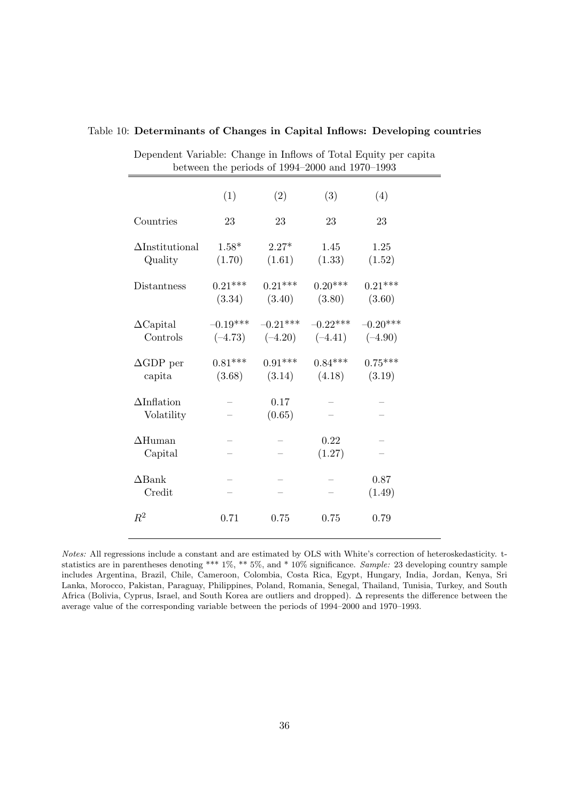| Dependent Variable: Change in Inflows of Total Equity per capita |                     | between the periods of 1994-2000 and 1970-1993   |                                  |                     |  |
|------------------------------------------------------------------|---------------------|--------------------------------------------------|----------------------------------|---------------------|--|
|                                                                  | (1)                 | (2)                                              | (3)                              | (4)                 |  |
| Countries                                                        | 23                  | 23                                               | 23                               | 23                  |  |
| $\Delta$ Institutional<br>Quality                                | $1.58*$<br>(1.70)   | $2.27*$<br>(1.61)                                | 1.45<br>(1.33)                   | 1.25<br>(1.52)      |  |
| Distantness                                                      | $0.21***$<br>(3.34) | $0.21***$<br>(3.40)                              | $0.20***$<br>(3.80)              | $0.21***$<br>(3.60) |  |
| $\Delta$ Capital<br>Controls                                     | $-0.19***$          | $(-4.73)$ $(-4.20)$ $(-4.41)$ $(-4.90)$          | $-0.21***$ $-0.22***$ $-0.20***$ |                     |  |
| $\Delta GDP$ per<br>capita                                       | $0.81***$           | $0.91***$<br>$(3.68)$ $(3.14)$ $(4.18)$ $(3.19)$ | $0.84***$                        | $0.75***$           |  |
| $\Delta$ Inflation<br>Volatility                                 |                     | 0.17<br>(0.65)                                   |                                  |                     |  |
| $\Delta$ Human<br>Capital                                        |                     |                                                  | 0.22<br>(1.27)                   |                     |  |
| $\Delta$ Bank<br>Credit                                          |                     |                                                  |                                  | 0.87<br>(1.49)      |  |
| $R^2$                                                            | 0.71                | 0.75                                             | 0.75                             | 0.79                |  |

#### Table 10: Determinants of Changes in Capital Inflows: Developing countries

Notes: All regressions include a constant and are estimated by OLS with White's correction of heteroskedasticity. tstatistics are in parentheses denoting \*\*\* 1%, \*\* 5%, and \* 10% significance. Sample: 23 developing country sample includes Argentina, Brazil, Chile, Cameroon, Colombia, Costa Rica, Egypt, Hungary, India, Jordan, Kenya, Sri Lanka, Morocco, Pakistan, Paraguay, Philippines, Poland, Romania, Senegal, Thailand, Tunisia, Turkey, and South Africa (Bolivia, Cyprus, Israel, and South Korea are outliers and dropped). ∆ represents the difference between the average value of the corresponding variable between the periods of 1994–2000 and 1970–1993.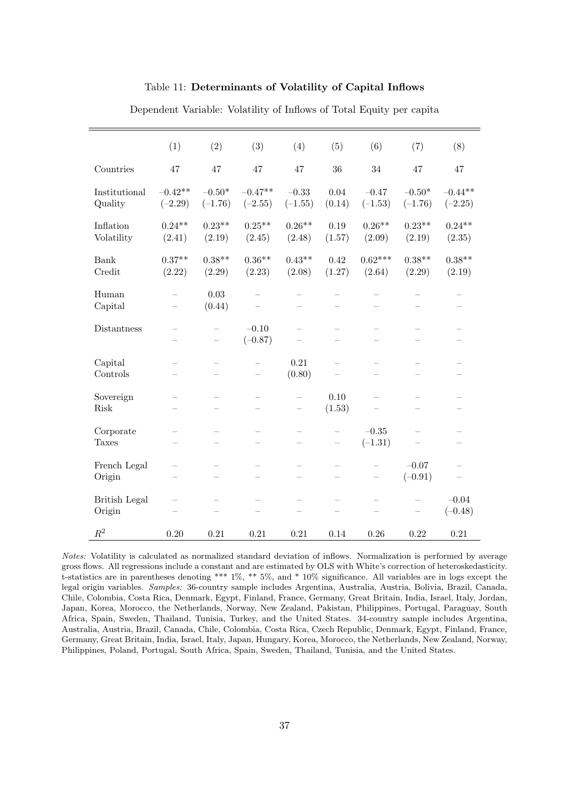## Table 11: Determinants of Volatility of Capital Inflows

|                                | (1)                      | (2)                                    | (3)                                           | (4)                                           | (5)                                           | (6)                                                  | (7)                                                  | (8)                                                  |
|--------------------------------|--------------------------|----------------------------------------|-----------------------------------------------|-----------------------------------------------|-----------------------------------------------|------------------------------------------------------|------------------------------------------------------|------------------------------------------------------|
| Countries                      | 47                       | 47                                     | 47                                            | 47                                            | 36                                            | 34                                                   | 47                                                   | 47                                                   |
| Institutional<br>Quality       | $-0.42**$<br>$(-2.29)$   | $-0.50*$<br>$(-1.76)$                  | $-0.47**$<br>$(-2.55)$                        | $-0.33$<br>$(-1.55)$                          | 0.04<br>(0.14)                                | $-0.47$<br>$(-1.53)$                                 | $-0.50\text{*}$<br>$(-1.76)$                         | $-0.44**$<br>$(-2.25)$                               |
| Inflation<br>Volatility        | $0.24**$<br>(2.41)       | $0.23**$<br>(2.19)                     | $0.25**$<br>(2.45)                            | $0.26**$<br>(2.48)                            | 0.19<br>(1.57)                                | $0.26**$<br>(2.09)                                   | $0.23**$<br>(2.19)                                   | $0.24**$<br>(2.35)                                   |
| Bank<br>Credit                 | $0.37**$<br>(2.22)       | $0.38**$<br>(2.29)                     | $0.36**$<br>(2.23)                            | $0.43**$<br>(2.08)                            | 0.42<br>(1.27)                                | $0.62***$<br>(2.64)                                  | $0.38**$<br>(2.29)                                   | $0.38**$<br>(2.19)                                   |
| Human<br>Capital               | $\overline{\phantom{0}}$ | 0.03<br>(0.44)                         |                                               | $\overline{\phantom{0}}$                      | $\overline{\phantom{0}}$                      |                                                      |                                                      | $\overline{\phantom{0}}$                             |
| Distantness                    |                          | $\qquad \qquad -$<br>$\qquad \qquad -$ | $-0.10$<br>$(-0.87)$                          | $\overline{\phantom{0}}$                      | $\qquad \qquad -$<br>$\overline{\phantom{0}}$ | $\overline{\phantom{0}}$<br>$\overline{\phantom{0}}$ | $\overline{\phantom{0}}$<br>$\overline{\phantom{0}}$ | $\overline{\phantom{0}}$<br>$\overline{\phantom{0}}$ |
| Capital<br>Controls            |                          | $\overline{\phantom{0}}$               |                                               | 0.21<br>(0.80)                                | $\equiv$                                      | $\overline{\phantom{m}}$                             |                                                      |                                                      |
| Sovereign<br>Risk              |                          |                                        | $\qquad \qquad -$<br>$\overline{\phantom{0}}$ |                                               | 0.10<br>(1.53)                                |                                                      |                                                      |                                                      |
| Corporate<br><b>Taxes</b>      |                          | $\qquad \qquad -$                      | $\qquad \qquad -$<br>$\overline{\phantom{0}}$ | $\overline{\phantom{0}}$<br>$\qquad \qquad -$ | $\qquad \qquad -$<br>$\qquad \qquad -$        | $-0.35$<br>$(-1.31)$                                 |                                                      | $\overline{\phantom{0}}$                             |
| French Legal<br>Origin         |                          | -                                      | $\overline{\phantom{0}}$                      |                                               | $\overline{\phantom{0}}$                      | -                                                    | $-0.07$<br>$(-0.91)$                                 | $\overline{\phantom{a}}$                             |
| <b>British Legal</b><br>Origin |                          | $\qquad \qquad -$                      | $\overline{\phantom{0}}$                      | $\qquad \qquad -$                             | $\qquad \qquad -$<br>$\qquad \qquad -$        | $\qquad \qquad -$                                    |                                                      | $-0.04$<br>$(-0.48)$                                 |
| $\mathbb{R}^2$                 | 0.20                     | 0.21                                   | 0.21                                          | 0.21                                          | 0.14                                          | 0.26                                                 | 0.22                                                 | 0.21                                                 |

Dependent Variable: Volatility of Inflows of Total Equity per capita

Notes: Volatility is calculated as normalized standard deviation of inflows. Normalization is performed by average gross flows. All regressions include a constant and are estimated by OLS with White's correction of heteroskedasticity. t-statistics are in parentheses denoting \*\*\* 1%, \*\* 5%, and \* 10% significance. All variables are in logs except the legal origin variables. Samples: 36-country sample includes Argentina, Australia, Austria, Bolivia, Brazil, Canada, Chile, Colombia, Costa Rica, Denmark, Egypt, Finland, France, Germany, Great Britain, India, Israel, Italy, Jordan, Japan, Korea, Morocco, the Netherlands, Norway, New Zealand, Pakistan, Philippines, Portugal, Paraguay, South Africa, Spain, Sweden, Thailand, Tunisia, Turkey, and the United States. 34-country sample includes Argentina, Australia, Austria, Brazil, Canada, Chile, Colombia, Costa Rica, Czech Republic, Denmark, Egypt, Finland, France, Germany, Great Britain, India, Israel, Italy, Japan, Hungary, Korea, Morocco, the Netherlands, New Zealand, Norway, Philippines, Poland, Portugal, South Africa, Spain, Sweden, Thailand, Tunisia, and the United States.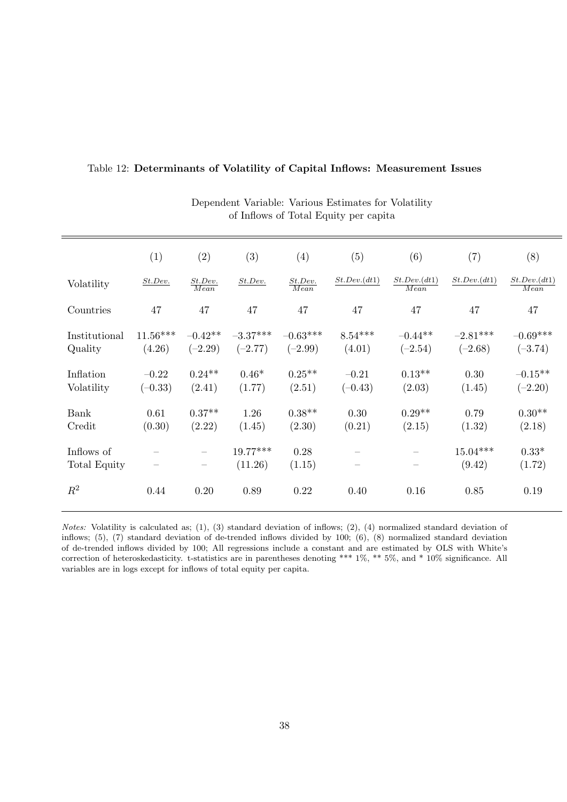|                            | (1)                      | (2)                                                         | (3)                     | (4)                     | (5)                  | (6)                    | (7)                     | (8)                     |
|----------------------------|--------------------------|-------------------------------------------------------------|-------------------------|-------------------------|----------------------|------------------------|-------------------------|-------------------------|
| Volatility                 | St. Dev.                 | St. Dev.<br>Mean                                            | St. Dev.                | St. Dev.<br>Mean        | St. Dev. (dt1)       | St. Dev. (dt1)<br>Mean | St. Dev. (dt1)          | St. Dev. (dt1)<br>Mean  |
| Countries                  | 47                       | 47                                                          | 47                      | 47                      | 47                   | 47                     | 47                      | 47                      |
| Institutional<br>Quality   | $11.56***$<br>(4.26)     | $-0.42**$<br>$(-2.29)$                                      | $-3.37***$<br>$(-2.77)$ | $-0.63***$<br>$(-2.99)$ | $8.54***$<br>(4.01)  | $-0.44**$<br>$(-2.54)$ | $-2.81***$<br>$(-2.68)$ | $-0.69***$<br>$(-3.74)$ |
| Inflation<br>Volatility    | $-0.22$<br>$(-0.33)$     | $0.24**$<br>(2.41)                                          | $0.46*$<br>(1.77)       | $0.25**$<br>(2.51)      | $-0.21$<br>$(-0.43)$ | $0.13**$<br>(2.03)     | 0.30<br>(1.45)          | $-0.15**$<br>$(-2.20)$  |
| Bank<br>Credit             | 0.61<br>(0.30)           | $0.37**$<br>(2.22)                                          | 1.26<br>(1.45)          | $0.38**$<br>(2.30)      | 0.30<br>(0.21)       | $0.29**$<br>(2.15)     | 0.79<br>(1.32)          | $0.30**$<br>(2.18)      |
| Inflows of<br>Total Equity | $\overline{\phantom{0}}$ | $\overline{\phantom{0}}$<br>$\overbrace{\qquad \qquad }^{}$ | 19.77***<br>(11.26)     | 0.28<br>(1.15)          |                      |                        | $15.04***$<br>(9.42)    | $0.33*$<br>(1.72)       |
| $R^2$                      | 0.44                     | 0.20                                                        | 0.89                    | 0.22                    | 0.40                 | 0.16                   | 0.85                    | 0.19                    |

## Table 12: Determinants of Volatility of Capital Inflows: Measurement Issues

Dependent Variable: Various Estimates for Volatility of Inflows of Total Equity per capita

Notes: Volatility is calculated as; (1), (3) standard deviation of inflows; (2), (4) normalized standard deviation of inflows; (5), (7) standard deviation of de-trended inflows divided by 100; (6), (8) normalized standard deviation of de-trended inflows divided by 100; All regressions include a constant and are estimated by OLS with White's correction of heteroskedasticity. t-statistics are in parentheses denoting \*\*\* 1%, \*\* 5%, and \* 10% significance. All variables are in logs except for inflows of total equity per capita.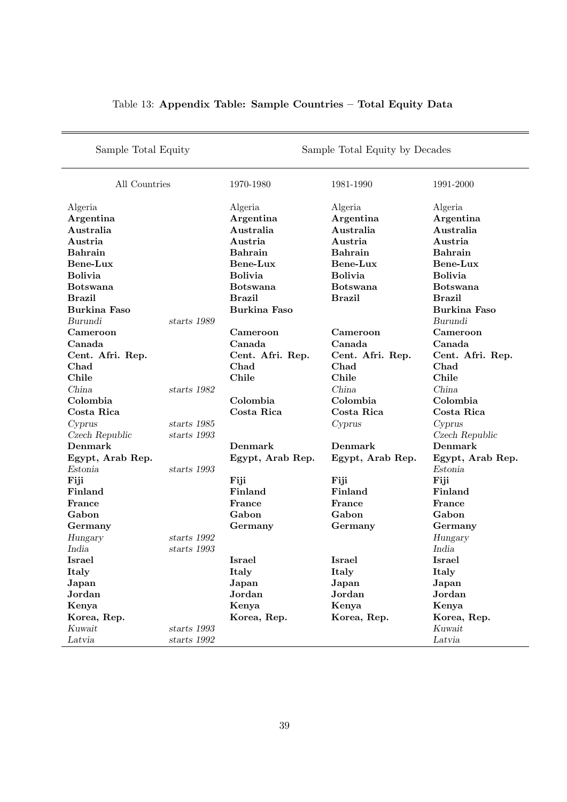| Sample Total Equity |               | Sample Total Equity by Decades |                  |                     |  |  |
|---------------------|---------------|--------------------------------|------------------|---------------------|--|--|
| All Countries       |               | 1970-1980                      | 1981-1990        | 1991-2000           |  |  |
| Algeria             |               | Algeria                        | Algeria          | Algeria             |  |  |
| Argentina           |               | Argentina                      | Argentina        | Argentina           |  |  |
| Australia           |               | Australia                      | Australia        | Australia           |  |  |
| Austria             |               | Austria                        | Austria          | Austria             |  |  |
| <b>Bahrain</b>      |               | <b>Bahrain</b>                 | <b>Bahrain</b>   | <b>Bahrain</b>      |  |  |
| Bene-Lux            |               | Bene-Lux                       | Bene-Lux         | Bene-Lux            |  |  |
| <b>Bolivia</b>      |               | <b>Bolivia</b>                 | <b>Bolivia</b>   | <b>Bolivia</b>      |  |  |
| <b>Botswana</b>     |               | <b>Botswana</b>                | <b>Botswana</b>  | <b>Botswana</b>     |  |  |
| <b>Brazil</b>       |               | <b>Brazil</b>                  | <b>Brazil</b>    | <b>Brazil</b>       |  |  |
| <b>Burkina Faso</b> |               | <b>Burkina Faso</b>            |                  | <b>Burkina Faso</b> |  |  |
| Burundi             | starts 1989   |                                |                  | Burundi             |  |  |
| Cameroon            |               | Cameroon                       | Cameroon         | Cameroon            |  |  |
| Canada              |               | Canada                         | Canada           | Canada              |  |  |
| Cent. Afri. Rep.    |               | Cent. Afri. Rep.               | Cent. Afri. Rep. | Cent. Afri. Rep.    |  |  |
| Chad                |               | Chad                           | Chad             | Chad                |  |  |
| Chile               |               | Chile                          | Chile            | Chile               |  |  |
| China               | starts 1982   |                                | China            | China               |  |  |
| Colombia            |               | Colombia                       | Colombia         | Colombia            |  |  |
| Costa Rica          |               | Costa Rica                     | Costa Rica       | Costa Rica          |  |  |
| Cyprus              | starts 1985   |                                | Cyprus           | Cyprus              |  |  |
| Czech Republic      | starts 1993   |                                |                  | Czech Republic      |  |  |
| Denmark             |               | Denmark                        | Denmark          | Denmark             |  |  |
| Egypt, Arab Rep.    |               | Egypt, Arab Rep.               | Egypt, Arab Rep. | Egypt, Arab Rep.    |  |  |
| Estonia             | starts 1993   |                                |                  | Estonia             |  |  |
| Fiji                |               | Fiji                           | Fiji             | Fiji                |  |  |
| Finland             |               | Finland                        | Finland          | Finland             |  |  |
| France              |               | France                         | France           | France              |  |  |
| Gabon               |               | Gabon                          | Gabon            | Gabon               |  |  |
| Germany             |               | Germany                        | Germany          | Germany             |  |  |
| Hungary             | starts 1992   |                                |                  | Hungary             |  |  |
| India               | starts 1993   |                                |                  | India               |  |  |
| Israel              |               | <b>Israel</b>                  | <b>Israel</b>    | Israel              |  |  |
| Italy               |               | Italy                          | Italy            | Italy               |  |  |
| Japan               |               | Japan                          | Japan            | Japan               |  |  |
| Jordan              |               | Jordan                         | Jordan           | Jordan              |  |  |
| Kenya               |               | Kenya                          | Kenya            | Kenya               |  |  |
| Korea, Rep.         |               | Korea, Rep.                    | Korea, Rep.      | Korea, Rep.         |  |  |
| $K$ uwait           | starts 1993   |                                |                  | Kuwait              |  |  |
| Latvia              | starts $1992$ |                                |                  | Latvia              |  |  |

# Table 13: Appendix Table: Sample Countries – Total Equity Data

÷,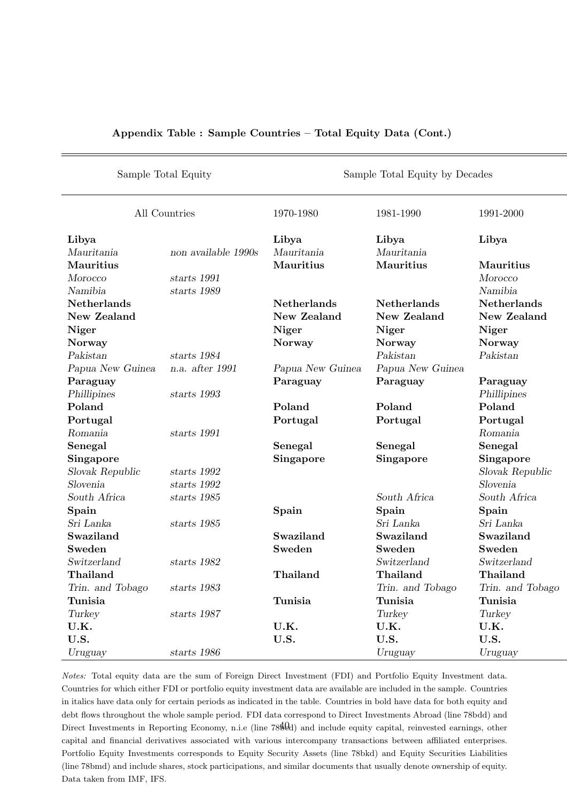| Sample Total Equity |                     | Sample Total Equity by Decades |                    |                    |  |  |
|---------------------|---------------------|--------------------------------|--------------------|--------------------|--|--|
|                     | All Countries       | 1970-1980                      | 1981-1990          | 1991-2000          |  |  |
| Libya               |                     | Libya                          | Libya              | Libya              |  |  |
| Mauritania          | non available 1990s | Mauritania                     | Mauritania         |                    |  |  |
| Mauritius           |                     | Mauritius                      | Mauritius          | Mauritius          |  |  |
| Morocco             | starts 1991         |                                |                    | Morocco            |  |  |
| Namibia             | starts 1989         |                                |                    | Namibia            |  |  |
| <b>Netherlands</b>  |                     | <b>Netherlands</b>             | <b>Netherlands</b> | <b>Netherlands</b> |  |  |
| <b>New Zealand</b>  |                     | New Zealand                    | New Zealand        | New Zealand        |  |  |
| Niger               |                     | Niger                          | Niger              | Niger              |  |  |
| <b>Norway</b>       |                     | <b>Norway</b>                  | Norway             | Norway             |  |  |
| Pakistan            | starts 1984         |                                | Pakistan           | Pakistan           |  |  |
| Papua New Guinea    | n.a. after 1991     | Papua New Guinea               | Papua New Guinea   |                    |  |  |
| Paraguay            |                     | Paraguay                       | Paraguay           | Paraguay           |  |  |
| Phillipines         | starts 1993         |                                |                    | Phillipines        |  |  |
| Poland              |                     | Poland                         | Poland             | Poland             |  |  |
| Portugal            |                     | Portugal                       | Portugal           | Portugal           |  |  |
| Romania             | starts 1991         |                                |                    | Romania            |  |  |
| Senegal             |                     | Senegal                        | Senegal            | Senegal            |  |  |
| Singapore           |                     | Singapore                      | Singapore          | Singapore          |  |  |
| Slovak Republic     | starts 1992         |                                |                    | Slovak Republic    |  |  |
| Slovenia            | starts 1992         |                                |                    | Slovenia           |  |  |
| South Africa        | starts 1985         |                                | South Africa       | South Africa       |  |  |
| Spain               |                     | Spain                          | Spain              | Spain              |  |  |
| Sri Lanka           | starts 1985         |                                | Sri Lanka          | Sri Lanka          |  |  |
| Swaziland           |                     | Swaziland                      | Swaziland          | Swaziland          |  |  |
| Sweden              |                     | Sweden                         | Sweden             | Sweden             |  |  |
| Switzerland         | starts 1982         |                                | Switzerland        | Switzerland        |  |  |
| Thailand            |                     | Thailand                       | Thailand           | Thailand           |  |  |
| Trin. and Tobago    | starts 1983         |                                | Trin. and Tobago   | Trin. and Tobago   |  |  |
| Tunisia             |                     | Tunisia                        | Tunisia            | Tunisia            |  |  |
| Turkey              | starts 1987         |                                | Turkey             | Turkey             |  |  |
| U.K.                |                     | U.K.                           | U.K.               | U.K.               |  |  |
| U.S.                |                     | U.S.                           | U.S.               | U.S.               |  |  |
| Uruguay             | starts 1986         |                                | Uruguay            | Uruguay            |  |  |

## Appendix Table : Sample Countries – Total Equity Data (Cont.)

Notes: Total equity data are the sum of Foreign Direct Investment (FDI) and Portfolio Equity Investment data. Countries for which either FDI or portfolio equity investment data are available are included in the sample. Countries in italics have data only for certain periods as indicated in the table. Countries in bold have data for both equity and debt flows throughout the whole sample period. FDI data correspond to Direct Investments Abroad (line 78bdd) and Direct Investments in Reporting Economy, n.i.e (line  $78\frac{40}{10}$ ) and include equity capital, reinvested earnings, other capital and financial derivatives associated with various intercompany transactions between affiliated enterprises. Portfolio Equity Investments corresponds to Equity Security Assets (line 78bkd) and Equity Securities Liabilities (line 78bmd) and include shares, stock participations, and similar documents that usually denote ownership of equity. Data taken from IMF, IFS.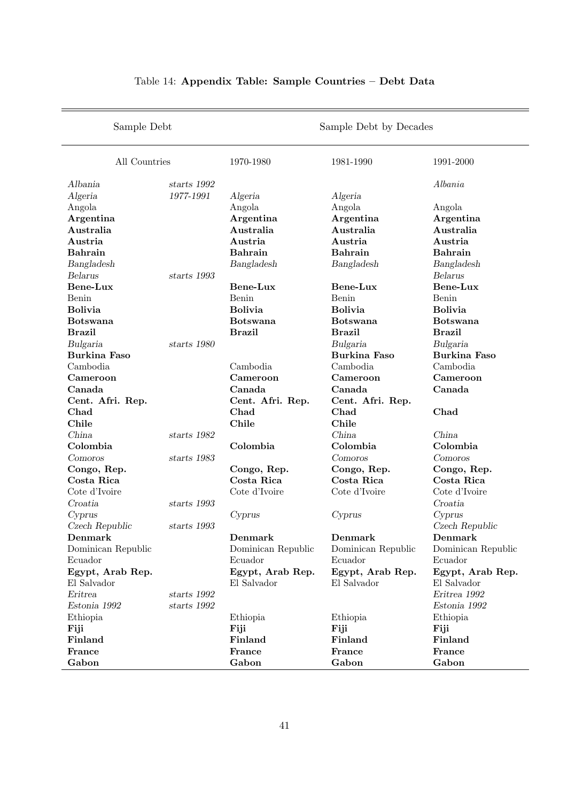| Sample Debt         |               | Sample Debt by Decades |                     |                     |  |  |
|---------------------|---------------|------------------------|---------------------|---------------------|--|--|
| All Countries       |               | 1970-1980              | 1981-1990           | 1991-2000           |  |  |
| Albania             | starts $1992$ |                        |                     | Albania             |  |  |
| Algeria             | 1977-1991     | Algeria                | Algeria             |                     |  |  |
| Angola              |               | Angola                 | Angola              | Angola              |  |  |
| Argentina           |               | Argentina              | Argentina           | Argentina           |  |  |
| Australia           |               | Australia              | Australia           | Australia           |  |  |
| Austria             |               | Austria                | Austria             | Austria             |  |  |
| <b>Bahrain</b>      |               | <b>Bahrain</b>         | <b>Bahrain</b>      | <b>Bahrain</b>      |  |  |
| Bangladesh          |               | Bangladesh             | Bangladesh          | Bangladesh          |  |  |
| Belarus             | starts 1993   |                        |                     | Belarus             |  |  |
| Bene-Lux            |               | Bene-Lux               | Bene-Lux            | <b>Bene-Lux</b>     |  |  |
| Benin               |               | Benin                  | Benin               | Benin               |  |  |
| <b>Bolivia</b>      |               | <b>Bolivia</b>         | <b>Bolivia</b>      | <b>Bolivia</b>      |  |  |
| <b>Botswana</b>     |               | <b>Botswana</b>        | <b>Botswana</b>     | <b>Botswana</b>     |  |  |
| <b>Brazil</b>       |               | <b>Brazil</b>          | <b>Brazil</b>       | <b>Brazil</b>       |  |  |
| Bulgaria            | starts 1980   |                        | Bulgaria            | Bulgaria            |  |  |
| <b>Burkina Faso</b> |               |                        | <b>Burkina Faso</b> | <b>Burkina Faso</b> |  |  |
| Cambodia            |               | Cambodia               | Cambodia            | Cambodia            |  |  |
| Cameroon            |               | Cameroon               | Cameroon            | Cameroon            |  |  |
| Canada              |               | Canada                 | Canada              | Canada              |  |  |
| Cent. Afri. Rep.    |               | Cent. Afri. Rep.       | Cent. Afri. Rep.    |                     |  |  |
| Chad                |               | Chad                   | Chad                | Chad                |  |  |
| Chile               |               | Chile                  | Chile               |                     |  |  |
| China               | starts 1982   |                        | China               | China               |  |  |
| Colombia            |               | Colombia               | Colombia            | Colombia            |  |  |
| Comoros             | starts 1983   |                        | Comoros             | Comoros             |  |  |
| Congo, Rep.         |               | Congo, Rep.            | Congo, Rep.         | Congo, Rep.         |  |  |
| Costa Rica          |               | Costa Rica             | Costa Rica          | Costa Rica          |  |  |
| Cote d'Ivoire       |               | Cote d'Ivoire          | Cote d'Ivoire       | Cote d'Ivoire       |  |  |
| Croatia             | starts 1993   |                        |                     | Croatia             |  |  |
| Cyprus              |               | Cyprus                 | Cyprus              | Cyprus              |  |  |
| Czech Republic      | starts 1993   |                        |                     | Czech Republic      |  |  |
| Denmark             |               | Denmark                | Denmark             | Denmark             |  |  |
| Dominican Republic  |               | Dominican Republic     | Dominican Republic  | Dominican Republic  |  |  |
| Ecuador             |               | Ecuador                | Ecuador             | Ecuador             |  |  |
| Egypt, Arab Rep.    |               | Egypt, Arab Rep.       | Egypt, Arab Rep.    | Egypt, Arab Rep.    |  |  |
| El Salvador         |               | El Salvador            | El Salvador         | El Salvador         |  |  |
| Eritrea             | starts 1992   |                        |                     | Eritrea 1992        |  |  |
| Estonia 1992        | starts 1992   |                        |                     | Estonia 1992        |  |  |
| Ethiopia            |               | Ethiopia               | Ethiopia            | Ethiopia            |  |  |
| Fiji                |               | Fiji                   | Fiji                | Fiji                |  |  |
| Finland             |               | Finland                | Finland             | Finland             |  |  |
| France              |               | France                 | France              | France              |  |  |
| Gabon               |               | Gabon                  | Gabon               | Gabon               |  |  |

# Table 14: Appendix Table: Sample Countries – Debt Data

i.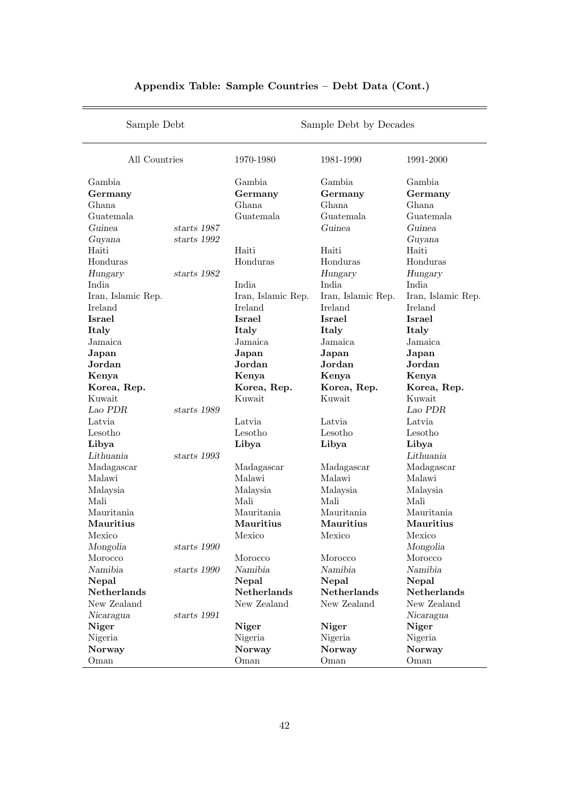| Sample Debt        |               | Sample Debt by Decades |                    |                    |  |  |
|--------------------|---------------|------------------------|--------------------|--------------------|--|--|
| All Countries      |               | 1970-1980              | 1981-1990          | 1991-2000          |  |  |
| Gambia             |               | Gambia                 | Gambia             | Gambia             |  |  |
| Germany            |               | Germany                | Germany            | Germany            |  |  |
| Ghana              |               | Ghana                  | Ghana              | Ghana              |  |  |
| Guatemala          |               | Guatemala              | Guatemala          | Guatemala          |  |  |
| Guinea             | starts 1987   |                        | Guinea             | Guinea             |  |  |
| Guyana             | starts 1992   |                        |                    | Guyana             |  |  |
| Haiti              |               | Haiti                  | Haiti              | Haiti              |  |  |
| Honduras           |               | Honduras               | Honduras           | Honduras           |  |  |
| Hungary            | starts 1982   |                        | Hungary            | Hungary            |  |  |
| India              |               | India                  | India              | India              |  |  |
| Iran, Islamic Rep. |               | Iran, Islamic Rep.     | Iran, Islamic Rep. | Iran, Islamic Rep. |  |  |
| Ireland            |               | Ireland                | Ireland            | Ireland            |  |  |
| <b>Israel</b>      |               | <b>Israel</b>          | <b>Israel</b>      | <b>Israel</b>      |  |  |
| Italy              |               | Italy                  | Italy              | Italy              |  |  |
| Jamaica            |               | Jamaica                | Jamaica            | Jamaica            |  |  |
| Japan              |               | Japan                  | Japan              | Japan              |  |  |
| Jordan             |               | Jordan                 | Jordan             | Jordan             |  |  |
| Kenya              |               | Kenya                  | Kenya              | Kenya              |  |  |
| Korea, Rep.        |               | Korea, Rep.            | Korea, Rep.        | Korea, Rep.        |  |  |
| Kuwait             |               | Kuwait                 | Kuwait             | Kuwait             |  |  |
| Lao PDR            | starts 1989   |                        |                    | Lao PDR            |  |  |
| Latvia             |               | Latvia                 | Latvia             | Latvia             |  |  |
| Lesotho            |               | Lesotho                | Lesotho            | Lesotho            |  |  |
| Libya              |               | Libya                  | Libya              | Libya              |  |  |
| Lithuania          | starts 1993   |                        |                    | Lithuania          |  |  |
| Madagascar         |               | Madagascar             | Madagascar         | Madagascar         |  |  |
| Malawi             |               | Malawi                 | Malawi             | Malawi             |  |  |
| Malaysia           |               | Malaysia               | Malaysia           | Malaysia           |  |  |
| Mali               |               | Mali                   | Mali               | Mali               |  |  |
| Mauritania         |               | Mauritania             | Mauritania         | Mauritania         |  |  |
| Mauritius          |               | Mauritius              | Mauritius          | Mauritius          |  |  |
| Mexico             |               | Mexico                 | Mexico             | Mexico             |  |  |
| Mongolia           | starts $1990$ |                        |                    | Mongolia           |  |  |
| Morocco            |               | Morocco                | Morocco            | Morocco            |  |  |
| Namibia            | starts 1990   | Namibia                | Namibia            | Namibia            |  |  |
| Nepal              |               | Nepal                  | Nepal              | Nepal              |  |  |
| Netherlands        |               | Netherlands            | Netherlands        | <b>Netherlands</b> |  |  |
| New Zealand        |               | New Zealand            | New Zealand        | New Zealand        |  |  |
| Nicaragua          | starts $1991$ |                        |                    | Nicaragua          |  |  |
| Niger              |               | Niger                  | <b>Niger</b>       | <b>Niger</b>       |  |  |
| Nigeria            |               | Nigeria                | Nigeria            | Nigeria            |  |  |
| Norway             |               | <b>Norway</b>          | Norway             | <b>Norway</b>      |  |  |
| Oman               |               | Oman                   | Oman               | Oman               |  |  |

# Appendix Table: Sample Countries – Debt Data (Cont.)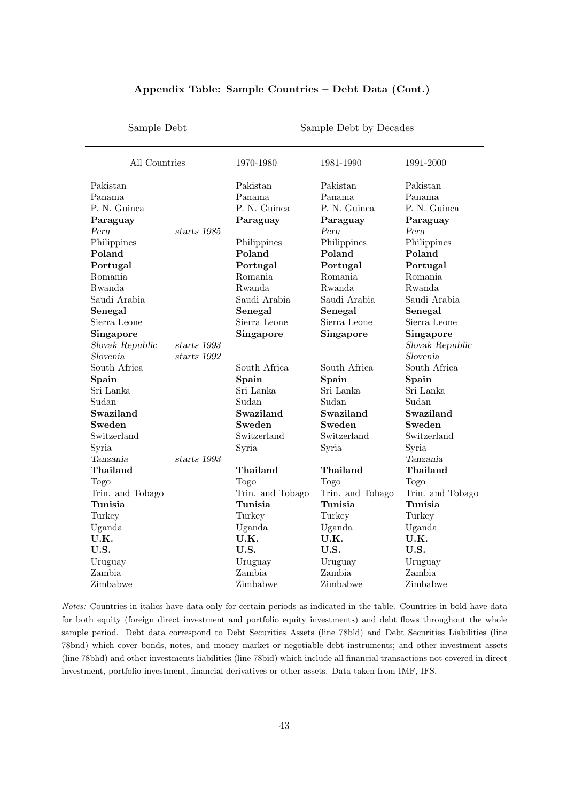| Sample Debt      |             |                  | Sample Debt by Decades |                  |  |  |
|------------------|-------------|------------------|------------------------|------------------|--|--|
| All Countries    |             | 1970-1980        | 1981-1990              | 1991-2000        |  |  |
| Pakistan         |             | Pakistan         | Pakistan               | Pakistan         |  |  |
| Panama           |             | Panama           | Panama                 | Panama           |  |  |
| P. N. Guinea     |             | P. N. Guinea     | P. N. Guinea           | P. N. Guinea     |  |  |
| Paraguay         |             | Paraguay         | Paraguay               | Paraguay         |  |  |
| Peru             | starts 1985 |                  | Peru                   | Peru             |  |  |
| Philippines      |             | Philippines      | Philippines            | Philippines      |  |  |
| Poland           |             | Poland           | Poland                 | Poland           |  |  |
| Portugal         |             | Portugal         | Portugal               | Portugal         |  |  |
| Romania          |             | Romania          | Romania                | Romania          |  |  |
| Rwanda           |             | Rwanda           | Rwanda                 | Rwanda           |  |  |
| Saudi Arabia     |             | Saudi Arabia     | Saudi Arabia           | Saudi Arabia     |  |  |
| Senegal          |             | Senegal          | Senegal                | Senegal          |  |  |
| Sierra Leone     |             | Sierra Leone     | Sierra Leone           | Sierra Leone     |  |  |
| Singapore        |             | Singapore        | Singapore              | Singapore        |  |  |
| Slovak Republic  | starts 1993 |                  |                        | Slovak Republic  |  |  |
| Slovenia         | starts 1992 |                  |                        | Slovenia         |  |  |
| South Africa     |             | South Africa     | South Africa           | South Africa     |  |  |
| Spain            |             | Spain            | Spain                  | Spain            |  |  |
| Sri Lanka        |             | Sri Lanka        | Sri Lanka              | Sri Lanka        |  |  |
| Sudan            |             | Sudan            | Sudan                  | Sudan            |  |  |
| Swaziland        |             | Swaziland        | Swaziland              | Swaziland        |  |  |
| Sweden           |             | Sweden           | Sweden                 | Sweden           |  |  |
| Switzerland      |             | Switzerland      | Switzerland            | Switzerland      |  |  |
| Syria            |             | Syria            | Syria                  | Syria            |  |  |
| Tanzania         | starts 1993 |                  |                        | Tanzania         |  |  |
| Thailand         |             | Thailand         | Thailand               | Thailand         |  |  |
| Togo             |             | Togo             | Togo                   | Togo             |  |  |
| Trin. and Tobago |             | Trin. and Tobago | Trin. and Tobago       | Trin. and Tobago |  |  |
| Tunisia          |             | Tunisia          | Tunisia                | Tunisia          |  |  |
| Turkey           |             | Turkey           | Turkey                 | Turkey           |  |  |
| Uganda           |             | Uganda           | Uganda                 | Uganda           |  |  |
| U.K.             |             | U.K.             | U.K.                   | U.K.             |  |  |
| U.S.             |             | U.S.             | U.S.                   | U.S.             |  |  |
| Uruguay          |             | Uruguay          | Uruguay                | Uruguay          |  |  |
| Zambia           |             | Zambia           | Zambia                 | Zambia           |  |  |
| Zimbabwe         |             | Zimbabwe         | Zimbabwe               | Zimbabwe         |  |  |

## Appendix Table: Sample Countries – Debt Data (Cont.)

Notes: Countries in italics have data only for certain periods as indicated in the table. Countries in bold have data for both equity (foreign direct investment and portfolio equity investments) and debt flows throughout the whole sample period. Debt data correspond to Debt Securities Assets (line 78bld) and Debt Securities Liabilities (line 78bnd) which cover bonds, notes, and money market or negotiable debt instruments; and other investment assets (line 78bhd) and other investments liabilities (line 78bid) which include all financial transactions not covered in direct investment, portfolio investment, financial derivatives or other assets. Data taken from IMF, IFS.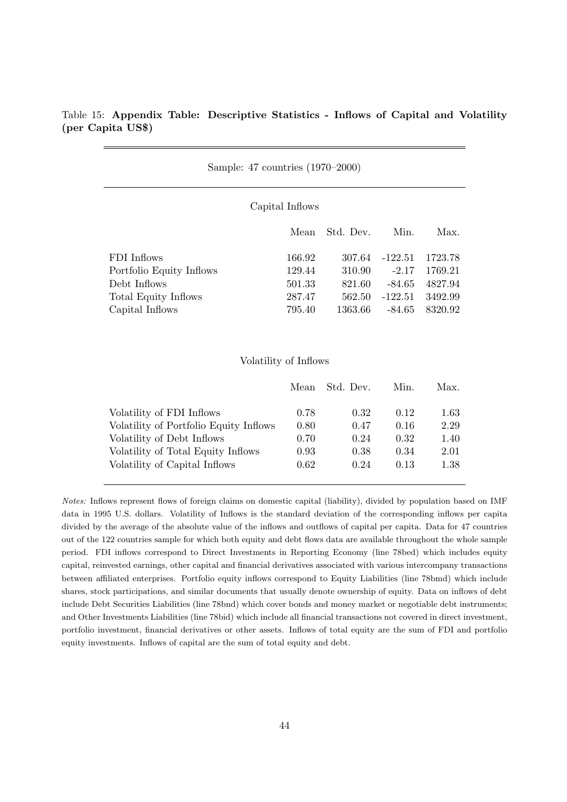## Table 15: Appendix Table: Descriptive Statistics - Inflows of Capital and Volatility (per Capita US\$)

| Sample: 47 countries (1970–2000) |        |           |           |         |  |  |  |  |  |
|----------------------------------|--------|-----------|-----------|---------|--|--|--|--|--|
| Capital Inflows                  |        |           |           |         |  |  |  |  |  |
|                                  | Mean   | Std. Dev. | Min.      | Max.    |  |  |  |  |  |
| FDI Inflows                      | 166.92 | 307.64    | $-122.51$ | 1723.78 |  |  |  |  |  |
| Portfolio Equity Inflows         | 129.44 | 310.90    | $-2.17$   | 1769.21 |  |  |  |  |  |
| Debt Inflows                     | 501.33 | 821.60    | $-84.65$  | 4827.94 |  |  |  |  |  |
| Total Equity Inflows             | 287.47 | 562.50    | $-122.51$ | 3492.99 |  |  |  |  |  |
| Capital Inflows                  | 795.40 | 1363.66   | -84.65    | 8320.92 |  |  |  |  |  |

#### Volatility of Inflows

|                                        | Mean | Std. Dev. | Min. | Max.     |
|----------------------------------------|------|-----------|------|----------|
| Volatility of FDI Inflows              | 0.78 | 0.32      | 0.12 | $1.63\,$ |
| Volatility of Portfolio Equity Inflows | 0.80 | 0.47      | 0.16 | 2.29     |
| Volatility of Debt Inflows             | 0.70 | 0.24      | 0.32 | 1.40     |
| Volatility of Total Equity Inflows     | 0.93 | 0.38      | 0.34 | 2.01     |
| Volatility of Capital Inflows          | 0.62 | 0.24      | 0.13 | 1.38     |

Notes: Inflows represent flows of foreign claims on domestic capital (liability), divided by population based on IMF data in 1995 U.S. dollars. Volatility of Inflows is the standard deviation of the corresponding inflows per capita divided by the average of the absolute value of the inflows and outflows of capital per capita. Data for 47 countries out of the 122 countries sample for which both equity and debt flows data are available throughout the whole sample period. FDI inflows correspond to Direct Investments in Reporting Economy (line 78bed) which includes equity capital, reinvested earnings, other capital and financial derivatives associated with various intercompany transactions between affiliated enterprises. Portfolio equity inflows correspond to Equity Liabilities (line 78bmd) which include shares, stock participations, and similar documents that usually denote ownership of equity. Data on inflows of debt include Debt Securities Liabilities (line 78bnd) which cover bonds and money market or negotiable debt instruments; and Other Investments Liabilities (line 78bid) which include all financial transactions not covered in direct investment, portfolio investment, financial derivatives or other assets. Inflows of total equity are the sum of FDI and portfolio equity investments. Inflows of capital are the sum of total equity and debt.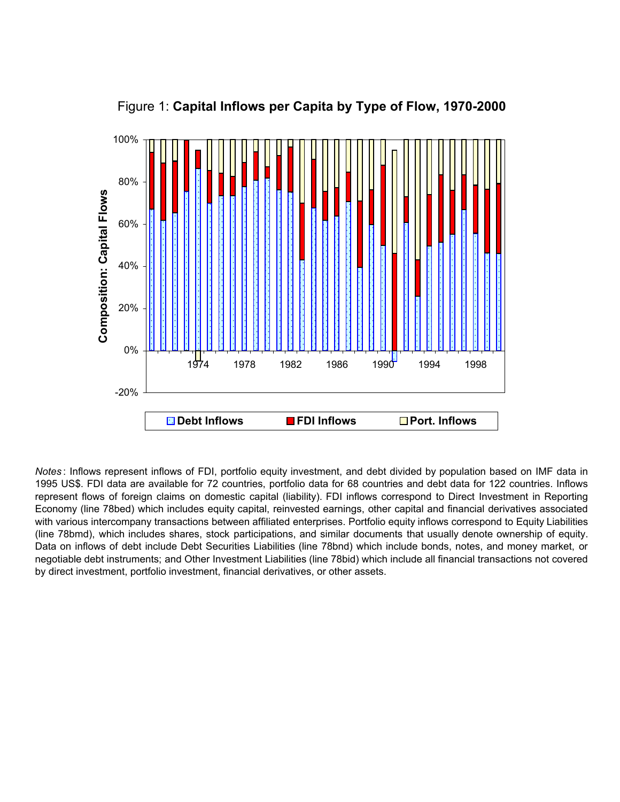

Figure 1: **Capital Inflows per Capita by Type of Flow, 1970-2000**

*Notes* : Inflows represent inflows of FDI, portfolio equity investment, and debt divided by population based on IMF data in 1995 US\$. FDI data are available for 72 countries, portfolio data for 68 countries and debt data for 122 countries. Inflows represent flows of foreign claims on domestic capital (liability). FDI inflows correspond to Direct Investment in Reporting Economy (line 78bed) which includes equity capital, reinvested earnings, other capital and financial derivatives associated with various intercompany transactions between affiliated enterprises. Portfolio equity inflows correspond to Equity Liabilities (line 78bmd), which includes shares, stock participations, and similar documents that usually denote ownership of equity. Data on inflows of debt include Debt Securities Liabilities (line 78bnd) which include bonds, notes, and money market, or negotiable debt instruments; and Other Investment Liabilities (line 78bid) which include all financial transactions not covered by direct investment, portfolio investment, financial derivatives, or other assets.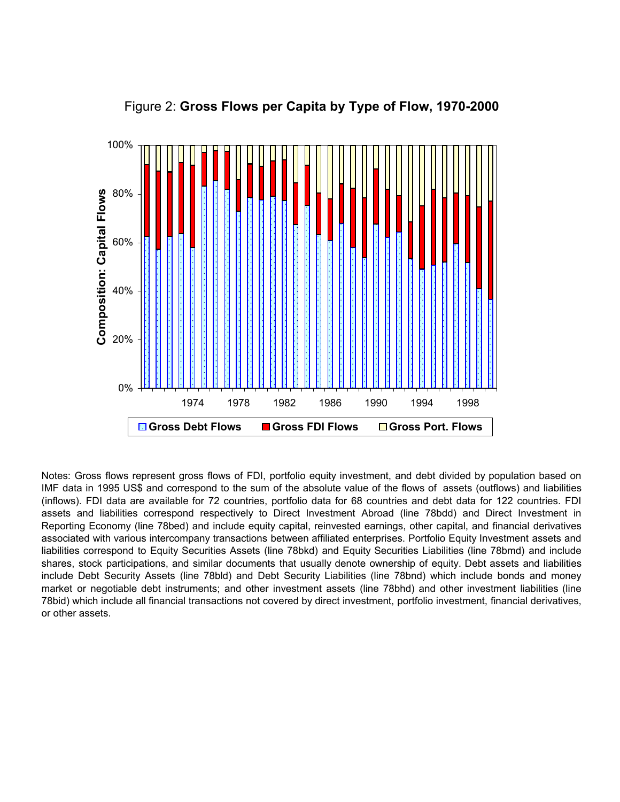

Figure 2: **Gross Flows per Capita by Type of Flow, 1970-2000**

Notes: Gross flows represent gross flows of FDI, portfolio equity investment, and debt divided by population based on IMF data in 1995 US\$ and correspond to the sum of the absolute value of the flows of assets (outflows) and liabilities (inflows). FDI data are available for 72 countries, portfolio data for 68 countries and debt data for 122 countries. FDI assets and liabilities correspond respectively to Direct Investment Abroad (line 78bdd) and Direct Investment in Reporting Economy (line 78bed) and include equity capital, reinvested earnings, other capital, and financial derivatives associated with various intercompany transactions between affiliated enterprises. Portfolio Equity Investment assets and liabilities correspond to Equity Securities Assets (line 78bkd) and Equity Securities Liabilities (line 78bmd) and include shares, stock participations, and similar documents that usually denote ownership of equity. Debt assets and liabilities include Debt Security Assets (line 78bld) and Debt Security Liabilities (line 78bnd) which include bonds and money market or negotiable debt instruments; and other investment assets (line 78bhd) and other investment liabilities (line 78bid) which include all financial transactions not covered by direct investment, portfolio investment, financial derivatives, or other assets.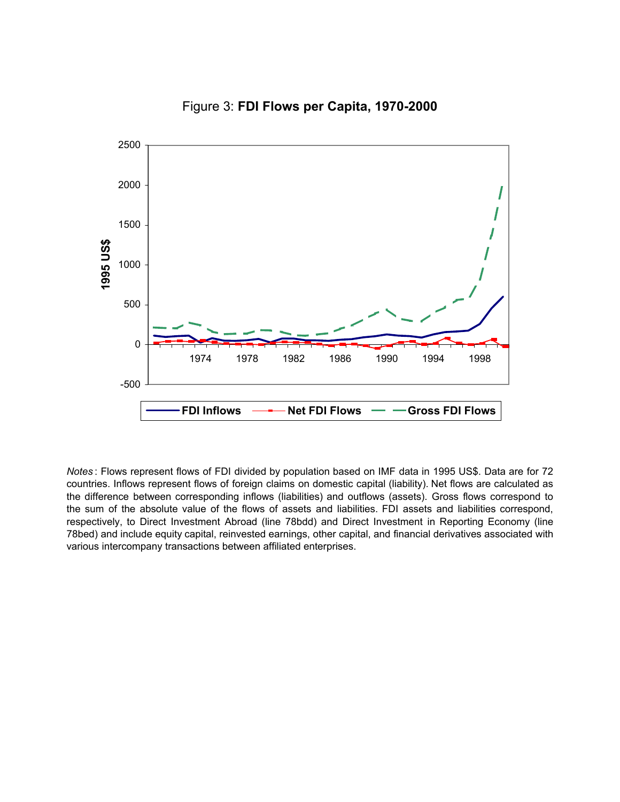



*Notes* : Flows represent flows of FDI divided by population based on IMF data in 1995 US\$. Data are for 72 countries. Inflows represent flows of foreign claims on domestic capital (liability). Net flows are calculated as the difference between corresponding inflows (liabilities) and outflows (assets). Gross flows correspond to the sum of the absolute value of the flows of assets and liabilities. FDI assets and liabilities correspond, respectively, to Direct Investment Abroad (line 78bdd) and Direct Investment in Reporting Economy (line 78bed) and include equity capital, reinvested earnings, other capital, and financial derivatives associated with various intercompany transactions between affiliated enterprises.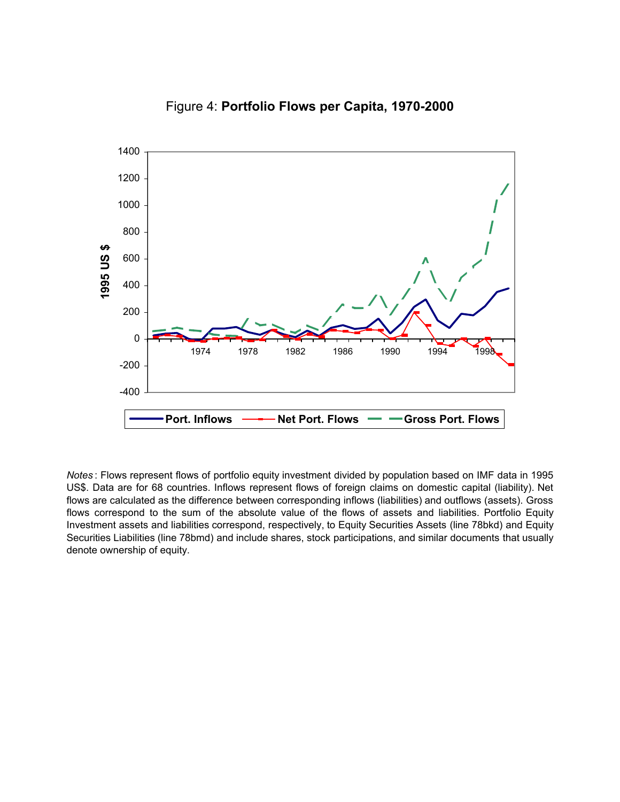

Figure 4: **Portfolio Flows per Capita, 1970-2000**

*Notes* : Flows represent flows of portfolio equity investment divided by population based on IMF data in 1995 US\$. Data are for 68 countries. Inflows represent flows of foreign claims on domestic capital (liability). Net flows are calculated as the difference between corresponding inflows (liabilities) and outflows (assets). Gross flows correspond to the sum of the absolute value of the flows of assets and liabilities. Portfolio Equity Investment assets and liabilities correspond, respectively, to Equity Securities Assets (line 78bkd) and Equity Securities Liabilities (line 78bmd) and include shares, stock participations, and similar documents that usually denote ownership of equity.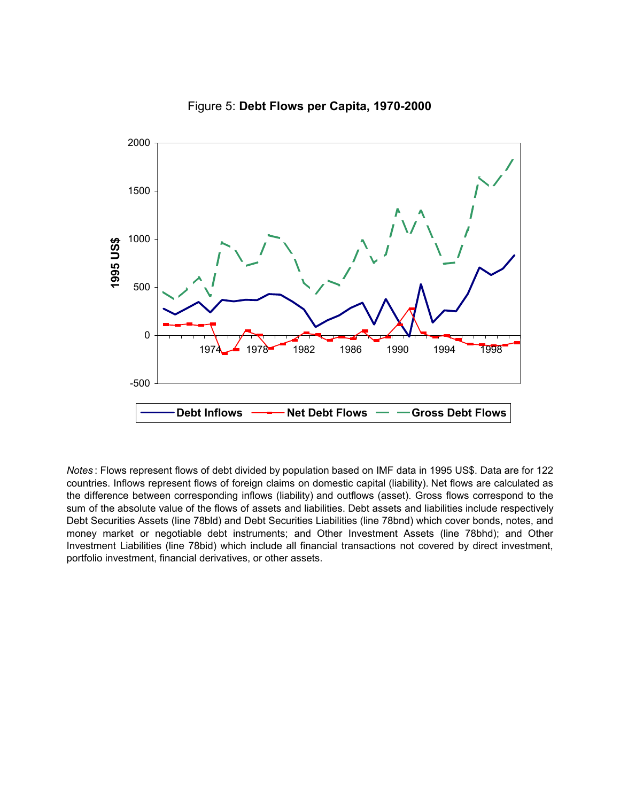

Figure 5: **Debt Flows per Capita, 1970-2000**

*Notes* : Flows represent flows of debt divided by population based on IMF data in 1995 US\$. Data are for 122 countries. Inflows represent flows of foreign claims on domestic capital (liability). Net flows are calculated as the difference between corresponding inflows (liability) and outflows (asset). Gross flows correspond to the sum of the absolute value of the flows of assets and liabilities. Debt assets and liabilities include respectively Debt Securities Assets (line 78bld) and Debt Securities Liabilities (line 78bnd) which cover bonds, notes, and money market or negotiable debt instruments; and Other Investment Assets (line 78bhd); and Other Investment Liabilities (line 78bid) which include all financial transactions not covered by direct investment, portfolio investment, financial derivatives, or other assets.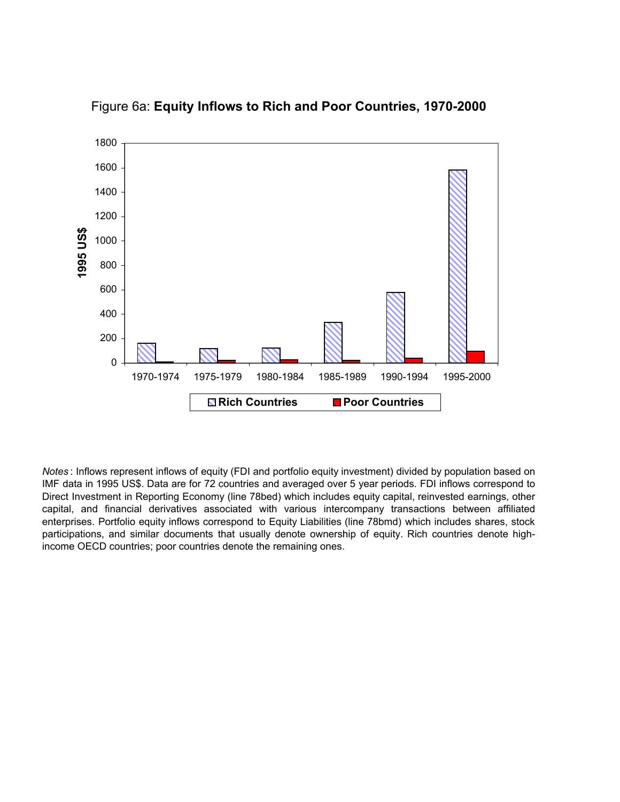

Figure 6a: **Equity Inflows to Rich and Poor Countries, 1970-2000**

*Notes* : Inflows represent inflows of equity (FDI and portfolio equity investment) divided by population based on IMF data in 1995 US\$. Data are for 72 countries and averaged over 5 year periods. FDI inflows correspond to Direct Investment in Reporting Economy (line 78bed) which includes equity capital, reinvested earnings, other capital, and financial derivatives associated with various intercompany transactions between affiliated enterprises. Portfolio equity inflows correspond to Equity Liabilities (line 78bmd) which includes shares, stock participations, and similar documents that usually denote ownership of equity. Rich countries denote highincome OECD countries; poor countries denote the remaining ones.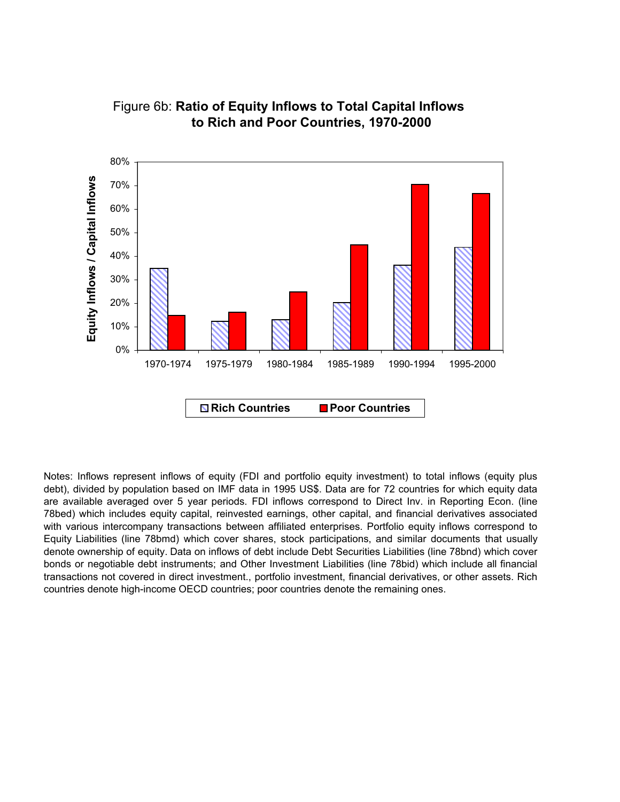

## Figure 6b: **Ratio of Equity Inflows to Total Capital Inflows to Rich and Poor Countries, 1970-2000**

Notes: Inflows represent inflows of equity (FDI and portfolio equity investment) to total inflows (equity plus debt), divided by population based on IMF data in 1995 US\$. Data are for 72 countries for which equity data are available averaged over 5 year periods. FDI inflows correspond to Direct Inv. in Reporting Econ. (line 78bed) which includes equity capital, reinvested earnings, other capital, and financial derivatives associated with various intercompany transactions between affiliated enterprises. Portfolio equity inflows correspond to Equity Liabilities (line 78bmd) which cover shares, stock participations, and similar documents that usually denote ownership of equity. Data on inflows of debt include Debt Securities Liabilities (line 78bnd) which cover bonds or negotiable debt instruments; and Other Investment Liabilities (line 78bid) which include all financial transactions not covered in direct investment., portfolio investment, financial derivatives, or other assets. Rich countries denote high-income OECD countries; poor countries denote the remaining ones.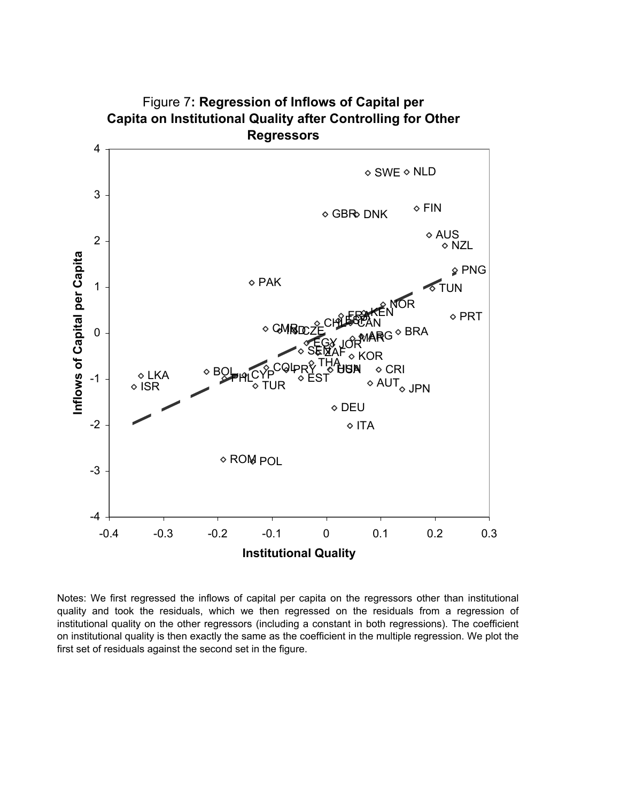

Figure 7**: Regression of Inflows of Capital per Capita on Institutional Quality after Controlling for Other** 

Notes: We first regressed the inflows of capital per capita on the regressors other than institutional quality and took the residuals, which we then regressed on the residuals from a regression of institutional quality on the other regressors (including a constant in both regressions). The coefficient on institutional quality is then exactly the same as the coefficient in the multiple regression. We plot the first set of residuals against the second set in the figure.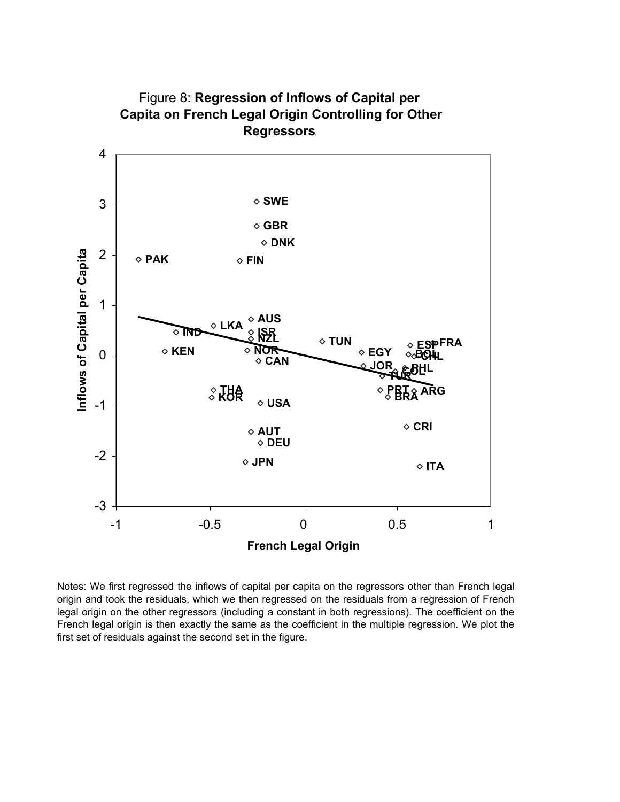

Figure 8: **Regression of Inflows of Capital per Capita on French Legal Origin Controlling for Other** 

Notes: We first regressed the inflows of capital per capita on the regressors other than French legal origin and took the residuals, which we then regressed on the residuals from a regression of French legal origin on the other regressors (including a constant in both regressions). The coefficient on the French legal origin is then exactly the same as the coefficient in the multiple regression. We plot the first set of residuals against the second set in the figure.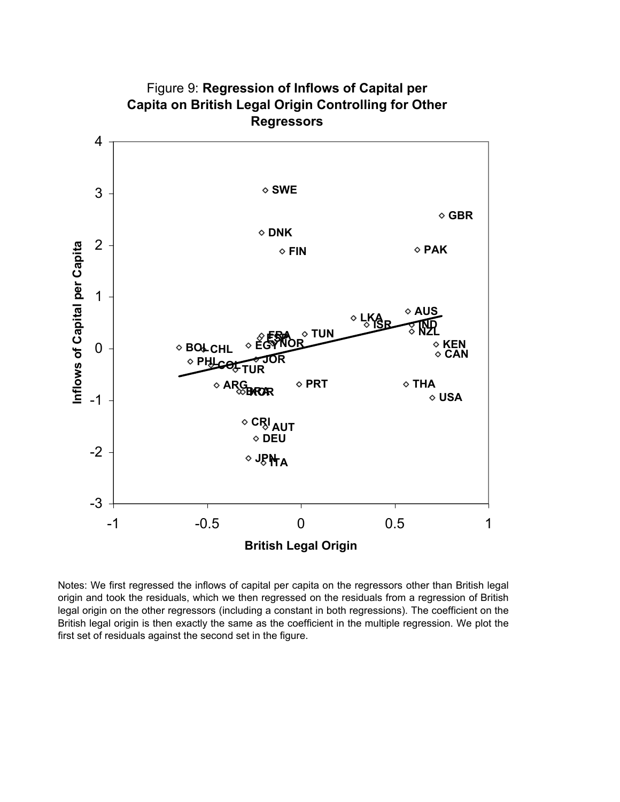

# Figure 9: **Regression of Inflows of Capital per Capita on British Legal Origin Controlling for Other**

Notes: We first regressed the inflows of capital per capita on the regressors other than British legal origin and took the residuals, which we then regressed on the residuals from a regression of British legal origin on the other regressors (including a constant in both regressions). The coefficient on the British legal origin is then exactly the same as the coefficient in the multiple regression. We plot the first set of residuals against the second set in the figure.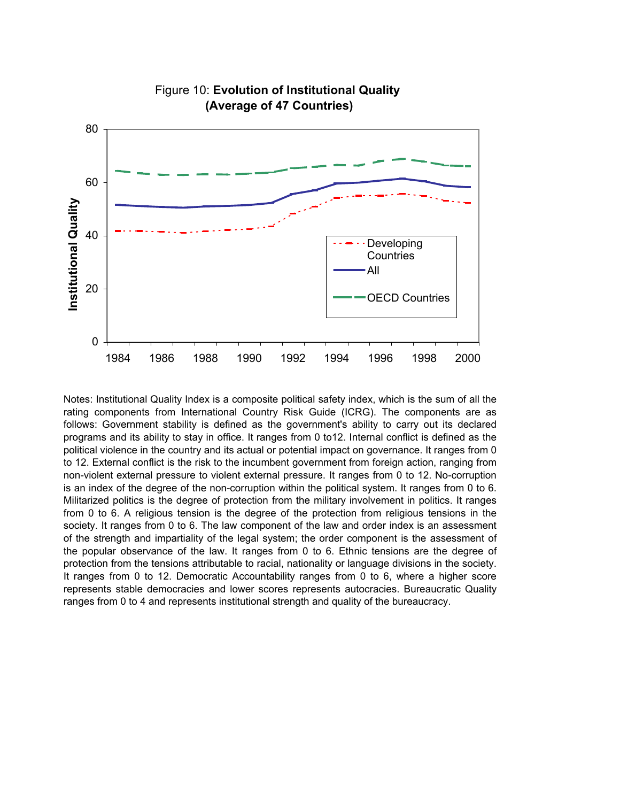

## Figure 10: **Evolution of Institutional Quality (Average of 47 Countries)**

Notes: Institutional Quality Index is a composite political safety index, which is the sum of all the rating components from International Country Risk Guide (ICRG). The components are as follows: Government stability is defined as the government's ability to carry out its declared programs and its ability to stay in office. It ranges from 0 to12. Internal conflict is defined as the political violence in the country and its actual or potential impact on governance. It ranges from 0 to 12. External conflict is the risk to the incumbent government from foreign action, ranging from non-violent external pressure to violent external pressure. It ranges from 0 to 12. No-corruption is an index of the degree of the non-corruption within the political system. It ranges from 0 to 6. Militarized politics is the degree of protection from the military involvement in politics. It ranges from 0 to 6. A religious tension is the degree of the protection from religious tensions in the society. It ranges from 0 to 6. The law component of the law and order index is an assessment of the strength and impartiality of the legal system; the order component is the assessment of the popular observance of the law. It ranges from 0 to 6. Ethnic tensions are the degree of protection from the tensions attributable to racial, nationality or language divisions in the society. It ranges from 0 to 12. Democratic Accountability ranges from 0 to 6, where a higher score represents stable democracies and lower scores represents autocracies. Bureaucratic Quality ranges from 0 to 4 and represents institutional strength and quality of the bureaucracy.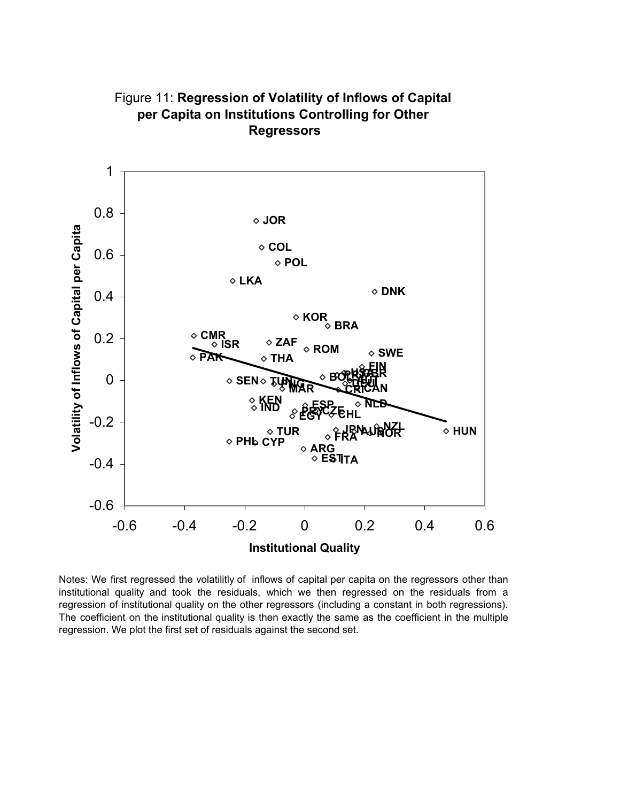

Figure 11: **Regression of Volatility of Inflows of Capital per Capita on Institutions Controlling for Other Regressors**

Notes: We first regressed the volatilitly of inflows of capital per capita on the regressors other than institutional quality and took the residuals, which we then regressed on the residuals from a regression of institutional quality on the other regressors (including a constant in both regressions). The coefficient on the institutional quality is then exactly the same as the coefficient in the multiple regression. We plot the first set of residuals against the second set.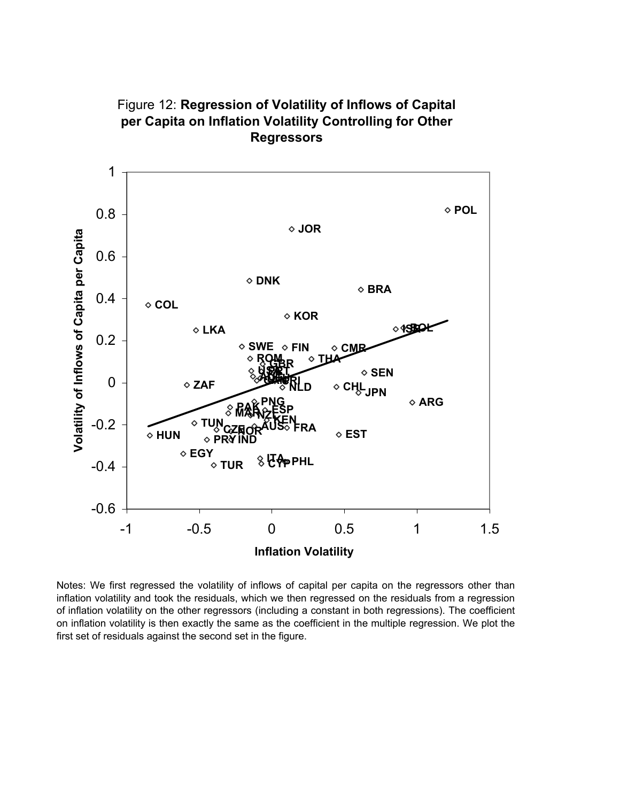

Figure 12: **Regression of Volatility of Inflows of Capital per Capita on Inflation Volatility Controlling for Other Regressors**

Notes: We first regressed the volatility of inflows of capital per capita on the regressors other than inflation volatility and took the residuals, which we then regressed on the residuals from a regression of inflation volatility on the other regressors (including a constant in both regressions). The coefficient on inflation volatility is then exactly the same as the coefficient in the multiple regression. We plot the first set of residuals against the second set in the figure.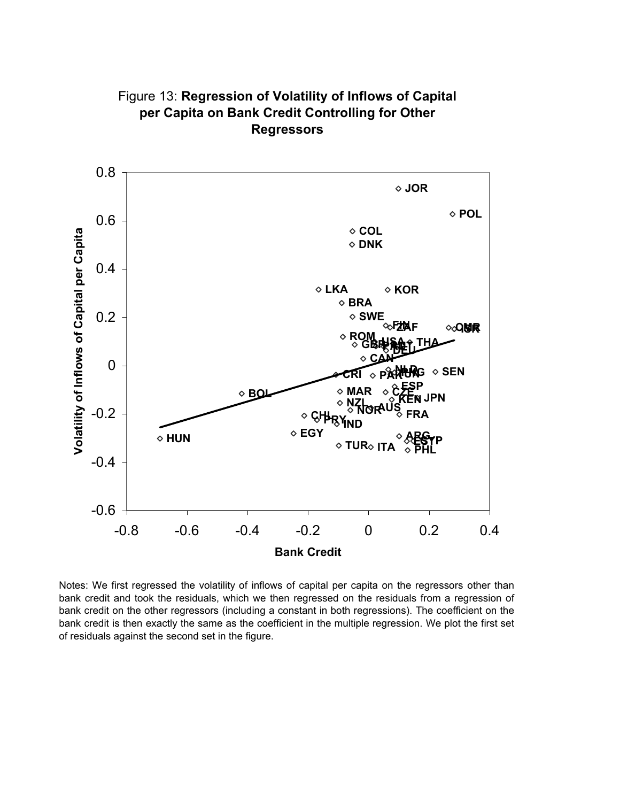

Figure 13: **Regression of Volatility of Inflows of Capital per Capita on Bank Credit Controlling for Other Regressors**

Notes: We first regressed the volatility of inflows of capital per capita on the regressors other than bank credit and took the residuals, which we then regressed on the residuals from a regression of bank credit on the other regressors (including a constant in both regressions). The coefficient on the bank credit is then exactly the same as the coefficient in the multiple regression. We plot the first set of residuals against the second set in the figure.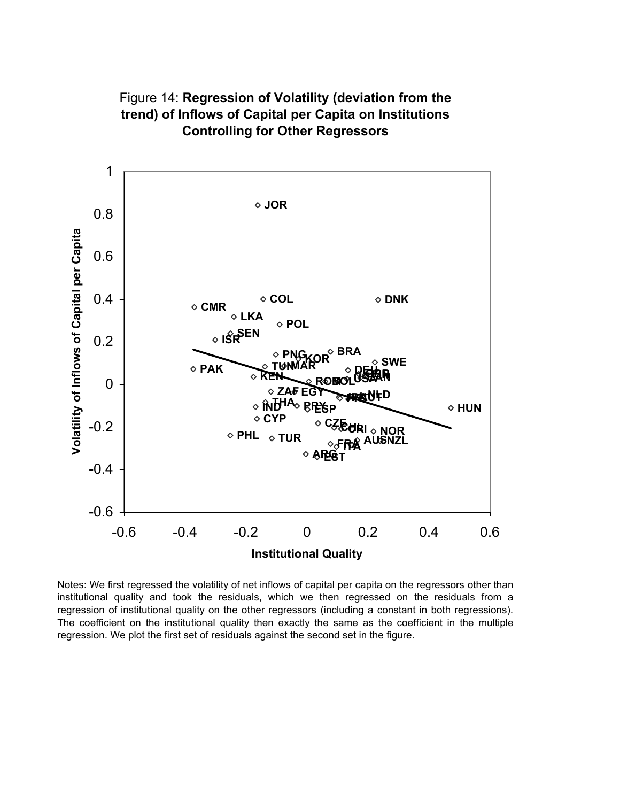

Figure 14: **Regression of Volatility (deviation from the trend) of Inflows of Capital per Capita on Institutions Controlling for Other Regressors** 

Notes: We first regressed the volatility of net inflows of capital per capita on the regressors other than institutional quality and took the residuals, which we then regressed on the residuals from a regression of institutional quality on the other regressors (including a constant in both regressions). The coefficient on the institutional quality then exactly the same as the coefficient in the multiple regression. We plot the first set of residuals against the second set in the figure.